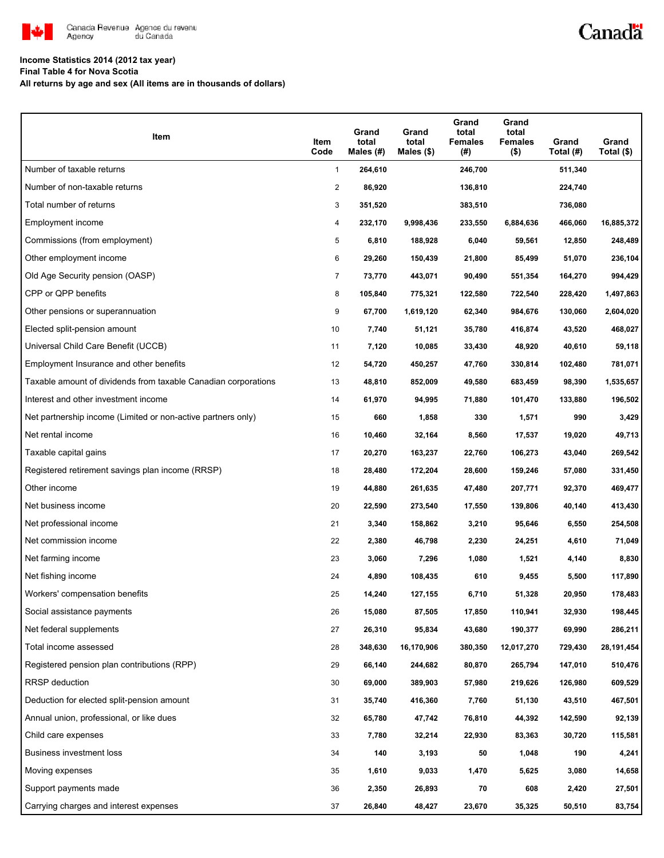

## Canadä

## **Income Statistics 2014 (2012 tax year)**

**Final Table 4 for Nova Scotia**

**All returns by age and sex (All items are in thousands of dollars)**

| Item                                                           | Item<br>Code   | Grand<br>total<br>Males (#) | Grand<br>total<br>Males $(\$)$ | Grand<br>total<br><b>Females</b><br>(#) | Grand<br>total<br><b>Females</b><br>$($ \$) | Grand<br>Total (#) | Grand<br>Total (\$) |
|----------------------------------------------------------------|----------------|-----------------------------|--------------------------------|-----------------------------------------|---------------------------------------------|--------------------|---------------------|
| Number of taxable returns                                      | $\mathbf{1}$   | 264,610                     |                                | 246,700                                 |                                             | 511,340            |                     |
| Number of non-taxable returns                                  | 2              | 86,920                      |                                | 136,810                                 |                                             | 224,740            |                     |
| Total number of returns                                        | 3              | 351,520                     |                                | 383,510                                 |                                             | 736,080            |                     |
| Employment income                                              | 4              | 232,170                     | 9,998,436                      | 233,550                                 | 6,884,636                                   | 466,060            | 16,885,372          |
| Commissions (from employment)                                  | 5              | 6,810                       | 188,928                        | 6,040                                   | 59,561                                      | 12,850             | 248,489             |
| Other employment income                                        | 6              | 29,260                      | 150,439                        | 21,800                                  | 85,499                                      | 51,070             | 236,104             |
| Old Age Security pension (OASP)                                | $\overline{7}$ | 73,770                      | 443,071                        | 90,490                                  | 551,354                                     | 164,270            | 994,429             |
| CPP or QPP benefits                                            | 8              | 105,840                     | 775,321                        | 122,580                                 | 722,540                                     | 228,420            | 1,497,863           |
| Other pensions or superannuation                               | 9              | 67,700                      | 1,619,120                      | 62,340                                  | 984,676                                     | 130,060            | 2,604,020           |
| Elected split-pension amount                                   | 10             | 7,740                       | 51,121                         | 35,780                                  | 416,874                                     | 43,520             | 468,027             |
| Universal Child Care Benefit (UCCB)                            | 11             | 7,120                       | 10,085                         | 33,430                                  | 48,920                                      | 40,610             | 59,118              |
| Employment Insurance and other benefits                        | 12             | 54,720                      | 450,257                        | 47,760                                  | 330,814                                     | 102,480            | 781,071             |
| Taxable amount of dividends from taxable Canadian corporations | 13             | 48,810                      | 852,009                        | 49,580                                  | 683,459                                     | 98,390             | 1,535,657           |
| Interest and other investment income                           | 14             | 61,970                      | 94,995                         | 71,880                                  | 101,470                                     | 133,880            | 196,502             |
| Net partnership income (Limited or non-active partners only)   | 15             | 660                         | 1,858                          | 330                                     | 1,571                                       | 990                | 3,429               |
| Net rental income                                              | 16             | 10,460                      | 32,164                         | 8,560                                   | 17,537                                      | 19,020             | 49,713              |
| Taxable capital gains                                          | 17             | 20,270                      | 163,237                        | 22,760                                  | 106,273                                     | 43,040             | 269,542             |
| Registered retirement savings plan income (RRSP)               | 18             | 28,480                      | 172,204                        | 28,600                                  | 159,246                                     | 57,080             | 331,450             |
| Other income                                                   | 19             | 44,880                      | 261,635                        | 47,480                                  | 207,771                                     | 92,370             | 469,477             |
| Net business income                                            | 20             | 22,590                      | 273,540                        | 17,550                                  | 139,806                                     | 40,140             | 413,430             |
| Net professional income                                        | 21             | 3,340                       | 158,862                        | 3,210                                   | 95,646                                      | 6,550              | 254,508             |
| Net commission income                                          | 22             | 2,380                       | 46,798                         | 2,230                                   | 24,251                                      | 4,610              | 71,049              |
| Net farming income                                             | 23             | 3,060                       | 7,296                          | 1,080                                   | 1,521                                       | 4,140              | 8,830               |
| Net fishing income                                             | 24             | 4,890                       | 108,435                        | 610                                     | 9,455                                       | 5,500              | 117,890             |
| Workers' compensation benefits                                 | 25             | 14,240                      | 127,155                        | 6,710                                   | 51,328                                      | 20,950             | 178,483             |
| Social assistance payments                                     | 26             | 15,080                      | 87,505                         | 17,850                                  | 110,941                                     | 32,930             | 198,445             |
| Net federal supplements                                        | 27             | 26,310                      | 95,834                         | 43,680                                  | 190,377                                     | 69,990             | 286,211             |
| Total income assessed                                          | 28             | 348,630                     | 16,170,906                     | 380,350                                 | 12,017,270                                  | 729,430            | 28, 191, 454        |
| Registered pension plan contributions (RPP)                    | 29             | 66,140                      | 244,682                        | 80,870                                  | 265,794                                     | 147,010            | 510,476             |
| RRSP deduction                                                 | 30             | 69,000                      | 389,903                        | 57,980                                  | 219,626                                     | 126,980            | 609,529             |
| Deduction for elected split-pension amount                     | 31             | 35,740                      | 416,360                        | 7,760                                   | 51,130                                      | 43,510             | 467,501             |
| Annual union, professional, or like dues                       | 32             | 65,780                      | 47,742                         | 76,810                                  | 44,392                                      | 142,590            | 92,139              |
| Child care expenses                                            | 33             | 7,780                       | 32,214                         | 22,930                                  | 83,363                                      | 30,720             | 115,581             |
| Business investment loss                                       | 34             | 140                         | 3,193                          | 50                                      | 1,048                                       | 190                | 4,241               |
| Moving expenses                                                | 35             | 1,610                       | 9,033                          | 1,470                                   | 5,625                                       | 3,080              | 14,658              |
| Support payments made                                          | 36             | 2,350                       | 26,893                         | 70                                      | 608                                         | 2,420              | 27,501              |
| Carrying charges and interest expenses                         | 37             | 26,840                      | 48,427                         | 23,670                                  | 35,325                                      | 50,510             | 83,754              |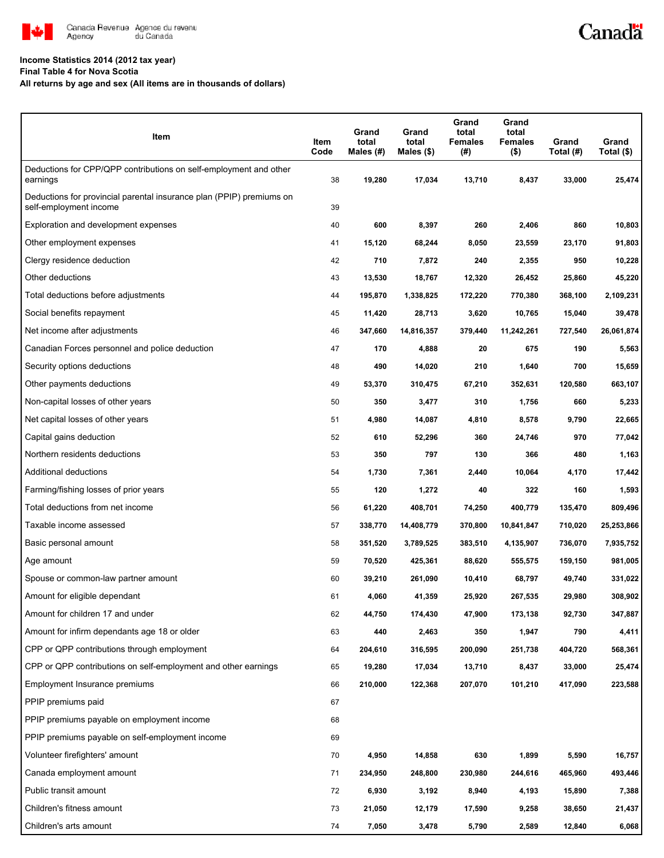

#### **Income Statistics 2014 (2012 tax year)**

**Final Table 4 for Nova Scotia**

**All returns by age and sex (All items are in thousands of dollars)**

| Item                                                                                           | Item<br>Code | Grand<br>total<br>Males (#) | Grand<br>total<br>Males (\$) | Grand<br>total<br><b>Females</b><br>(#) | Grand<br>total<br>Females<br>$($ \$) | Grand<br>Total (#) | Grand<br>Total (\$) |
|------------------------------------------------------------------------------------------------|--------------|-----------------------------|------------------------------|-----------------------------------------|--------------------------------------|--------------------|---------------------|
| Deductions for CPP/QPP contributions on self-employment and other<br>earnings                  | 38           | 19,280                      | 17,034                       | 13,710                                  | 8,437                                | 33,000             | 25,474              |
| Deductions for provincial parental insurance plan (PPIP) premiums on<br>self-employment income | 39           |                             |                              |                                         |                                      |                    |                     |
| Exploration and development expenses                                                           | 40           | 600                         | 8,397                        | 260                                     | 2,406                                | 860                | 10,803              |
| Other employment expenses                                                                      | 41           | 15,120                      | 68,244                       | 8,050                                   | 23,559                               | 23,170             | 91,803              |
| Clergy residence deduction                                                                     | 42           | 710                         | 7,872                        | 240                                     | 2,355                                | 950                | 10,228              |
| Other deductions                                                                               | 43           | 13,530                      | 18,767                       | 12,320                                  | 26,452                               | 25,860             | 45,220              |
| Total deductions before adjustments                                                            | 44           | 195,870                     | 1,338,825                    | 172,220                                 | 770,380                              | 368,100            | 2,109,231           |
| Social benefits repayment                                                                      | 45           | 11,420                      | 28,713                       | 3,620                                   | 10,765                               | 15,040             | 39,478              |
| Net income after adjustments                                                                   | 46           | 347,660                     | 14,816,357                   | 379,440                                 | 11,242,261                           | 727,540            | 26,061,874          |
| Canadian Forces personnel and police deduction                                                 | 47           | 170                         | 4,888                        | 20                                      | 675                                  | 190                | 5,563               |
| Security options deductions                                                                    | 48           | 490                         | 14,020                       | 210                                     | 1,640                                | 700                | 15,659              |
| Other payments deductions                                                                      | 49           | 53,370                      | 310,475                      | 67,210                                  | 352,631                              | 120,580            | 663,107             |
| Non-capital losses of other years                                                              | 50           | 350                         | 3,477                        | 310                                     | 1,756                                | 660                | 5,233               |
| Net capital losses of other years                                                              | 51           | 4,980                       | 14,087                       | 4,810                                   | 8,578                                | 9,790              | 22,665              |
| Capital gains deduction                                                                        | 52           | 610                         | 52,296                       | 360                                     | 24,746                               | 970                | 77,042              |
| Northern residents deductions                                                                  | 53           | 350                         | 797                          | 130                                     | 366                                  | 480                | 1,163               |
| Additional deductions                                                                          | 54           | 1,730                       | 7,361                        | 2,440                                   | 10,064                               | 4,170              | 17,442              |
| Farming/fishing losses of prior years                                                          | 55           | 120                         | 1,272                        | 40                                      | 322                                  | 160                | 1,593               |
| Total deductions from net income                                                               | 56           | 61,220                      | 408,701                      | 74,250                                  | 400,779                              | 135,470            | 809,496             |
| Taxable income assessed                                                                        | 57           | 338,770                     | 14,408,779                   | 370,800                                 | 10,841,847                           | 710,020            | 25,253,866          |
| Basic personal amount                                                                          | 58           | 351,520                     | 3,789,525                    | 383,510                                 | 4,135,907                            | 736,070            | 7,935,752           |
| Age amount                                                                                     | 59           | 70,520                      | 425,361                      | 88,620                                  | 555,575                              | 159,150            | 981,005             |
| Spouse or common-law partner amount                                                            | 60           | 39,210                      | 261,090                      | 10,410                                  | 68,797                               | 49,740             | 331,022             |
| Amount for eligible dependant                                                                  | 61           | 4,060                       | 41,359                       | 25,920                                  | 267,535                              | 29,980             | 308,902             |
| Amount for children 17 and under                                                               | 62           | 44,750                      | 174,430                      | 47,900                                  | 173,138                              | 92,730             | 347,887             |
| Amount for infirm dependants age 18 or older                                                   | 63           | 440                         | 2,463                        | 350                                     | 1,947                                | 790                | 4,411               |
| CPP or QPP contributions through employment                                                    | 64           | 204,610                     | 316,595                      | 200,090                                 | 251,738                              | 404,720            | 568,361             |
| CPP or QPP contributions on self-employment and other earnings                                 | 65           | 19,280                      | 17,034                       | 13,710                                  | 8,437                                | 33,000             | 25,474              |
| Employment Insurance premiums                                                                  | 66           | 210,000                     | 122,368                      | 207,070                                 | 101,210                              | 417,090            | 223,588             |
| PPIP premiums paid                                                                             | 67           |                             |                              |                                         |                                      |                    |                     |
| PPIP premiums payable on employment income                                                     | 68           |                             |                              |                                         |                                      |                    |                     |
| PPIP premiums payable on self-employment income                                                | 69           |                             |                              |                                         |                                      |                    |                     |
| Volunteer firefighters' amount                                                                 | 70           | 4,950                       | 14,858                       | 630                                     | 1,899                                | 5,590              | 16,757              |
| Canada employment amount                                                                       | 71           | 234,950                     | 248,800                      | 230,980                                 | 244,616                              | 465,960            | 493,446             |
| Public transit amount                                                                          | 72           | 6,930                       | 3,192                        | 8,940                                   | 4,193                                | 15,890             | 7,388               |
| Children's fitness amount                                                                      | 73           | 21,050                      | 12,179                       | 17,590                                  | 9,258                                | 38,650             | 21,437              |
| Children's arts amount                                                                         | 74           | 7,050                       | 3,478                        | 5,790                                   | 2,589                                | 12,840             | 6,068               |

Canadä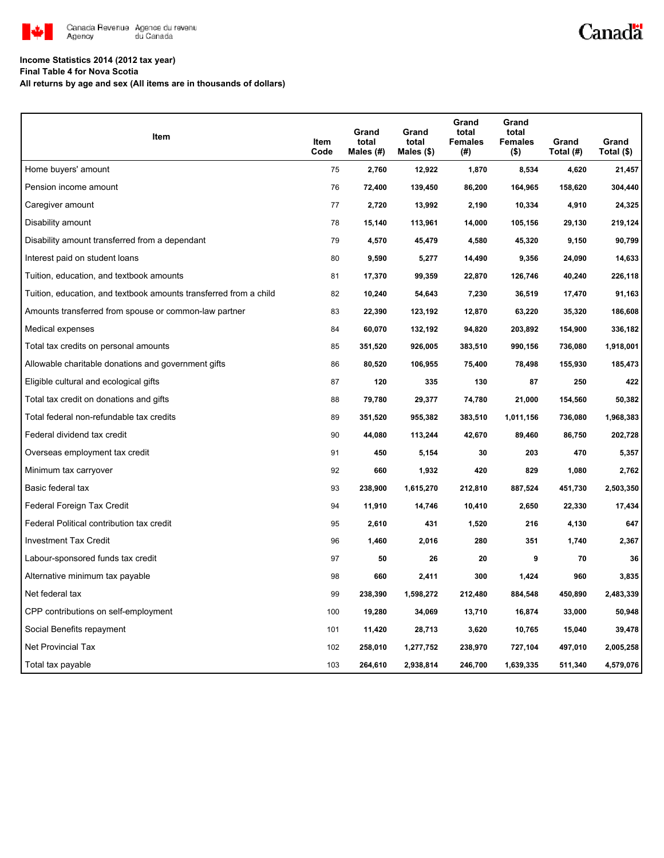

# Canadä

## **Income Statistics 2014 (2012 tax year)**

**Final Table 4 for Nova Scotia**

**All returns by age and sex (All items are in thousands of dollars)**

| Item                                                              | <b>Item</b><br>Code | Grand<br>total<br>Males (#) | Grand<br>total<br>Males (\$) | Grand<br>total<br><b>Females</b><br>(#) | Grand<br>total<br><b>Females</b><br>$($ \$) | Grand<br>Total (#) | Grand<br>Total (\$) |
|-------------------------------------------------------------------|---------------------|-----------------------------|------------------------------|-----------------------------------------|---------------------------------------------|--------------------|---------------------|
| Home buyers' amount                                               | 75                  | 2,760                       | 12,922                       | 1,870                                   | 8,534                                       | 4,620              | 21,457              |
| Pension income amount                                             | 76                  | 72,400                      | 139,450                      | 86,200                                  | 164,965                                     | 158,620            | 304,440             |
| Caregiver amount                                                  | 77                  | 2,720                       | 13,992                       | 2,190                                   | 10,334                                      | 4,910              | 24,325              |
| Disability amount                                                 | 78                  | 15,140                      | 113,961                      | 14,000                                  | 105,156                                     | 29,130             | 219,124             |
| Disability amount transferred from a dependant                    | 79                  | 4,570                       | 45,479                       | 4,580                                   | 45,320                                      | 9,150              | 90,799              |
| Interest paid on student loans                                    | 80                  | 9,590                       | 5,277                        | 14,490                                  | 9,356                                       | 24,090             | 14,633              |
| Tuition, education, and textbook amounts                          | 81                  | 17,370                      | 99,359                       | 22,870                                  | 126,746                                     | 40,240             | 226,118             |
| Tuition, education, and textbook amounts transferred from a child | 82                  | 10,240                      | 54,643                       | 7,230                                   | 36,519                                      | 17,470             | 91,163              |
| Amounts transferred from spouse or common-law partner             | 83                  | 22,390                      | 123,192                      | 12,870                                  | 63,220                                      | 35,320             | 186,608             |
| Medical expenses                                                  | 84                  | 60,070                      | 132,192                      | 94,820                                  | 203,892                                     | 154,900            | 336,182             |
| Total tax credits on personal amounts                             | 85                  | 351,520                     | 926,005                      | 383,510                                 | 990,156                                     | 736,080            | 1,918,001           |
| Allowable charitable donations and government gifts               | 86                  | 80,520                      | 106,955                      | 75,400                                  | 78,498                                      | 155,930            | 185,473             |
| Eligible cultural and ecological gifts                            | 87                  | 120                         | 335                          | 130                                     | 87                                          | 250                | 422                 |
| Total tax credit on donations and gifts                           | 88                  | 79,780                      | 29,377                       | 74,780                                  | 21,000                                      | 154,560            | 50,382              |
| Total federal non-refundable tax credits                          | 89                  | 351,520                     | 955,382                      | 383,510                                 | 1,011,156                                   | 736,080            | 1,968,383           |
| Federal dividend tax credit                                       | 90                  | 44,080                      | 113,244                      | 42,670                                  | 89,460                                      | 86,750             | 202,728             |
| Overseas employment tax credit                                    | 91                  | 450                         | 5,154                        | 30                                      | 203                                         | 470                | 5,357               |
| Minimum tax carryover                                             | 92                  | 660                         | 1,932                        | 420                                     | 829                                         | 1,080              | 2,762               |
| Basic federal tax                                                 | 93                  | 238,900                     | 1,615,270                    | 212,810                                 | 887,524                                     | 451,730            | 2,503,350           |
| Federal Foreign Tax Credit                                        | 94                  | 11,910                      | 14,746                       | 10,410                                  | 2,650                                       | 22,330             | 17,434              |
| Federal Political contribution tax credit                         | 95                  | 2,610                       | 431                          | 1,520                                   | 216                                         | 4,130              | 647                 |
| <b>Investment Tax Credit</b>                                      | 96                  | 1,460                       | 2,016                        | 280                                     | 351                                         | 1,740              | 2,367               |
| Labour-sponsored funds tax credit                                 | 97                  | 50                          | 26                           | 20                                      | 9                                           | 70                 | 36                  |
| Alternative minimum tax payable                                   | 98                  | 660                         | 2,411                        | 300                                     | 1,424                                       | 960                | 3,835               |
| Net federal tax                                                   | 99                  | 238,390                     | 1,598,272                    | 212,480                                 | 884,548                                     | 450,890            | 2,483,339           |
| CPP contributions on self-employment                              | 100                 | 19,280                      | 34,069                       | 13,710                                  | 16,874                                      | 33,000             | 50,948              |
| Social Benefits repayment                                         | 101                 | 11,420                      | 28,713                       | 3,620                                   | 10,765                                      | 15,040             | 39,478              |
| Net Provincial Tax                                                | 102                 | 258,010                     | 1,277,752                    | 238,970                                 | 727,104                                     | 497,010            | 2,005,258           |
| Total tax payable                                                 | 103                 | 264,610                     | 2,938,814                    | 246,700                                 | 1,639,335                                   | 511,340            | 4,579,076           |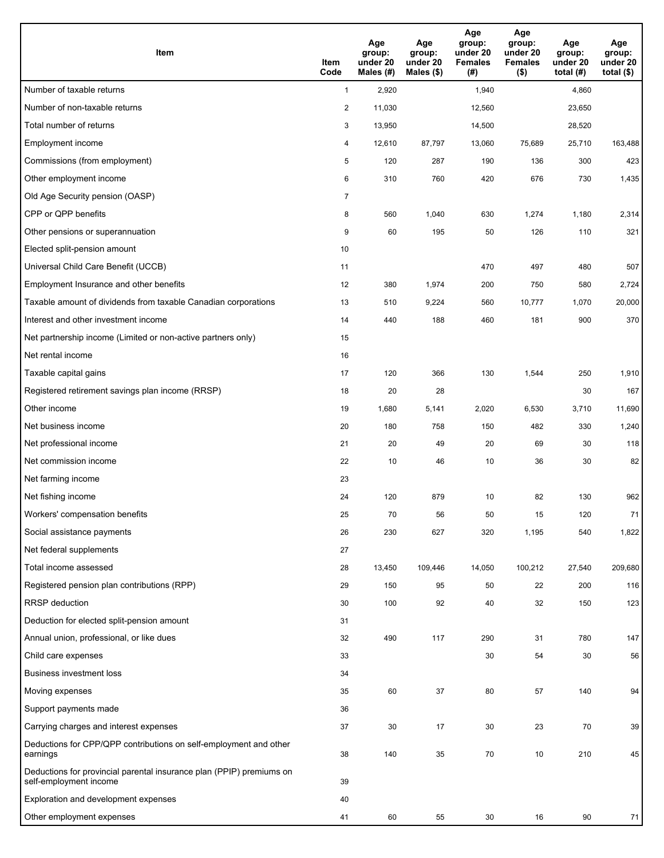| <b>Item</b>                                                                                    | Item<br>Code   | Age<br>group:<br>under 20<br>Males (#) | Age<br>group:<br>under 20<br>Males $(\$)$ | Age<br>group:<br>under 20<br><b>Females</b><br>(#) | Age<br>group:<br>under 20<br><b>Females</b><br>$($ \$) | Age<br>group:<br>under 20<br>total $(#)$ | Age<br>group:<br>under 20<br>total $($)$ |
|------------------------------------------------------------------------------------------------|----------------|----------------------------------------|-------------------------------------------|----------------------------------------------------|--------------------------------------------------------|------------------------------------------|------------------------------------------|
| Number of taxable returns                                                                      | $\mathbf{1}$   | 2,920                                  |                                           | 1,940                                              |                                                        | 4,860                                    |                                          |
| Number of non-taxable returns                                                                  | $\overline{2}$ | 11,030                                 |                                           | 12,560                                             |                                                        | 23,650                                   |                                          |
| Total number of returns                                                                        | 3              | 13,950                                 |                                           | 14,500                                             |                                                        | 28,520                                   |                                          |
| Employment income                                                                              | 4              | 12,610                                 | 87,797                                    | 13,060                                             | 75,689                                                 | 25,710                                   | 163,488                                  |
| Commissions (from employment)                                                                  | 5              | 120                                    | 287                                       | 190                                                | 136                                                    | 300                                      | 423                                      |
| Other employment income                                                                        | 6              | 310                                    | 760                                       | 420                                                | 676                                                    | 730                                      | 1,435                                    |
| Old Age Security pension (OASP)                                                                | $\overline{7}$ |                                        |                                           |                                                    |                                                        |                                          |                                          |
| CPP or QPP benefits                                                                            | 8              | 560                                    | 1,040                                     | 630                                                | 1,274                                                  | 1,180                                    | 2,314                                    |
| Other pensions or superannuation                                                               | 9              | 60                                     | 195                                       | 50                                                 | 126                                                    | 110                                      | 321                                      |
| Elected split-pension amount                                                                   | 10             |                                        |                                           |                                                    |                                                        |                                          |                                          |
| Universal Child Care Benefit (UCCB)                                                            | 11             |                                        |                                           | 470                                                | 497                                                    | 480                                      | 507                                      |
| Employment Insurance and other benefits                                                        | 12             | 380                                    | 1,974                                     | 200                                                | 750                                                    | 580                                      | 2,724                                    |
| Taxable amount of dividends from taxable Canadian corporations                                 | 13             | 510                                    | 9,224                                     | 560                                                | 10,777                                                 | 1,070                                    | 20,000                                   |
| Interest and other investment income                                                           | 14             | 440                                    | 188                                       | 460                                                | 181                                                    | 900                                      | 370                                      |
| Net partnership income (Limited or non-active partners only)                                   | 15             |                                        |                                           |                                                    |                                                        |                                          |                                          |
| Net rental income                                                                              | 16             |                                        |                                           |                                                    |                                                        |                                          |                                          |
| Taxable capital gains                                                                          | 17             | 120                                    | 366                                       | 130                                                | 1,544                                                  | 250                                      | 1,910                                    |
| Registered retirement savings plan income (RRSP)                                               | 18             | 20                                     | 28                                        |                                                    |                                                        | 30                                       | 167                                      |
| Other income                                                                                   | 19             | 1,680                                  | 5,141                                     | 2,020                                              | 6,530                                                  | 3,710                                    | 11,690                                   |
| Net business income                                                                            | 20             | 180                                    | 758                                       | 150                                                | 482                                                    | 330                                      | 1,240                                    |
| Net professional income                                                                        | 21             | 20                                     | 49                                        | 20                                                 | 69                                                     | 30                                       | 118                                      |
| Net commission income                                                                          | 22             | 10                                     | 46                                        | 10                                                 | 36                                                     | 30                                       | 82                                       |
| Net farming income                                                                             | 23             |                                        |                                           |                                                    |                                                        |                                          |                                          |
| Net fishing income                                                                             | 24             | 120                                    | 879                                       | 10                                                 | 82                                                     | 130                                      | 962                                      |
| Workers' compensation benefits                                                                 | 25             | 70                                     | 56                                        | 50                                                 | 15                                                     | 120                                      | 71                                       |
| Social assistance payments                                                                     | 26             | 230                                    | 627                                       | 320                                                | 1,195                                                  | 540                                      | 1,822                                    |
| Net federal supplements                                                                        | 27             |                                        |                                           |                                                    |                                                        |                                          |                                          |
| Total income assessed                                                                          | 28             | 13,450                                 | 109,446                                   | 14,050                                             | 100,212                                                | 27,540                                   | 209,680                                  |
| Registered pension plan contributions (RPP)                                                    | 29             | 150                                    | 95                                        | 50                                                 | 22                                                     | 200                                      | 116                                      |
| RRSP deduction                                                                                 | 30             | 100                                    | 92                                        | 40                                                 | 32                                                     | 150                                      | 123                                      |
| Deduction for elected split-pension amount                                                     | 31             |                                        |                                           |                                                    |                                                        |                                          |                                          |
| Annual union, professional, or like dues                                                       | 32             | 490                                    | 117                                       | 290                                                | 31                                                     | 780                                      | 147                                      |
| Child care expenses                                                                            | 33             |                                        |                                           | 30                                                 | 54                                                     | 30                                       | 56                                       |
| <b>Business investment loss</b>                                                                | 34             |                                        |                                           |                                                    |                                                        |                                          |                                          |
| Moving expenses                                                                                | 35             | 60                                     | 37                                        | 80                                                 | 57                                                     | 140                                      | 94                                       |
| Support payments made                                                                          | 36             |                                        |                                           |                                                    |                                                        |                                          |                                          |
| Carrying charges and interest expenses                                                         | 37             | 30                                     | 17                                        | 30                                                 | 23                                                     | 70                                       | 39                                       |
| Deductions for CPP/QPP contributions on self-employment and other<br>earnings                  | 38             | 140                                    | 35                                        | 70                                                 | 10                                                     | 210                                      | 45                                       |
| Deductions for provincial parental insurance plan (PPIP) premiums on<br>self-employment income | 39             |                                        |                                           |                                                    |                                                        |                                          |                                          |
| Exploration and development expenses                                                           | 40             |                                        |                                           |                                                    |                                                        |                                          |                                          |
| Other employment expenses                                                                      | 41             | 60                                     | 55                                        | 30                                                 | 16                                                     | 90                                       | 71                                       |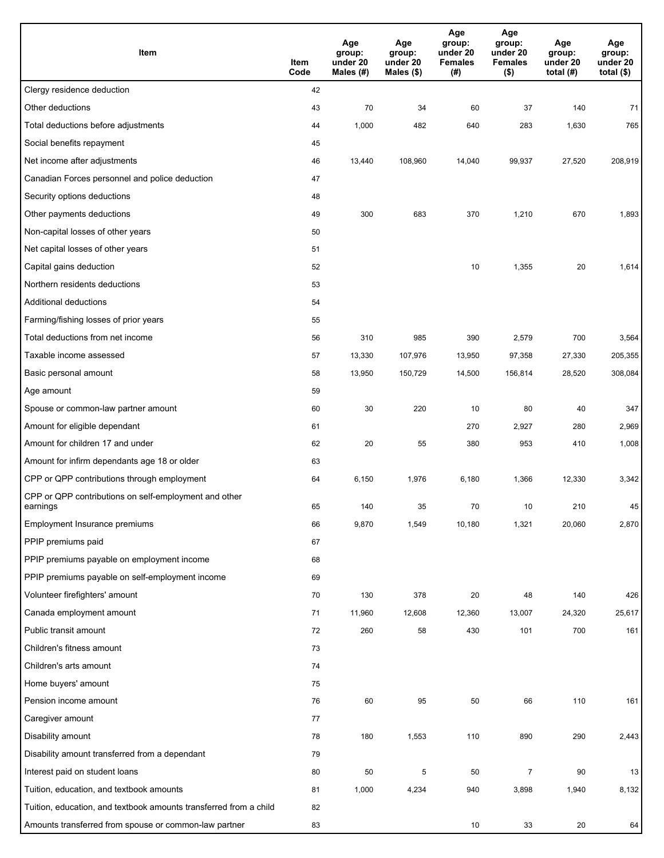| Item                                                              | Item<br>Code | Age<br>group:<br>under 20<br>Males (#) | Age<br>group:<br>under 20<br>Males (\$) | Age<br>group:<br>under 20<br><b>Females</b><br>(#) | Age<br>group:<br>under 20<br><b>Females</b><br>$($ \$) | Age<br>group:<br>under 20<br>total $(H)$ | Age<br>group:<br>under 20<br>total $($)$ |
|-------------------------------------------------------------------|--------------|----------------------------------------|-----------------------------------------|----------------------------------------------------|--------------------------------------------------------|------------------------------------------|------------------------------------------|
| Clergy residence deduction                                        | 42           |                                        |                                         |                                                    |                                                        |                                          |                                          |
| Other deductions                                                  | 43           | 70                                     | 34                                      | 60                                                 | 37                                                     | 140                                      | 71                                       |
| Total deductions before adjustments                               | 44           | 1,000                                  | 482                                     | 640                                                | 283                                                    | 1,630                                    | 765                                      |
| Social benefits repayment                                         | 45           |                                        |                                         |                                                    |                                                        |                                          |                                          |
| Net income after adjustments                                      | 46           | 13,440                                 | 108,960                                 | 14,040                                             | 99,937                                                 | 27,520                                   | 208,919                                  |
| Canadian Forces personnel and police deduction                    | 47           |                                        |                                         |                                                    |                                                        |                                          |                                          |
| Security options deductions                                       | 48           |                                        |                                         |                                                    |                                                        |                                          |                                          |
| Other payments deductions                                         | 49           | 300                                    | 683                                     | 370                                                | 1,210                                                  | 670                                      | 1,893                                    |
| Non-capital losses of other years                                 | 50           |                                        |                                         |                                                    |                                                        |                                          |                                          |
| Net capital losses of other years                                 | 51           |                                        |                                         |                                                    |                                                        |                                          |                                          |
| Capital gains deduction                                           | 52           |                                        |                                         | 10                                                 | 1,355                                                  | 20                                       | 1,614                                    |
| Northern residents deductions                                     | 53           |                                        |                                         |                                                    |                                                        |                                          |                                          |
| Additional deductions                                             | 54           |                                        |                                         |                                                    |                                                        |                                          |                                          |
| Farming/fishing losses of prior years                             | 55           |                                        |                                         |                                                    |                                                        |                                          |                                          |
| Total deductions from net income                                  | 56           | 310                                    | 985                                     | 390                                                | 2,579                                                  | 700                                      | 3,564                                    |
| Taxable income assessed                                           | 57           | 13,330                                 | 107,976                                 | 13,950                                             | 97,358                                                 | 27,330                                   | 205,355                                  |
| Basic personal amount                                             | 58           | 13,950                                 | 150,729                                 | 14,500                                             | 156,814                                                | 28,520                                   | 308,084                                  |
| Age amount                                                        | 59           |                                        |                                         |                                                    |                                                        |                                          |                                          |
| Spouse or common-law partner amount                               | 60           | 30                                     | 220                                     | 10                                                 | 80                                                     | 40                                       | 347                                      |
| Amount for eligible dependant                                     | 61           |                                        |                                         | 270                                                | 2,927                                                  | 280                                      | 2,969                                    |
| Amount for children 17 and under                                  | 62           | 20                                     | 55                                      | 380                                                | 953                                                    | 410                                      | 1,008                                    |
| Amount for infirm dependants age 18 or older                      | 63           |                                        |                                         |                                                    |                                                        |                                          |                                          |
| CPP or QPP contributions through employment                       | 64           | 6,150                                  | 1,976                                   | 6,180                                              | 1,366                                                  | 12,330                                   | 3,342                                    |
| CPP or QPP contributions on self-employment and other<br>earnings | 65           | 140                                    | 35                                      | 70                                                 | 10                                                     | 210                                      | 45                                       |
| Employment Insurance premiums                                     | 66           | 9,870                                  | 1,549                                   | 10,180                                             | 1,321                                                  | 20,060                                   | 2,870                                    |
| PPIP premiums paid                                                | 67           |                                        |                                         |                                                    |                                                        |                                          |                                          |
| PPIP premiums payable on employment income                        | 68           |                                        |                                         |                                                    |                                                        |                                          |                                          |
| PPIP premiums payable on self-employment income                   | 69           |                                        |                                         |                                                    |                                                        |                                          |                                          |
| Volunteer firefighters' amount                                    | 70           | 130                                    | 378                                     | 20                                                 | 48                                                     | 140                                      | 426                                      |
| Canada employment amount                                          | 71           | 11,960                                 | 12,608                                  | 12,360                                             | 13,007                                                 | 24,320                                   | 25,617                                   |
| Public transit amount                                             | 72           | 260                                    | 58                                      | 430                                                | 101                                                    | 700                                      | 161                                      |
| Children's fitness amount                                         | 73           |                                        |                                         |                                                    |                                                        |                                          |                                          |
| Children's arts amount                                            | 74           |                                        |                                         |                                                    |                                                        |                                          |                                          |
| Home buyers' amount                                               | 75           |                                        |                                         |                                                    |                                                        |                                          |                                          |
| Pension income amount                                             | 76           | 60                                     | 95                                      | 50                                                 | 66                                                     | 110                                      | 161                                      |
| Caregiver amount                                                  | 77           |                                        |                                         |                                                    |                                                        |                                          |                                          |
| Disability amount                                                 | 78           | 180                                    | 1,553                                   | 110                                                | 890                                                    | 290                                      | 2,443                                    |
| Disability amount transferred from a dependant                    | 79           |                                        |                                         |                                                    |                                                        |                                          |                                          |
| Interest paid on student loans                                    | 80           | 50                                     | 5                                       | 50                                                 | $\overline{7}$                                         | 90                                       | 13                                       |
| Tuition, education, and textbook amounts                          | 81           | 1,000                                  | 4,234                                   | 940                                                | 3,898                                                  | 1,940                                    | 8,132                                    |
| Tuition, education, and textbook amounts transferred from a child | 82           |                                        |                                         |                                                    |                                                        |                                          |                                          |
| Amounts transferred from spouse or common-law partner             | 83           |                                        |                                         | 10                                                 | 33                                                     | $20\,$                                   | 64                                       |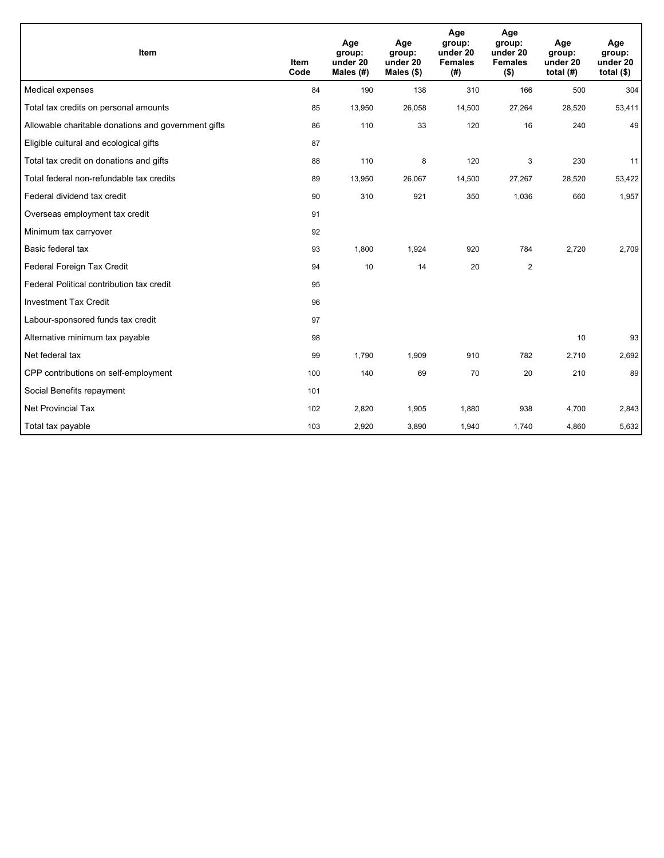| Item                                                | <b>Item</b><br>Code | Age<br>group:<br>under 20<br>Males $(H)$ | Age<br>group:<br>under 20<br>Males $(\$)$ | Age<br>group:<br>under 20<br><b>Females</b><br>(# ) | Age<br>group:<br>under 20<br><b>Females</b><br>$($ \$) | Age<br>group:<br>under 20<br>total $(H)$ | Age<br>group:<br>under 20<br>total $(§)$ |
|-----------------------------------------------------|---------------------|------------------------------------------|-------------------------------------------|-----------------------------------------------------|--------------------------------------------------------|------------------------------------------|------------------------------------------|
| Medical expenses                                    | 84                  | 190                                      | 138                                       | 310                                                 | 166                                                    | 500                                      | 304                                      |
| Total tax credits on personal amounts               | 85                  | 13,950                                   | 26,058                                    | 14,500                                              | 27,264                                                 | 28,520                                   | 53,411                                   |
| Allowable charitable donations and government gifts | 86                  | 110                                      | 33                                        | 120                                                 | 16                                                     | 240                                      | 49                                       |
| Eligible cultural and ecological gifts              | 87                  |                                          |                                           |                                                     |                                                        |                                          |                                          |
| Total tax credit on donations and gifts             | 88                  | 110                                      | 8                                         | 120                                                 | 3                                                      | 230                                      | 11                                       |
| Total federal non-refundable tax credits            | 89                  | 13,950                                   | 26,067                                    | 14,500                                              | 27,267                                                 | 28,520                                   | 53,422                                   |
| Federal dividend tax credit                         | 90                  | 310                                      | 921                                       | 350                                                 | 1,036                                                  | 660                                      | 1,957                                    |
| Overseas employment tax credit                      | 91                  |                                          |                                           |                                                     |                                                        |                                          |                                          |
| Minimum tax carryover                               | 92                  |                                          |                                           |                                                     |                                                        |                                          |                                          |
| Basic federal tax                                   | 93                  | 1,800                                    | 1,924                                     | 920                                                 | 784                                                    | 2,720                                    | 2,709                                    |
| Federal Foreign Tax Credit                          | 94                  | 10                                       | 14                                        | 20                                                  | $\overline{2}$                                         |                                          |                                          |
| Federal Political contribution tax credit           | 95                  |                                          |                                           |                                                     |                                                        |                                          |                                          |
| <b>Investment Tax Credit</b>                        | 96                  |                                          |                                           |                                                     |                                                        |                                          |                                          |
| Labour-sponsored funds tax credit                   | 97                  |                                          |                                           |                                                     |                                                        |                                          |                                          |
| Alternative minimum tax payable                     | 98                  |                                          |                                           |                                                     |                                                        | 10                                       | 93                                       |
| Net federal tax                                     | 99                  | 1,790                                    | 1.909                                     | 910                                                 | 782                                                    | 2,710                                    | 2,692                                    |
| CPP contributions on self-employment                | 100                 | 140                                      | 69                                        | 70                                                  | 20                                                     | 210                                      | 89                                       |
| Social Benefits repayment                           | 101                 |                                          |                                           |                                                     |                                                        |                                          |                                          |
| Net Provincial Tax                                  | 102                 | 2,820                                    | 1,905                                     | 1,880                                               | 938                                                    | 4,700                                    | 2,843                                    |
| Total tax payable                                   | 103                 | 2,920                                    | 3,890                                     | 1,940                                               | 1,740                                                  | 4,860                                    | 5,632                                    |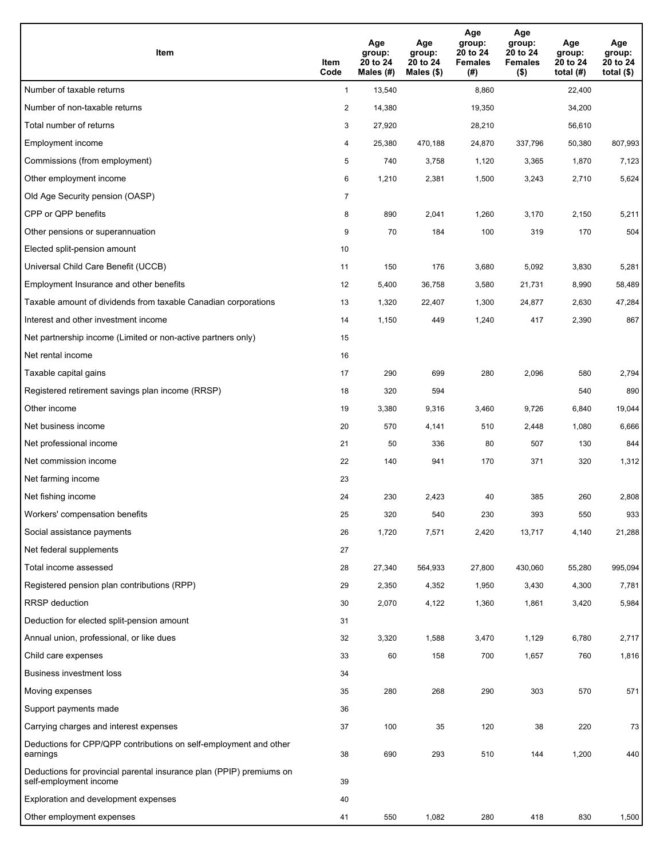| <b>Item</b>                                                                                    | Item<br>Code   | Age<br>group:<br>20 to 24<br>Males (#) | Age<br>group:<br>20 to 24<br>Males (\$) | Age<br>group:<br>20 to 24<br><b>Females</b><br>(#) | Age<br>group:<br>20 to 24<br><b>Females</b><br>$($ \$) | Age<br>group:<br>20 to 24<br>total $(H)$ | Age<br>group:<br>20 to 24<br>total $($)$ |
|------------------------------------------------------------------------------------------------|----------------|----------------------------------------|-----------------------------------------|----------------------------------------------------|--------------------------------------------------------|------------------------------------------|------------------------------------------|
| Number of taxable returns                                                                      | $\mathbf{1}$   | 13,540                                 |                                         | 8,860                                              |                                                        | 22,400                                   |                                          |
| Number of non-taxable returns                                                                  | 2              | 14,380                                 |                                         | 19,350                                             |                                                        | 34,200                                   |                                          |
| Total number of returns                                                                        | 3              | 27,920                                 |                                         | 28,210                                             |                                                        | 56,610                                   |                                          |
| Employment income                                                                              | 4              | 25,380                                 | 470,188                                 | 24,870                                             | 337,796                                                | 50,380                                   | 807,993                                  |
| Commissions (from employment)                                                                  | 5              | 740                                    | 3,758                                   | 1,120                                              | 3,365                                                  | 1,870                                    | 7,123                                    |
| Other employment income                                                                        | 6              | 1,210                                  | 2,381                                   | 1,500                                              | 3,243                                                  | 2,710                                    | 5,624                                    |
| Old Age Security pension (OASP)                                                                | $\overline{7}$ |                                        |                                         |                                                    |                                                        |                                          |                                          |
| CPP or QPP benefits                                                                            | 8              | 890                                    | 2,041                                   | 1,260                                              | 3,170                                                  | 2,150                                    | 5,211                                    |
| Other pensions or superannuation                                                               | 9              | 70                                     | 184                                     | 100                                                | 319                                                    | 170                                      | 504                                      |
| Elected split-pension amount                                                                   | 10             |                                        |                                         |                                                    |                                                        |                                          |                                          |
| Universal Child Care Benefit (UCCB)                                                            | 11             | 150                                    | 176                                     | 3,680                                              | 5,092                                                  | 3,830                                    | 5,281                                    |
| Employment Insurance and other benefits                                                        | 12             | 5,400                                  | 36,758                                  | 3,580                                              | 21,731                                                 | 8,990                                    | 58,489                                   |
| Taxable amount of dividends from taxable Canadian corporations                                 | 13             | 1,320                                  | 22,407                                  | 1,300                                              | 24,877                                                 | 2,630                                    | 47,284                                   |
| Interest and other investment income                                                           | 14             | 1,150                                  | 449                                     | 1,240                                              | 417                                                    | 2,390                                    | 867                                      |
| Net partnership income (Limited or non-active partners only)                                   | 15             |                                        |                                         |                                                    |                                                        |                                          |                                          |
| Net rental income                                                                              | 16             |                                        |                                         |                                                    |                                                        |                                          |                                          |
| Taxable capital gains                                                                          | 17             | 290                                    | 699                                     | 280                                                | 2,096                                                  | 580                                      | 2,794                                    |
| Registered retirement savings plan income (RRSP)                                               | 18             | 320                                    | 594                                     |                                                    |                                                        | 540                                      | 890                                      |
| Other income                                                                                   | 19             | 3,380                                  | 9,316                                   | 3,460                                              | 9,726                                                  | 6,840                                    | 19,044                                   |
| Net business income                                                                            | 20             | 570                                    | 4,141                                   | 510                                                | 2,448                                                  | 1,080                                    | 6,666                                    |
| Net professional income                                                                        | 21             | 50                                     | 336                                     | 80                                                 | 507                                                    | 130                                      | 844                                      |
| Net commission income                                                                          | 22             | 140                                    | 941                                     | 170                                                | 371                                                    | 320                                      | 1,312                                    |
| Net farming income                                                                             | 23             |                                        |                                         |                                                    |                                                        |                                          |                                          |
| Net fishing income                                                                             | 24             | 230                                    | 2,423                                   | 40                                                 | 385                                                    | 260                                      | 2,808                                    |
| Workers' compensation benefits                                                                 | 25             | 320                                    | 540                                     | 230                                                | 393                                                    | 550                                      | 933                                      |
| Social assistance payments                                                                     | 26             | 1,720                                  | 7,571                                   | 2,420                                              | 13,717                                                 | 4,140                                    | 21,288                                   |
| Net federal supplements                                                                        | 27             |                                        |                                         |                                                    |                                                        |                                          |                                          |
| Total income assessed                                                                          | 28             | 27,340                                 | 564,933                                 | 27,800                                             | 430,060                                                | 55,280                                   | 995,094                                  |
| Registered pension plan contributions (RPP)                                                    | 29             | 2,350                                  | 4,352                                   | 1,950                                              | 3,430                                                  | 4,300                                    | 7,781                                    |
| RRSP deduction                                                                                 | 30             | 2,070                                  | 4,122                                   | 1,360                                              | 1,861                                                  | 3,420                                    | 5,984                                    |
| Deduction for elected split-pension amount                                                     | 31             |                                        |                                         |                                                    |                                                        |                                          |                                          |
| Annual union, professional, or like dues                                                       | 32             | 3,320                                  | 1,588                                   | 3,470                                              | 1,129                                                  | 6,780                                    | 2,717                                    |
| Child care expenses                                                                            | 33             | 60                                     | 158                                     | 700                                                | 1,657                                                  | 760                                      | 1,816                                    |
| <b>Business investment loss</b>                                                                | 34             |                                        |                                         |                                                    |                                                        |                                          |                                          |
| Moving expenses                                                                                | 35             | 280                                    | 268                                     | 290                                                | 303                                                    | 570                                      | 571                                      |
| Support payments made                                                                          | 36             |                                        |                                         |                                                    |                                                        |                                          |                                          |
| Carrying charges and interest expenses                                                         | 37             | 100                                    | 35                                      | 120                                                | 38                                                     | 220                                      | 73                                       |
| Deductions for CPP/QPP contributions on self-employment and other<br>earnings                  | 38             | 690                                    | 293                                     | 510                                                | 144                                                    | 1,200                                    | 440                                      |
| Deductions for provincial parental insurance plan (PPIP) premiums on<br>self-employment income | 39             |                                        |                                         |                                                    |                                                        |                                          |                                          |
| Exploration and development expenses                                                           | 40             |                                        |                                         |                                                    |                                                        |                                          |                                          |
| Other employment expenses                                                                      | 41             | 550                                    | 1,082                                   | 280                                                | 418                                                    | 830                                      | 1,500                                    |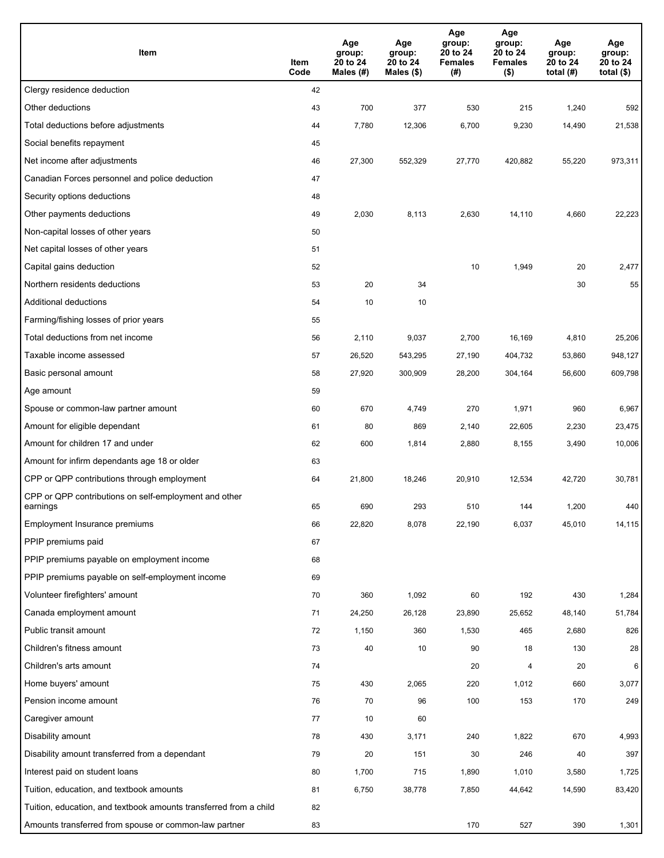| Item                                                              | Item<br>Code | Age<br>group:<br>20 to 24<br>Males (#) | Age<br>group:<br>20 to 24<br>Males (\$) | Age<br>group:<br>20 to 24<br><b>Females</b><br>(#) | Age<br>group:<br>20 to 24<br><b>Females</b><br>$($ \$) | Age<br>group:<br>20 to 24<br>total $(H)$ | Age<br>group:<br>20 to 24<br>total $($)$ |
|-------------------------------------------------------------------|--------------|----------------------------------------|-----------------------------------------|----------------------------------------------------|--------------------------------------------------------|------------------------------------------|------------------------------------------|
| Clergy residence deduction                                        | 42           |                                        |                                         |                                                    |                                                        |                                          |                                          |
| Other deductions                                                  | 43           | 700                                    | 377                                     | 530                                                | 215                                                    | 1,240                                    | 592                                      |
| Total deductions before adjustments                               | 44           | 7,780                                  | 12,306                                  | 6,700                                              | 9,230                                                  | 14,490                                   | 21,538                                   |
| Social benefits repayment                                         | 45           |                                        |                                         |                                                    |                                                        |                                          |                                          |
| Net income after adjustments                                      | 46           | 27,300                                 | 552,329                                 | 27,770                                             | 420,882                                                | 55,220                                   | 973,311                                  |
| Canadian Forces personnel and police deduction                    | 47           |                                        |                                         |                                                    |                                                        |                                          |                                          |
| Security options deductions                                       | 48           |                                        |                                         |                                                    |                                                        |                                          |                                          |
| Other payments deductions                                         | 49           | 2,030                                  | 8,113                                   | 2,630                                              | 14,110                                                 | 4,660                                    | 22,223                                   |
| Non-capital losses of other years                                 | 50           |                                        |                                         |                                                    |                                                        |                                          |                                          |
| Net capital losses of other years                                 | 51           |                                        |                                         |                                                    |                                                        |                                          |                                          |
| Capital gains deduction                                           | 52           |                                        |                                         | 10                                                 | 1,949                                                  | 20                                       | 2,477                                    |
| Northern residents deductions                                     | 53           | 20                                     | 34                                      |                                                    |                                                        | 30                                       | 55                                       |
| Additional deductions                                             | 54           | 10                                     | 10                                      |                                                    |                                                        |                                          |                                          |
| Farming/fishing losses of prior years                             | 55           |                                        |                                         |                                                    |                                                        |                                          |                                          |
| Total deductions from net income                                  | 56           | 2,110                                  | 9,037                                   | 2,700                                              | 16,169                                                 | 4,810                                    | 25,206                                   |
| Taxable income assessed                                           | 57           | 26,520                                 | 543,295                                 | 27,190                                             | 404,732                                                | 53,860                                   | 948,127                                  |
| Basic personal amount                                             | 58           | 27,920                                 | 300,909                                 | 28,200                                             | 304,164                                                | 56,600                                   | 609,798                                  |
| Age amount                                                        | 59           |                                        |                                         |                                                    |                                                        |                                          |                                          |
| Spouse or common-law partner amount                               | 60           | 670                                    | 4,749                                   | 270                                                | 1,971                                                  | 960                                      | 6,967                                    |
| Amount for eligible dependant                                     | 61           | 80                                     | 869                                     | 2,140                                              | 22,605                                                 | 2,230                                    | 23,475                                   |
| Amount for children 17 and under                                  | 62           | 600                                    | 1,814                                   | 2,880                                              | 8,155                                                  | 3,490                                    | 10,006                                   |
| Amount for infirm dependants age 18 or older                      | 63           |                                        |                                         |                                                    |                                                        |                                          |                                          |
| CPP or QPP contributions through employment                       | 64           | 21,800                                 | 18,246                                  | 20,910                                             | 12,534                                                 | 42,720                                   | 30,781                                   |
| CPP or QPP contributions on self-employment and other             |              |                                        |                                         |                                                    |                                                        |                                          |                                          |
| earnings                                                          | 65           | 690                                    | 293                                     | 510                                                | 144                                                    | 1,200                                    | 440                                      |
| Employment Insurance premiums                                     | 66           | 22,820                                 | 8,078                                   | 22,190                                             | 6,037                                                  | 45,010                                   | 14,115                                   |
| PPIP premiums paid                                                | 67           |                                        |                                         |                                                    |                                                        |                                          |                                          |
| PPIP premiums payable on employment income                        | 68           |                                        |                                         |                                                    |                                                        |                                          |                                          |
| PPIP premiums payable on self-employment income                   | 69           |                                        |                                         |                                                    |                                                        |                                          |                                          |
| Volunteer firefighters' amount                                    | 70           | 360                                    | 1,092                                   | 60                                                 | 192                                                    | 430                                      | 1,284                                    |
| Canada employment amount                                          | 71           | 24,250                                 | 26,128                                  | 23,890                                             | 25,652                                                 | 48,140                                   | 51,784                                   |
| Public transit amount                                             | 72           | 1,150                                  | 360                                     | 1,530                                              | 465                                                    | 2,680                                    | 826                                      |
| Children's fitness amount                                         | 73           | 40                                     | 10                                      | 90                                                 | 18                                                     | 130                                      | 28                                       |
| Children's arts amount                                            | 74           |                                        |                                         | 20                                                 | 4                                                      | 20                                       | 6                                        |
| Home buyers' amount                                               | 75           | 430                                    | 2,065                                   | 220                                                | 1,012                                                  | 660                                      | 3,077                                    |
| Pension income amount                                             | 76           | 70                                     | 96                                      | 100                                                | 153                                                    | 170                                      | 249                                      |
| Caregiver amount                                                  | 77           | 10                                     | 60                                      |                                                    |                                                        |                                          |                                          |
| Disability amount                                                 | 78           | 430                                    | 3,171                                   | 240                                                | 1,822                                                  | 670                                      | 4,993                                    |
| Disability amount transferred from a dependant                    | 79           | 20                                     | 151                                     | 30                                                 | 246                                                    | 40                                       | 397                                      |
| Interest paid on student loans                                    | 80           | 1,700                                  | 715                                     | 1,890                                              | 1,010                                                  | 3,580                                    | 1,725                                    |
| Tuition, education, and textbook amounts                          | 81           | 6,750                                  | 38,778                                  | 7,850                                              | 44,642                                                 | 14,590                                   | 83,420                                   |
| Tuition, education, and textbook amounts transferred from a child | 82           |                                        |                                         |                                                    |                                                        |                                          |                                          |
| Amounts transferred from spouse or common-law partner             | 83           |                                        |                                         | 170                                                | 527                                                    | 390                                      | 1,301                                    |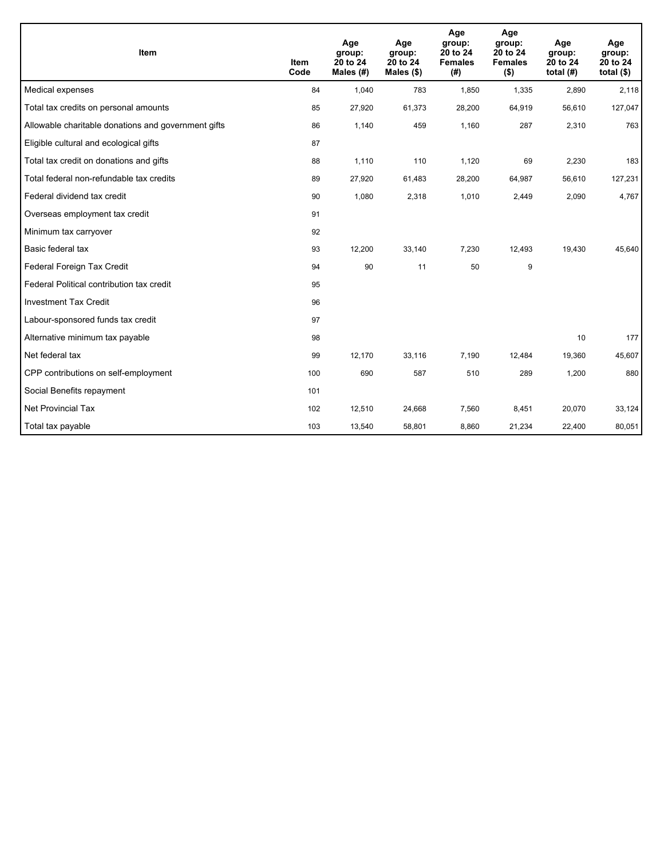| <b>Item</b>                                         | <b>Item</b><br>Code | Age<br>group:<br>20 to 24<br>Males (#) | Age<br>group:<br>20 to 24<br>Males $(\$)$ | Age<br>group:<br>20 to 24<br><b>Females</b><br>(#) | Age<br>group:<br>20 to 24<br><b>Females</b><br>$($ \$) | Age<br>group:<br>20 to 24<br>total $(H)$ | Age<br>group:<br>20 to 24<br>total $($)$ |
|-----------------------------------------------------|---------------------|----------------------------------------|-------------------------------------------|----------------------------------------------------|--------------------------------------------------------|------------------------------------------|------------------------------------------|
| Medical expenses                                    | 84                  | 1,040                                  | 783                                       | 1,850                                              | 1,335                                                  | 2,890                                    | 2,118                                    |
| Total tax credits on personal amounts               | 85                  | 27,920                                 | 61,373                                    | 28,200                                             | 64,919                                                 | 56,610                                   | 127,047                                  |
| Allowable charitable donations and government gifts | 86                  | 1,140                                  | 459                                       | 1.160                                              | 287                                                    | 2,310                                    | 763                                      |
| Eligible cultural and ecological gifts              | 87                  |                                        |                                           |                                                    |                                                        |                                          |                                          |
| Total tax credit on donations and gifts             | 88                  | 1,110                                  | 110                                       | 1,120                                              | 69                                                     | 2,230                                    | 183                                      |
| Total federal non-refundable tax credits            | 89                  | 27,920                                 | 61,483                                    | 28,200                                             | 64,987                                                 | 56,610                                   | 127,231                                  |
| Federal dividend tax credit                         | 90                  | 1,080                                  | 2,318                                     | 1,010                                              | 2,449                                                  | 2,090                                    | 4,767                                    |
| Overseas employment tax credit                      | 91                  |                                        |                                           |                                                    |                                                        |                                          |                                          |
| Minimum tax carryover                               | 92                  |                                        |                                           |                                                    |                                                        |                                          |                                          |
| Basic federal tax                                   | 93                  | 12,200                                 | 33,140                                    | 7,230                                              | 12,493                                                 | 19,430                                   | 45,640                                   |
| Federal Foreign Tax Credit                          | 94                  | 90                                     | 11                                        | 50                                                 | 9                                                      |                                          |                                          |
| Federal Political contribution tax credit           | 95                  |                                        |                                           |                                                    |                                                        |                                          |                                          |
| <b>Investment Tax Credit</b>                        | 96                  |                                        |                                           |                                                    |                                                        |                                          |                                          |
| Labour-sponsored funds tax credit                   | 97                  |                                        |                                           |                                                    |                                                        |                                          |                                          |
| Alternative minimum tax payable                     | 98                  |                                        |                                           |                                                    |                                                        | 10                                       | 177                                      |
| Net federal tax                                     | 99                  | 12,170                                 | 33,116                                    | 7,190                                              | 12,484                                                 | 19,360                                   | 45,607                                   |
| CPP contributions on self-employment                | 100                 | 690                                    | 587                                       | 510                                                | 289                                                    | 1,200                                    | 880                                      |
| Social Benefits repayment                           | 101                 |                                        |                                           |                                                    |                                                        |                                          |                                          |
| Net Provincial Tax                                  | 102                 | 12,510                                 | 24,668                                    | 7,560                                              | 8,451                                                  | 20,070                                   | 33,124                                   |
| Total tax payable                                   | 103                 | 13,540                                 | 58,801                                    | 8,860                                              | 21,234                                                 | 22,400                                   | 80,051                                   |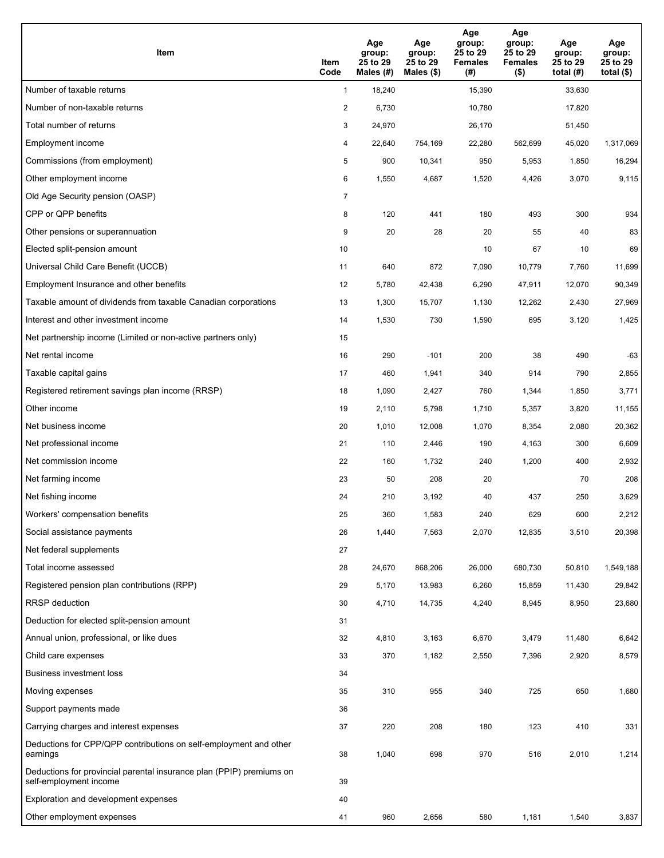| Item                                                                                           | Item<br>Code   | Age<br>group:<br>25 to 29<br>Males (#) | Age<br>group:<br>25 to 29<br>Males (\$) | Age<br>group:<br>25 to 29<br><b>Females</b><br>(# ) | Age<br>group:<br>25 to 29<br><b>Females</b><br>$($ \$) | Age<br>group:<br>25 to 29<br>total $(H)$ | Age<br>group:<br>25 to 29<br>total $($)$ |
|------------------------------------------------------------------------------------------------|----------------|----------------------------------------|-----------------------------------------|-----------------------------------------------------|--------------------------------------------------------|------------------------------------------|------------------------------------------|
| Number of taxable returns                                                                      | $\mathbf{1}$   | 18,240                                 |                                         | 15,390                                              |                                                        | 33,630                                   |                                          |
| Number of non-taxable returns                                                                  | 2              | 6,730                                  |                                         | 10,780                                              |                                                        | 17,820                                   |                                          |
| Total number of returns                                                                        | 3              | 24,970                                 |                                         | 26,170                                              |                                                        | 51,450                                   |                                          |
| Employment income                                                                              | 4              | 22,640                                 | 754,169                                 | 22,280                                              | 562,699                                                | 45,020                                   | 1,317,069                                |
| Commissions (from employment)                                                                  | 5              | 900                                    | 10,341                                  | 950                                                 | 5,953                                                  | 1,850                                    | 16,294                                   |
| Other employment income                                                                        | 6              | 1,550                                  | 4,687                                   | 1,520                                               | 4,426                                                  | 3,070                                    | 9,115                                    |
| Old Age Security pension (OASP)                                                                | $\overline{7}$ |                                        |                                         |                                                     |                                                        |                                          |                                          |
| CPP or QPP benefits                                                                            | 8              | 120                                    | 441                                     | 180                                                 | 493                                                    | 300                                      | 934                                      |
| Other pensions or superannuation                                                               | 9              | 20                                     | 28                                      | 20                                                  | 55                                                     | 40                                       | 83                                       |
| Elected split-pension amount                                                                   | 10             |                                        |                                         | 10                                                  | 67                                                     | 10                                       | 69                                       |
| Universal Child Care Benefit (UCCB)                                                            | 11             | 640                                    | 872                                     | 7,090                                               | 10,779                                                 | 7,760                                    | 11,699                                   |
| Employment Insurance and other benefits                                                        | 12             | 5,780                                  | 42,438                                  | 6,290                                               | 47,911                                                 | 12,070                                   | 90,349                                   |
| Taxable amount of dividends from taxable Canadian corporations                                 | 13             | 1,300                                  | 15,707                                  | 1,130                                               | 12,262                                                 | 2,430                                    | 27,969                                   |
| Interest and other investment income                                                           | 14             | 1,530                                  | 730                                     | 1,590                                               | 695                                                    | 3,120                                    | 1,425                                    |
| Net partnership income (Limited or non-active partners only)                                   | 15             |                                        |                                         |                                                     |                                                        |                                          |                                          |
| Net rental income                                                                              | 16             | 290                                    | $-101$                                  | 200                                                 | 38                                                     | 490                                      | $-63$                                    |
| Taxable capital gains                                                                          | 17             | 460                                    | 1,941                                   | 340                                                 | 914                                                    | 790                                      | 2,855                                    |
| Registered retirement savings plan income (RRSP)                                               | 18             | 1,090                                  | 2,427                                   | 760                                                 | 1,344                                                  | 1,850                                    | 3,771                                    |
| Other income                                                                                   | 19             | 2,110                                  | 5,798                                   | 1,710                                               | 5,357                                                  | 3,820                                    | 11,155                                   |
| Net business income                                                                            | 20             | 1,010                                  | 12,008                                  | 1,070                                               | 8,354                                                  | 2,080                                    | 20,362                                   |
| Net professional income                                                                        | 21             | 110                                    | 2,446                                   | 190                                                 | 4,163                                                  | 300                                      | 6,609                                    |
| Net commission income                                                                          | 22             | 160                                    | 1,732                                   | 240                                                 | 1,200                                                  | 400                                      | 2,932                                    |
| Net farming income                                                                             | 23             | 50                                     | 208                                     | 20                                                  |                                                        | 70                                       | 208                                      |
| Net fishing income                                                                             | 24             | 210                                    | 3,192                                   | 40                                                  | 437                                                    | 250                                      | 3,629                                    |
| Workers' compensation benefits                                                                 | 25             | 360                                    | 1,583                                   | 240                                                 | 629                                                    | 600                                      | 2,212                                    |
| Social assistance payments                                                                     | 26             | 1,440                                  | 7,563                                   | 2,070                                               | 12,835                                                 | 3,510                                    | 20,398                                   |
| Net federal supplements                                                                        | 27             |                                        |                                         |                                                     |                                                        |                                          |                                          |
| Total income assessed                                                                          | 28             | 24,670                                 | 868,206                                 | 26,000                                              | 680,730                                                | 50,810                                   | 1,549,188                                |
| Registered pension plan contributions (RPP)                                                    | 29             | 5,170                                  | 13,983                                  | 6,260                                               | 15,859                                                 | 11,430                                   | 29,842                                   |
| RRSP deduction                                                                                 | 30             | 4,710                                  | 14,735                                  | 4,240                                               | 8,945                                                  | 8,950                                    | 23,680                                   |
| Deduction for elected split-pension amount                                                     | 31             |                                        |                                         |                                                     |                                                        |                                          |                                          |
| Annual union, professional, or like dues                                                       | 32             | 4,810                                  | 3,163                                   | 6,670                                               | 3,479                                                  | 11,480                                   | 6,642                                    |
| Child care expenses                                                                            | 33             | 370                                    | 1,182                                   | 2,550                                               | 7,396                                                  | 2,920                                    | 8,579                                    |
| Business investment loss                                                                       | 34             |                                        |                                         |                                                     |                                                        |                                          |                                          |
| Moving expenses                                                                                | 35             | 310                                    | 955                                     | 340                                                 | 725                                                    | 650                                      | 1,680                                    |
| Support payments made                                                                          | 36             |                                        |                                         |                                                     |                                                        |                                          |                                          |
| Carrying charges and interest expenses                                                         | 37             | 220                                    | 208                                     | 180                                                 | 123                                                    | 410                                      | 331                                      |
| Deductions for CPP/QPP contributions on self-employment and other<br>earnings                  | 38             | 1,040                                  | 698                                     | 970                                                 | 516                                                    | 2,010                                    | 1,214                                    |
| Deductions for provincial parental insurance plan (PPIP) premiums on<br>self-employment income | 39             |                                        |                                         |                                                     |                                                        |                                          |                                          |
| Exploration and development expenses                                                           | 40             |                                        |                                         |                                                     |                                                        |                                          |                                          |
| Other employment expenses                                                                      | 41             | 960                                    | 2,656                                   | 580                                                 | 1,181                                                  | 1,540                                    | 3,837                                    |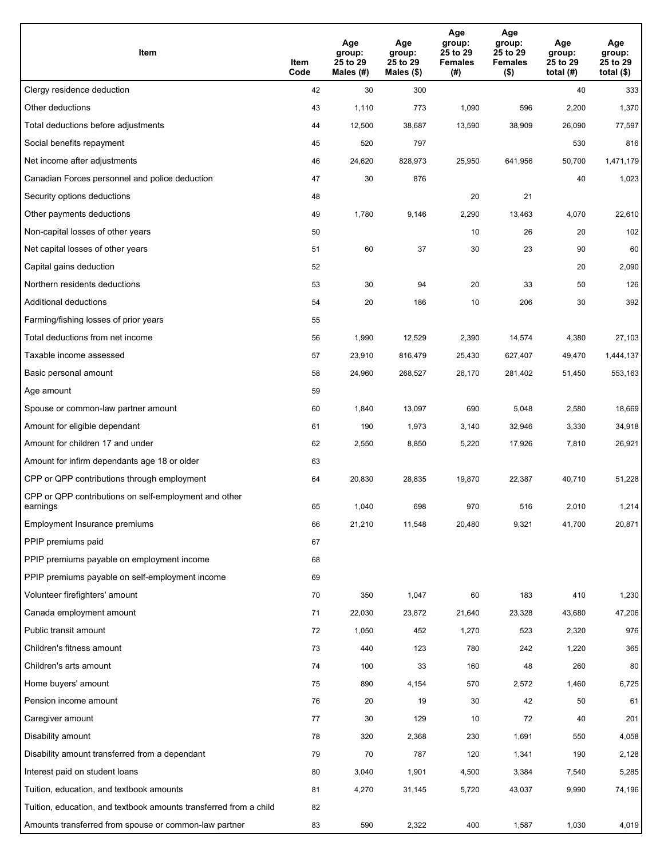| Item                                                              | Item<br>Code | Age<br>group:<br>25 to 29<br>Males (#) | Age<br>group:<br>25 to 29<br>Males (\$) | Age<br>group:<br>25 to 29<br><b>Females</b><br>(# ) | Age<br>group:<br>25 to 29<br>Females<br>$($ \$) | Age<br>group:<br>25 to 29<br>total (#) | Age<br>group:<br>25 to 29<br>total $($)$ |
|-------------------------------------------------------------------|--------------|----------------------------------------|-----------------------------------------|-----------------------------------------------------|-------------------------------------------------|----------------------------------------|------------------------------------------|
| Clergy residence deduction                                        | 42           | 30                                     | 300                                     |                                                     |                                                 | 40                                     | 333                                      |
| Other deductions                                                  | 43           | 1,110                                  | 773                                     | 1,090                                               | 596                                             | 2,200                                  | 1,370                                    |
| Total deductions before adjustments                               | 44           | 12,500                                 | 38,687                                  | 13,590                                              | 38,909                                          | 26,090                                 | 77,597                                   |
| Social benefits repayment                                         | 45           | 520                                    | 797                                     |                                                     |                                                 | 530                                    | 816                                      |
| Net income after adjustments                                      | 46           | 24,620                                 | 828,973                                 | 25,950                                              | 641,956                                         | 50,700                                 | 1,471,179                                |
| Canadian Forces personnel and police deduction                    | 47           | 30                                     | 876                                     |                                                     |                                                 | 40                                     | 1,023                                    |
| Security options deductions                                       | 48           |                                        |                                         | 20                                                  | 21                                              |                                        |                                          |
| Other payments deductions                                         | 49           | 1,780                                  | 9,146                                   | 2,290                                               | 13,463                                          | 4,070                                  | 22,610                                   |
| Non-capital losses of other years                                 | 50           |                                        |                                         | 10                                                  | 26                                              | 20                                     | 102                                      |
| Net capital losses of other years                                 | 51           | 60                                     | 37                                      | 30                                                  | 23                                              | 90                                     | 60                                       |
| Capital gains deduction                                           | 52           |                                        |                                         |                                                     |                                                 | 20                                     | 2,090                                    |
| Northern residents deductions                                     | 53           | 30                                     | 94                                      | 20                                                  | 33                                              | 50                                     | 126                                      |
| Additional deductions                                             | 54           | 20                                     | 186                                     | 10                                                  | 206                                             | 30                                     | 392                                      |
| Farming/fishing losses of prior years                             | 55           |                                        |                                         |                                                     |                                                 |                                        |                                          |
| Total deductions from net income                                  | 56           | 1,990                                  | 12,529                                  | 2,390                                               | 14,574                                          | 4,380                                  | 27,103                                   |
| Taxable income assessed                                           | 57           | 23,910                                 | 816,479                                 | 25,430                                              | 627,407                                         | 49,470                                 | 1,444,137                                |
| Basic personal amount                                             | 58           | 24,960                                 | 268,527                                 | 26,170                                              | 281,402                                         | 51,450                                 | 553,163                                  |
| Age amount                                                        | 59           |                                        |                                         |                                                     |                                                 |                                        |                                          |
| Spouse or common-law partner amount                               | 60           | 1,840                                  | 13,097                                  | 690                                                 | 5,048                                           | 2,580                                  | 18,669                                   |
| Amount for eligible dependant                                     | 61           | 190                                    | 1,973                                   | 3,140                                               | 32,946                                          | 3,330                                  | 34,918                                   |
| Amount for children 17 and under                                  | 62           | 2,550                                  | 8,850                                   | 5,220                                               | 17,926                                          | 7,810                                  | 26,921                                   |
| Amount for infirm dependants age 18 or older                      | 63           |                                        |                                         |                                                     |                                                 |                                        |                                          |
| CPP or QPP contributions through employment                       | 64           | 20,830                                 | 28,835                                  | 19,870                                              | 22,387                                          | 40,710                                 | 51,228                                   |
| CPP or QPP contributions on self-employment and other<br>earnings | 65           | 1,040                                  | 698                                     | 970                                                 | 516                                             | 2,010                                  | 1,214                                    |
| Employment Insurance premiums                                     | 66           | 21,210                                 | 11,548                                  | 20,480                                              | 9,321                                           | 41,700                                 | 20,871                                   |
| PPIP premiums paid                                                | 67           |                                        |                                         |                                                     |                                                 |                                        |                                          |
| PPIP premiums payable on employment income                        | 68           |                                        |                                         |                                                     |                                                 |                                        |                                          |
| PPIP premiums payable on self-employment income                   | 69           |                                        |                                         |                                                     |                                                 |                                        |                                          |
| Volunteer firefighters' amount                                    | 70           | 350                                    | 1,047                                   | 60                                                  | 183                                             | 410                                    | 1,230                                    |
| Canada employment amount                                          | 71           | 22,030                                 | 23,872                                  | 21,640                                              | 23,328                                          | 43,680                                 | 47,206                                   |
| Public transit amount                                             | 72           | 1,050                                  | 452                                     | 1,270                                               | 523                                             | 2,320                                  | 976                                      |
| Children's fitness amount                                         | 73           | 440                                    | 123                                     | 780                                                 | 242                                             | 1,220                                  | 365                                      |
| Children's arts amount                                            | 74           | 100                                    | 33                                      | 160                                                 | 48                                              | 260                                    | 80                                       |
| Home buyers' amount                                               | 75           | 890                                    | 4,154                                   | 570                                                 | 2,572                                           | 1,460                                  | 6,725                                    |
| Pension income amount                                             | 76           | 20                                     | 19                                      | 30                                                  | 42                                              | 50                                     | 61                                       |
| Caregiver amount                                                  | 77           | 30                                     | 129                                     | 10                                                  | 72                                              | 40                                     | 201                                      |
| Disability amount                                                 | 78           | 320                                    | 2,368                                   | 230                                                 | 1,691                                           | 550                                    | 4,058                                    |
| Disability amount transferred from a dependant                    | 79           | 70                                     | 787                                     | 120                                                 | 1,341                                           | 190                                    | 2,128                                    |
| Interest paid on student loans                                    | 80           | 3,040                                  | 1,901                                   | 4,500                                               | 3,384                                           | 7,540                                  | 5,285                                    |
| Tuition, education, and textbook amounts                          | 81           | 4,270                                  | 31,145                                  | 5,720                                               | 43,037                                          | 9,990                                  | 74,196                                   |
| Tuition, education, and textbook amounts transferred from a child | 82           |                                        |                                         |                                                     |                                                 |                                        |                                          |
| Amounts transferred from spouse or common-law partner             | 83           | 590                                    | 2,322                                   | 400                                                 | 1,587                                           | 1,030                                  | 4,019                                    |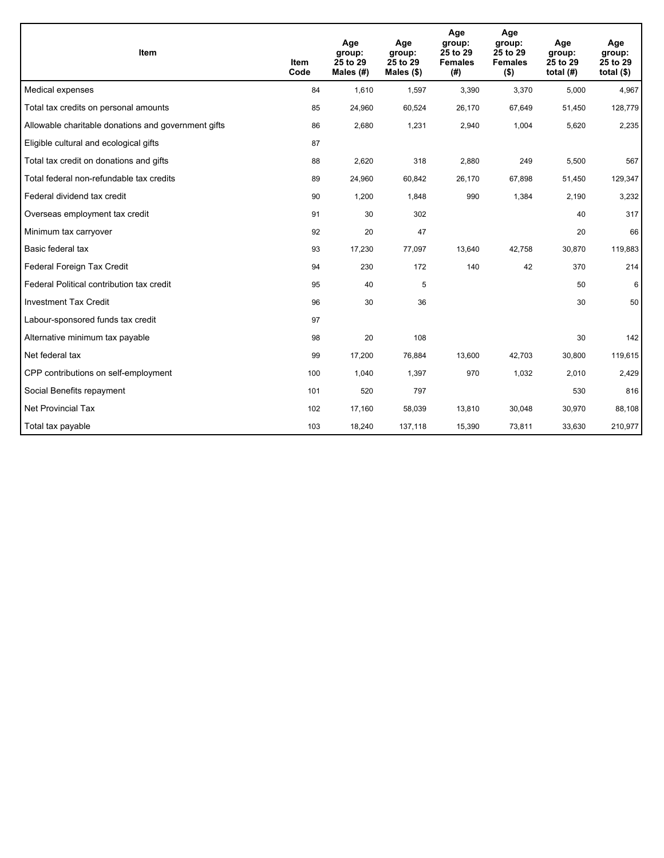| <b>Item</b>                                         | Item<br>Code | Age<br>group:<br>25 to 29<br>Males (#) | Age<br>group:<br>25 to 29<br>Males $(\$)$ | Age<br>group:<br>25 to 29<br><b>Females</b><br>(#) | Age<br>group:<br>25 to 29<br><b>Females</b><br>$($ \$) | Age<br>group:<br>25 to 29<br>total $(H)$ | Age<br>group:<br>25 to 29<br>total $($)$ |
|-----------------------------------------------------|--------------|----------------------------------------|-------------------------------------------|----------------------------------------------------|--------------------------------------------------------|------------------------------------------|------------------------------------------|
| Medical expenses                                    | 84           | 1.610                                  | 1,597                                     | 3,390                                              | 3,370                                                  | 5,000                                    | 4,967                                    |
| Total tax credits on personal amounts               | 85           | 24,960                                 | 60,524                                    | 26,170                                             | 67,649                                                 | 51,450                                   | 128,779                                  |
| Allowable charitable donations and government gifts | 86           | 2,680                                  | 1,231                                     | 2,940                                              | 1,004                                                  | 5,620                                    | 2,235                                    |
| Eligible cultural and ecological gifts              | 87           |                                        |                                           |                                                    |                                                        |                                          |                                          |
| Total tax credit on donations and gifts             | 88           | 2,620                                  | 318                                       | 2,880                                              | 249                                                    | 5,500                                    | 567                                      |
| Total federal non-refundable tax credits            | 89           | 24,960                                 | 60,842                                    | 26,170                                             | 67,898                                                 | 51,450                                   | 129,347                                  |
| Federal dividend tax credit                         | 90           | 1,200                                  | 1,848                                     | 990                                                | 1,384                                                  | 2,190                                    | 3,232                                    |
| Overseas employment tax credit                      | 91           | 30                                     | 302                                       |                                                    |                                                        | 40                                       | 317                                      |
| Minimum tax carryover                               | 92           | 20                                     | 47                                        |                                                    |                                                        | 20                                       | 66                                       |
| Basic federal tax                                   | 93           | 17,230                                 | 77,097                                    | 13,640                                             | 42,758                                                 | 30,870                                   | 119,883                                  |
| Federal Foreign Tax Credit                          | 94           | 230                                    | 172                                       | 140                                                | 42                                                     | 370                                      | 214                                      |
| Federal Political contribution tax credit           | 95           | 40                                     | 5                                         |                                                    |                                                        | 50                                       | 6                                        |
| <b>Investment Tax Credit</b>                        | 96           | 30                                     | 36                                        |                                                    |                                                        | 30                                       | 50                                       |
| Labour-sponsored funds tax credit                   | 97           |                                        |                                           |                                                    |                                                        |                                          |                                          |
| Alternative minimum tax payable                     | 98           | 20                                     | 108                                       |                                                    |                                                        | 30                                       | 142                                      |
| Net federal tax                                     | 99           | 17,200                                 | 76,884                                    | 13,600                                             | 42,703                                                 | 30,800                                   | 119,615                                  |
| CPP contributions on self-employment                | 100          | 1,040                                  | 1,397                                     | 970                                                | 1,032                                                  | 2,010                                    | 2,429                                    |
| Social Benefits repayment                           | 101          | 520                                    | 797                                       |                                                    |                                                        | 530                                      | 816                                      |
| <b>Net Provincial Tax</b>                           | 102          | 17,160                                 | 58,039                                    | 13,810                                             | 30,048                                                 | 30,970                                   | 88,108                                   |
| Total tax payable                                   | 103          | 18,240                                 | 137,118                                   | 15,390                                             | 73,811                                                 | 33,630                                   | 210,977                                  |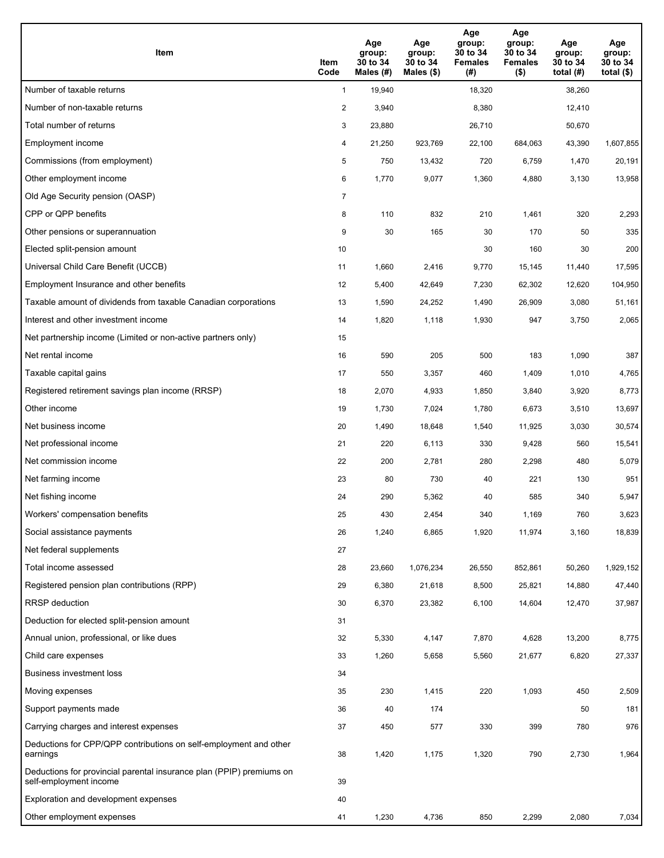| Item                                                                                           | Item<br>Code   | Age<br>group:<br>30 to 34<br>Males (#) | Age<br>group:<br>30 to 34<br>Males $(\$)$ | Age<br>group:<br>30 to 34<br><b>Females</b><br>(#) | Age<br>group:<br>30 to 34<br><b>Females</b><br>$($ \$) | Age<br>group:<br>30 to 34<br>total $(H)$ | Age<br>group:<br>30 to 34<br>total $($ |
|------------------------------------------------------------------------------------------------|----------------|----------------------------------------|-------------------------------------------|----------------------------------------------------|--------------------------------------------------------|------------------------------------------|----------------------------------------|
| Number of taxable returns                                                                      | $\mathbf{1}$   | 19,940                                 |                                           | 18,320                                             |                                                        | 38,260                                   |                                        |
| Number of non-taxable returns                                                                  | $\overline{a}$ | 3,940                                  |                                           | 8,380                                              |                                                        | 12,410                                   |                                        |
| Total number of returns                                                                        | 3              | 23,880                                 |                                           | 26,710                                             |                                                        | 50,670                                   |                                        |
| Employment income                                                                              | 4              | 21,250                                 | 923,769                                   | 22,100                                             | 684,063                                                | 43,390                                   | 1,607,855                              |
| Commissions (from employment)                                                                  | 5              | 750                                    | 13,432                                    | 720                                                | 6,759                                                  | 1,470                                    | 20,191                                 |
| Other employment income                                                                        | 6              | 1,770                                  | 9,077                                     | 1,360                                              | 4,880                                                  | 3,130                                    | 13,958                                 |
| Old Age Security pension (OASP)                                                                | 7              |                                        |                                           |                                                    |                                                        |                                          |                                        |
| CPP or QPP benefits                                                                            | 8              | 110                                    | 832                                       | 210                                                | 1,461                                                  | 320                                      | 2,293                                  |
| Other pensions or superannuation                                                               | 9              | 30                                     | 165                                       | 30                                                 | 170                                                    | 50                                       | 335                                    |
| Elected split-pension amount                                                                   | 10             |                                        |                                           | 30                                                 | 160                                                    | 30                                       | 200                                    |
| Universal Child Care Benefit (UCCB)                                                            | 11             | 1,660                                  | 2,416                                     | 9,770                                              | 15,145                                                 | 11,440                                   | 17,595                                 |
| Employment Insurance and other benefits                                                        | 12             | 5,400                                  | 42,649                                    | 7,230                                              | 62,302                                                 | 12,620                                   | 104,950                                |
| Taxable amount of dividends from taxable Canadian corporations                                 | 13             | 1,590                                  | 24,252                                    | 1,490                                              | 26,909                                                 | 3,080                                    | 51,161                                 |
| Interest and other investment income                                                           | 14             | 1,820                                  | 1,118                                     | 1,930                                              | 947                                                    | 3,750                                    | 2,065                                  |
| Net partnership income (Limited or non-active partners only)                                   | 15             |                                        |                                           |                                                    |                                                        |                                          |                                        |
| Net rental income                                                                              | 16             | 590                                    | 205                                       | 500                                                | 183                                                    | 1,090                                    | 387                                    |
| Taxable capital gains                                                                          | 17             | 550                                    | 3,357                                     | 460                                                | 1,409                                                  | 1,010                                    | 4,765                                  |
| Registered retirement savings plan income (RRSP)                                               | 18             | 2,070                                  | 4,933                                     | 1,850                                              | 3,840                                                  | 3,920                                    | 8,773                                  |
| Other income                                                                                   | 19             | 1,730                                  | 7,024                                     | 1,780                                              | 6,673                                                  | 3,510                                    | 13,697                                 |
| Net business income                                                                            | 20             | 1,490                                  | 18,648                                    | 1,540                                              | 11,925                                                 | 3,030                                    | 30,574                                 |
| Net professional income                                                                        | 21             | 220                                    | 6,113                                     | 330                                                | 9,428                                                  | 560                                      | 15,541                                 |
| Net commission income                                                                          | 22             | 200                                    | 2,781                                     | 280                                                | 2,298                                                  | 480                                      | 5,079                                  |
| Net farming income                                                                             | 23             | 80                                     | 730                                       | 40                                                 | 221                                                    | 130                                      | 951                                    |
| Net fishing income                                                                             | 24             | 290                                    | 5,362                                     | 40                                                 | 585                                                    | 340                                      | 5,947                                  |
| Workers' compensation benefits                                                                 | 25             | 430                                    | 2,454                                     | 340                                                | 1,169                                                  | 760                                      | 3,623                                  |
| Social assistance payments                                                                     | 26             | 1,240                                  | 6,865                                     | 1,920                                              | 11,974                                                 | 3,160                                    | 18,839                                 |
| Net federal supplements                                                                        | 27             |                                        |                                           |                                                    |                                                        |                                          |                                        |
| Total income assessed                                                                          | 28             | 23,660                                 | 1,076,234                                 | 26,550                                             | 852,861                                                | 50,260                                   | 1,929,152                              |
| Registered pension plan contributions (RPP)                                                    | 29             | 6,380                                  | 21,618                                    | 8,500                                              | 25,821                                                 | 14,880                                   | 47,440                                 |
| <b>RRSP</b> deduction                                                                          | 30             | 6,370                                  | 23,382                                    | 6,100                                              | 14,604                                                 | 12,470                                   | 37,987                                 |
| Deduction for elected split-pension amount                                                     | 31             |                                        |                                           |                                                    |                                                        |                                          |                                        |
| Annual union, professional, or like dues                                                       | 32             | 5,330                                  | 4,147                                     | 7,870                                              | 4,628                                                  | 13,200                                   | 8,775                                  |
| Child care expenses                                                                            | 33             | 1,260                                  | 5,658                                     | 5,560                                              | 21,677                                                 | 6,820                                    | 27,337                                 |
| Business investment loss                                                                       | 34             |                                        |                                           |                                                    |                                                        |                                          |                                        |
| Moving expenses                                                                                | 35             | 230                                    | 1,415                                     | 220                                                | 1,093                                                  | 450                                      | 2,509                                  |
| Support payments made                                                                          | 36             | 40                                     | 174                                       |                                                    |                                                        | 50                                       | 181                                    |
| Carrying charges and interest expenses                                                         | 37             | 450                                    | 577                                       | 330                                                | 399                                                    | 780                                      | 976                                    |
| Deductions for CPP/QPP contributions on self-employment and other<br>earnings                  | 38             | 1,420                                  | 1,175                                     | 1,320                                              | 790                                                    | 2,730                                    | 1,964                                  |
| Deductions for provincial parental insurance plan (PPIP) premiums on<br>self-employment income | 39             |                                        |                                           |                                                    |                                                        |                                          |                                        |
| Exploration and development expenses                                                           | 40             |                                        |                                           |                                                    |                                                        |                                          |                                        |
| Other employment expenses                                                                      | 41             | 1,230                                  | 4,736                                     | 850                                                | 2,299                                                  | 2,080                                    | 7,034                                  |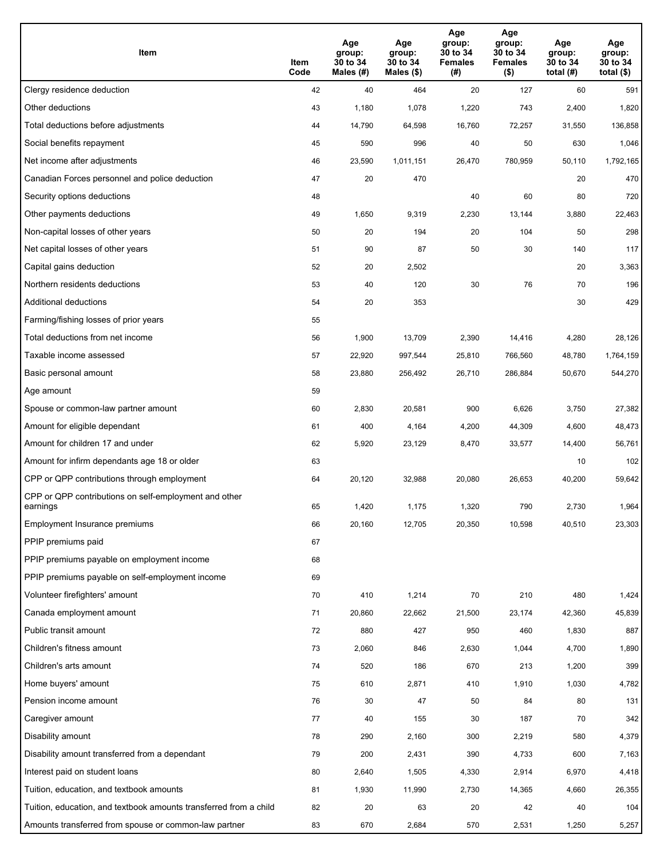| Item                                                              | Item<br>Code | Age<br>group:<br>30 to 34<br>Males (#) | Age<br>group:<br>30 to 34<br>Males (\$) | Age<br>group:<br>30 to 34<br><b>Females</b><br>(# ) | Age<br>group:<br>30 to 34<br><b>Females</b><br>$($ \$) | Age<br>group:<br>30 to 34<br>total $(H)$ | Age<br>group:<br>30 to 34<br>total $($)$ |
|-------------------------------------------------------------------|--------------|----------------------------------------|-----------------------------------------|-----------------------------------------------------|--------------------------------------------------------|------------------------------------------|------------------------------------------|
| Clergy residence deduction                                        | 42           | 40                                     | 464                                     | 20                                                  | 127                                                    | 60                                       | 591                                      |
| Other deductions                                                  | 43           | 1,180                                  | 1,078                                   | 1,220                                               | 743                                                    | 2,400                                    | 1,820                                    |
| Total deductions before adjustments                               | 44           | 14,790                                 | 64,598                                  | 16,760                                              | 72,257                                                 | 31,550                                   | 136,858                                  |
| Social benefits repayment                                         | 45           | 590                                    | 996                                     | 40                                                  | 50                                                     | 630                                      | 1,046                                    |
| Net income after adjustments                                      | 46           | 23,590                                 | 1,011,151                               | 26,470                                              | 780,959                                                | 50,110                                   | 1,792,165                                |
| Canadian Forces personnel and police deduction                    | 47           | 20                                     | 470                                     |                                                     |                                                        | 20                                       | 470                                      |
| Security options deductions                                       | 48           |                                        |                                         | 40                                                  | 60                                                     | 80                                       | 720                                      |
| Other payments deductions                                         | 49           | 1,650                                  | 9,319                                   | 2,230                                               | 13,144                                                 | 3,880                                    | 22,463                                   |
| Non-capital losses of other years                                 | 50           | 20                                     | 194                                     | 20                                                  | 104                                                    | 50                                       | 298                                      |
| Net capital losses of other years                                 | 51           | 90                                     | 87                                      | 50                                                  | 30                                                     | 140                                      | 117                                      |
| Capital gains deduction                                           | 52           | 20                                     | 2,502                                   |                                                     |                                                        | 20                                       | 3,363                                    |
| Northern residents deductions                                     | 53           | 40                                     | 120                                     | 30                                                  | 76                                                     | 70                                       | 196                                      |
| Additional deductions                                             | 54           | 20                                     | 353                                     |                                                     |                                                        | 30                                       | 429                                      |
| Farming/fishing losses of prior years                             | 55           |                                        |                                         |                                                     |                                                        |                                          |                                          |
| Total deductions from net income                                  | 56           | 1,900                                  | 13,709                                  | 2,390                                               | 14,416                                                 | 4,280                                    | 28,126                                   |
| Taxable income assessed                                           | 57           | 22,920                                 | 997,544                                 | 25,810                                              | 766,560                                                | 48,780                                   | 1,764,159                                |
| Basic personal amount                                             | 58           | 23,880                                 | 256,492                                 | 26,710                                              | 286,884                                                | 50,670                                   | 544,270                                  |
| Age amount                                                        | 59           |                                        |                                         |                                                     |                                                        |                                          |                                          |
| Spouse or common-law partner amount                               | 60           | 2,830                                  | 20,581                                  | 900                                                 | 6,626                                                  | 3,750                                    | 27,382                                   |
| Amount for eligible dependant                                     | 61           | 400                                    | 4,164                                   | 4,200                                               | 44,309                                                 | 4,600                                    | 48,473                                   |
| Amount for children 17 and under                                  | 62           | 5,920                                  | 23,129                                  | 8,470                                               | 33,577                                                 | 14,400                                   | 56,761                                   |
| Amount for infirm dependants age 18 or older                      | 63           |                                        |                                         |                                                     |                                                        | 10                                       | 102                                      |
| CPP or QPP contributions through employment                       | 64           | 20,120                                 | 32,988                                  | 20,080                                              | 26,653                                                 | 40,200                                   | 59,642                                   |
| CPP or QPP contributions on self-employment and other<br>earnings | 65           | 1,420                                  | 1,175                                   | 1,320                                               | 790                                                    | 2,730                                    | 1,964                                    |
| Employment Insurance premiums                                     | 66           | 20,160                                 | 12,705                                  | 20,350                                              | 10,598                                                 | 40,510                                   | 23,303                                   |
| PPIP premiums paid                                                | 67           |                                        |                                         |                                                     |                                                        |                                          |                                          |
| PPIP premiums payable on employment income                        | 68           |                                        |                                         |                                                     |                                                        |                                          |                                          |
| PPIP premiums payable on self-employment income                   | 69           |                                        |                                         |                                                     |                                                        |                                          |                                          |
| Volunteer firefighters' amount                                    | 70           | 410                                    | 1,214                                   | 70                                                  | 210                                                    | 480                                      | 1,424                                    |
| Canada employment amount                                          | 71           | 20,860                                 | 22,662                                  | 21,500                                              | 23,174                                                 | 42,360                                   | 45,839                                   |
| Public transit amount                                             | 72           | 880                                    | 427                                     | 950                                                 | 460                                                    | 1,830                                    | 887                                      |
| Children's fitness amount                                         | 73           | 2,060                                  | 846                                     | 2,630                                               | 1,044                                                  | 4,700                                    | 1,890                                    |
| Children's arts amount                                            | 74           | 520                                    | 186                                     | 670                                                 | 213                                                    | 1,200                                    | 399                                      |
| Home buyers' amount                                               | 75           | 610                                    | 2,871                                   | 410                                                 | 1,910                                                  | 1,030                                    | 4,782                                    |
| Pension income amount                                             | 76           | 30                                     | 47                                      | 50                                                  | 84                                                     | 80                                       | 131                                      |
| Caregiver amount                                                  | 77           | 40                                     | 155                                     | 30                                                  | 187                                                    | 70                                       | 342                                      |
| Disability amount                                                 | 78           | 290                                    | 2,160                                   | 300                                                 | 2,219                                                  | 580                                      | 4,379                                    |
| Disability amount transferred from a dependant                    | 79           | 200                                    | 2,431                                   | 390                                                 | 4,733                                                  | 600                                      | 7,163                                    |
| Interest paid on student loans                                    | 80           | 2,640                                  | 1,505                                   | 4,330                                               | 2,914                                                  | 6,970                                    | 4,418                                    |
| Tuition, education, and textbook amounts                          | 81           | 1,930                                  | 11,990                                  | 2,730                                               | 14,365                                                 | 4,660                                    | 26,355                                   |
| Tuition, education, and textbook amounts transferred from a child | 82           | 20                                     | 63                                      | 20                                                  | 42                                                     | 40                                       | 104                                      |
| Amounts transferred from spouse or common-law partner             | 83           | 670                                    | 2,684                                   | 570                                                 | 2,531                                                  | 1,250                                    | 5,257                                    |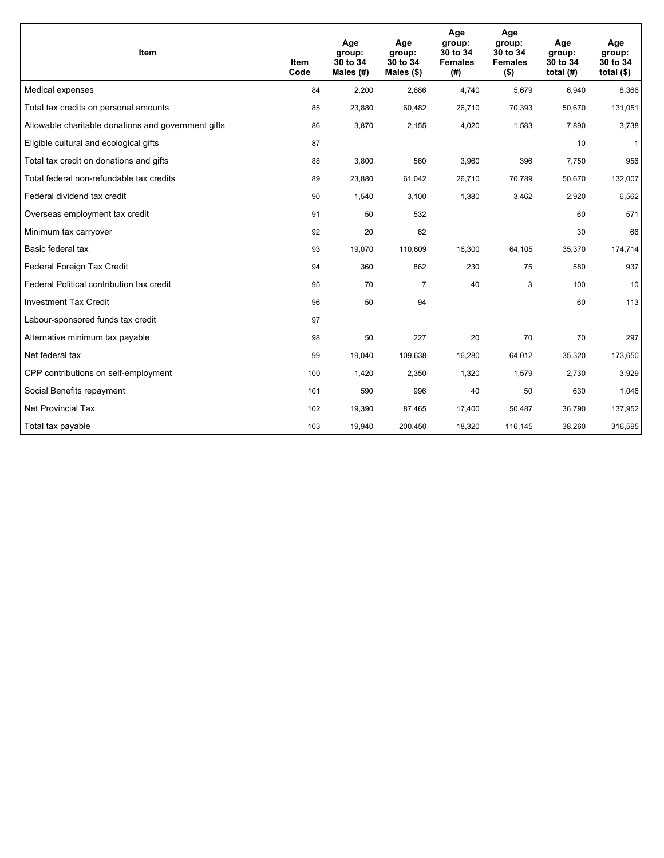| <b>Item</b>                                         | Item<br>Code | Age<br>group:<br>30 to 34<br>Males $(H)$ | Age<br>group:<br>30 to 34<br>Males $(\$)$ | Age<br>group:<br>30 to 34<br><b>Females</b><br>(#) | Age<br>group:<br>30 to 34<br><b>Females</b><br>$($ \$) | Age<br>group:<br>30 to 34<br>total $(H)$ | Age<br>group:<br>30 to 34<br>total $($)$ |
|-----------------------------------------------------|--------------|------------------------------------------|-------------------------------------------|----------------------------------------------------|--------------------------------------------------------|------------------------------------------|------------------------------------------|
| Medical expenses                                    | 84           | 2,200                                    | 2,686                                     | 4,740                                              | 5,679                                                  | 6.940                                    | 8,366                                    |
| Total tax credits on personal amounts               | 85           | 23,880                                   | 60,482                                    | 26,710                                             | 70,393                                                 | 50,670                                   | 131,051                                  |
| Allowable charitable donations and government gifts | 86           | 3,870                                    | 2,155                                     | 4,020                                              | 1,583                                                  | 7,890                                    | 3,738                                    |
| Eligible cultural and ecological gifts              | 87           |                                          |                                           |                                                    |                                                        | 10                                       | $\mathbf{1}$                             |
| Total tax credit on donations and gifts             | 88           | 3,800                                    | 560                                       | 3,960                                              | 396                                                    | 7,750                                    | 956                                      |
| Total federal non-refundable tax credits            | 89           | 23,880                                   | 61,042                                    | 26,710                                             | 70,789                                                 | 50,670                                   | 132,007                                  |
| Federal dividend tax credit                         | 90           | 1,540                                    | 3,100                                     | 1,380                                              | 3,462                                                  | 2,920                                    | 6,562                                    |
| Overseas employment tax credit                      | 91           | 50                                       | 532                                       |                                                    |                                                        | 60                                       | 571                                      |
| Minimum tax carryover                               | 92           | 20                                       | 62                                        |                                                    |                                                        | 30                                       | 66                                       |
| Basic federal tax                                   | 93           | 19,070                                   | 110,609                                   | 16,300                                             | 64,105                                                 | 35,370                                   | 174,714                                  |
| Federal Foreign Tax Credit                          | 94           | 360                                      | 862                                       | 230                                                | 75                                                     | 580                                      | 937                                      |
| Federal Political contribution tax credit           | 95           | 70                                       | $\overline{7}$                            | 40                                                 | 3                                                      | 100                                      | 10                                       |
| <b>Investment Tax Credit</b>                        | 96           | 50                                       | 94                                        |                                                    |                                                        | 60                                       | 113                                      |
| Labour-sponsored funds tax credit                   | 97           |                                          |                                           |                                                    |                                                        |                                          |                                          |
| Alternative minimum tax payable                     | 98           | 50                                       | 227                                       | 20                                                 | 70                                                     | 70                                       | 297                                      |
| Net federal tax                                     | 99           | 19,040                                   | 109,638                                   | 16,280                                             | 64,012                                                 | 35,320                                   | 173,650                                  |
| CPP contributions on self-employment                | 100          | 1,420                                    | 2,350                                     | 1,320                                              | 1,579                                                  | 2,730                                    | 3,929                                    |
| Social Benefits repayment                           | 101          | 590                                      | 996                                       | 40                                                 | 50                                                     | 630                                      | 1,046                                    |
| <b>Net Provincial Tax</b>                           | 102          | 19,390                                   | 87,465                                    | 17,400                                             | 50,487                                                 | 36,790                                   | 137,952                                  |
| Total tax payable                                   | 103          | 19,940                                   | 200,450                                   | 18,320                                             | 116,145                                                | 38,260                                   | 316,595                                  |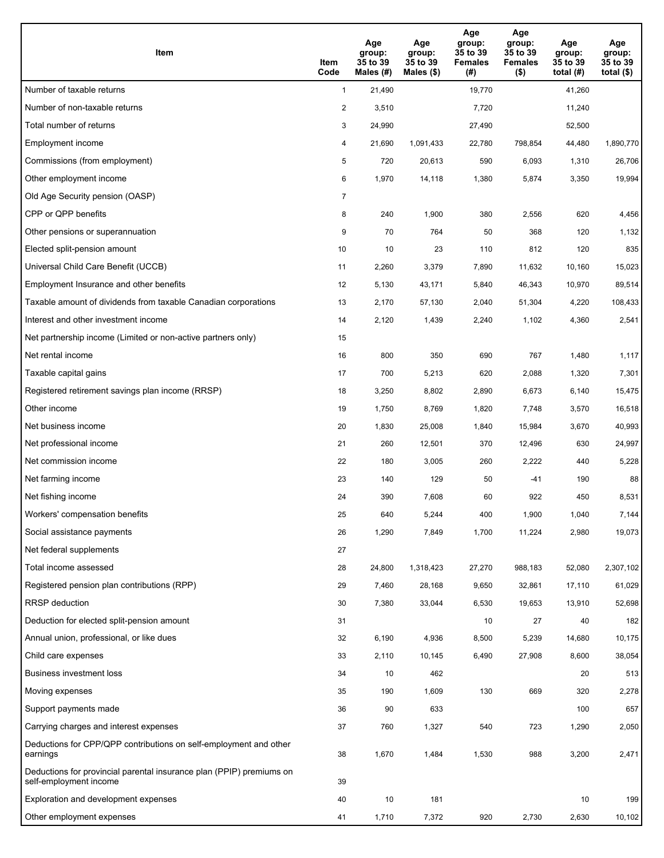| Item                                                                                           | Item<br>Code   | Age<br>group:<br>35 to 39<br>Males (#) | Age<br>group:<br>35 to 39<br>Males $(\$)$ | Age<br>group:<br>35 to 39<br><b>Females</b><br>(#) | Age<br>group:<br>35 to 39<br><b>Females</b><br>$($ \$) | Age<br>group:<br>35 to 39<br>total $(#)$ | Age<br>group:<br>35 to 39<br>total $($)$ |
|------------------------------------------------------------------------------------------------|----------------|----------------------------------------|-------------------------------------------|----------------------------------------------------|--------------------------------------------------------|------------------------------------------|------------------------------------------|
| Number of taxable returns                                                                      | $\mathbf{1}$   | 21,490                                 |                                           | 19,770                                             |                                                        | 41,260                                   |                                          |
| Number of non-taxable returns                                                                  | $\overline{c}$ | 3,510                                  |                                           | 7,720                                              |                                                        | 11,240                                   |                                          |
| Total number of returns                                                                        | 3              | 24,990                                 |                                           | 27,490                                             |                                                        | 52,500                                   |                                          |
| Employment income                                                                              | 4              | 21,690                                 | 1,091,433                                 | 22,780                                             | 798,854                                                | 44,480                                   | 1,890,770                                |
| Commissions (from employment)                                                                  | 5              | 720                                    | 20,613                                    | 590                                                | 6,093                                                  | 1,310                                    | 26,706                                   |
| Other employment income                                                                        | 6              | 1,970                                  | 14,118                                    | 1,380                                              | 5,874                                                  | 3,350                                    | 19,994                                   |
| Old Age Security pension (OASP)                                                                | $\overline{7}$ |                                        |                                           |                                                    |                                                        |                                          |                                          |
| CPP or QPP benefits                                                                            | 8              | 240                                    | 1,900                                     | 380                                                | 2,556                                                  | 620                                      | 4,456                                    |
| Other pensions or superannuation                                                               | 9              | 70                                     | 764                                       | 50                                                 | 368                                                    | 120                                      | 1,132                                    |
| Elected split-pension amount                                                                   | 10             | 10                                     | 23                                        | 110                                                | 812                                                    | 120                                      | 835                                      |
| Universal Child Care Benefit (UCCB)                                                            | 11             | 2,260                                  | 3,379                                     | 7,890                                              | 11,632                                                 | 10,160                                   | 15,023                                   |
| Employment Insurance and other benefits                                                        | 12             | 5,130                                  | 43,171                                    | 5,840                                              | 46,343                                                 | 10,970                                   | 89,514                                   |
| Taxable amount of dividends from taxable Canadian corporations                                 | 13             | 2,170                                  | 57,130                                    | 2,040                                              | 51,304                                                 | 4,220                                    | 108,433                                  |
| Interest and other investment income                                                           | 14             | 2,120                                  | 1,439                                     | 2,240                                              | 1,102                                                  | 4,360                                    | 2,541                                    |
| Net partnership income (Limited or non-active partners only)                                   | 15             |                                        |                                           |                                                    |                                                        |                                          |                                          |
| Net rental income                                                                              | 16             | 800                                    | 350                                       | 690                                                | 767                                                    | 1,480                                    | 1,117                                    |
| Taxable capital gains                                                                          | 17             | 700                                    | 5,213                                     | 620                                                | 2,088                                                  | 1,320                                    | 7,301                                    |
| Registered retirement savings plan income (RRSP)                                               | 18             | 3,250                                  | 8,802                                     | 2,890                                              | 6,673                                                  | 6,140                                    | 15,475                                   |
| Other income                                                                                   | 19             | 1,750                                  | 8,769                                     | 1,820                                              | 7,748                                                  | 3,570                                    | 16,518                                   |
| Net business income                                                                            | 20             | 1,830                                  | 25,008                                    | 1,840                                              | 15,984                                                 | 3,670                                    | 40,993                                   |
| Net professional income                                                                        | 21             | 260                                    | 12,501                                    | 370                                                | 12,496                                                 | 630                                      | 24,997                                   |
| Net commission income                                                                          | 22             | 180                                    | 3,005                                     | 260                                                | 2,222                                                  | 440                                      | 5,228                                    |
| Net farming income                                                                             | 23             | 140                                    | 129                                       | 50                                                 | $-41$                                                  | 190                                      | 88                                       |
| Net fishing income                                                                             | 24             | 390                                    | 7,608                                     | 60                                                 | 922                                                    | 450                                      | 8,531                                    |
| Workers' compensation benefits                                                                 | 25             | 640                                    | 5,244                                     | 400                                                | 1,900                                                  | 1,040                                    | 7,144                                    |
| Social assistance payments                                                                     | 26             | 1,290                                  | 7,849                                     | 1,700                                              | 11,224                                                 | 2,980                                    | 19,073                                   |
| Net federal supplements                                                                        | 27             |                                        |                                           |                                                    |                                                        |                                          |                                          |
| Total income assessed                                                                          | 28             | 24,800                                 | 1,318,423                                 | 27,270                                             | 988,183                                                | 52,080                                   | 2,307,102                                |
| Registered pension plan contributions (RPP)                                                    | 29             | 7,460                                  | 28,168                                    | 9,650                                              | 32,861                                                 | 17,110                                   | 61,029                                   |
| <b>RRSP</b> deduction                                                                          | 30             | 7,380                                  | 33,044                                    | 6,530                                              | 19,653                                                 | 13,910                                   | 52,698                                   |
| Deduction for elected split-pension amount                                                     | 31             |                                        |                                           | 10                                                 | 27                                                     | 40                                       | 182                                      |
| Annual union, professional, or like dues                                                       | 32             | 6,190                                  | 4,936                                     | 8,500                                              | 5,239                                                  | 14,680                                   | 10,175                                   |
| Child care expenses                                                                            | 33             | 2,110                                  | 10,145                                    | 6,490                                              | 27,908                                                 | 8,600                                    | 38,054                                   |
| <b>Business investment loss</b>                                                                | 34             | 10                                     | 462                                       |                                                    |                                                        | 20                                       | 513                                      |
| Moving expenses                                                                                | 35             | 190                                    | 1,609                                     | 130                                                | 669                                                    | 320                                      | 2,278                                    |
| Support payments made                                                                          | 36             | 90                                     | 633                                       |                                                    |                                                        | 100                                      | 657                                      |
| Carrying charges and interest expenses                                                         | 37             | 760                                    | 1,327                                     | 540                                                | 723                                                    | 1,290                                    | 2,050                                    |
| Deductions for CPP/QPP contributions on self-employment and other<br>earnings                  | 38             | 1,670                                  | 1,484                                     | 1,530                                              | 988                                                    | 3,200                                    | 2,471                                    |
| Deductions for provincial parental insurance plan (PPIP) premiums on<br>self-employment income | 39             |                                        |                                           |                                                    |                                                        |                                          |                                          |
| Exploration and development expenses                                                           | 40             | 10                                     | 181                                       |                                                    |                                                        | 10                                       | 199                                      |
| Other employment expenses                                                                      | 41             | 1,710                                  | 7,372                                     | 920                                                | 2,730                                                  | 2,630                                    | 10,102                                   |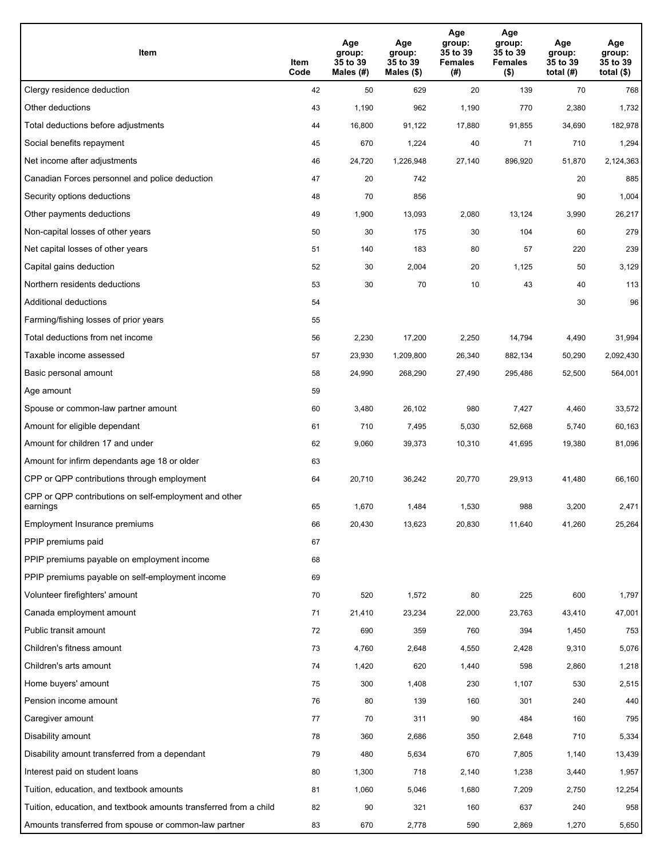| Item                                                              | Item<br>Code | Age<br>group:<br>35 to 39<br>Males (#) | Age<br>group:<br>35 to 39<br>Males (\$) | Age<br>group:<br>35 to 39<br><b>Females</b><br>(# ) | Age<br>group:<br>35 to 39<br><b>Females</b><br>$($ \$) | Age<br>group:<br>35 to 39<br>total $(H)$ | Age<br>group:<br>35 to 39<br>total $($)$ |
|-------------------------------------------------------------------|--------------|----------------------------------------|-----------------------------------------|-----------------------------------------------------|--------------------------------------------------------|------------------------------------------|------------------------------------------|
| Clergy residence deduction                                        | 42           | 50                                     | 629                                     | 20                                                  | 139                                                    | 70                                       | 768                                      |
| Other deductions                                                  | 43           | 1,190                                  | 962                                     | 1,190                                               | 770                                                    | 2,380                                    | 1,732                                    |
| Total deductions before adjustments                               | 44           | 16,800                                 | 91,122                                  | 17,880                                              | 91,855                                                 | 34,690                                   | 182,978                                  |
| Social benefits repayment                                         | 45           | 670                                    | 1,224                                   | 40                                                  | 71                                                     | 710                                      | 1,294                                    |
| Net income after adjustments                                      | 46           | 24,720                                 | 1,226,948                               | 27,140                                              | 896,920                                                | 51,870                                   | 2,124,363                                |
| Canadian Forces personnel and police deduction                    | 47           | 20                                     | 742                                     |                                                     |                                                        | 20                                       | 885                                      |
| Security options deductions                                       | 48           | 70                                     | 856                                     |                                                     |                                                        | 90                                       | 1,004                                    |
| Other payments deductions                                         | 49           | 1,900                                  | 13,093                                  | 2,080                                               | 13,124                                                 | 3,990                                    | 26,217                                   |
| Non-capital losses of other years                                 | 50           | 30                                     | 175                                     | 30                                                  | 104                                                    | 60                                       | 279                                      |
| Net capital losses of other years                                 | 51           | 140                                    | 183                                     | 80                                                  | 57                                                     | 220                                      | 239                                      |
| Capital gains deduction                                           | 52           | 30                                     | 2,004                                   | 20                                                  | 1,125                                                  | 50                                       | 3,129                                    |
| Northern residents deductions                                     | 53           | 30                                     | 70                                      | 10                                                  | 43                                                     | 40                                       | 113                                      |
| Additional deductions                                             | 54           |                                        |                                         |                                                     |                                                        | 30                                       | 96                                       |
| Farming/fishing losses of prior years                             | 55           |                                        |                                         |                                                     |                                                        |                                          |                                          |
| Total deductions from net income                                  | 56           | 2,230                                  | 17,200                                  | 2,250                                               | 14,794                                                 | 4,490                                    | 31,994                                   |
| Taxable income assessed                                           | 57           | 23,930                                 | 1,209,800                               | 26,340                                              | 882,134                                                | 50,290                                   | 2,092,430                                |
| Basic personal amount                                             | 58           | 24,990                                 | 268,290                                 | 27,490                                              | 295,486                                                | 52,500                                   | 564,001                                  |
| Age amount                                                        | 59           |                                        |                                         |                                                     |                                                        |                                          |                                          |
| Spouse or common-law partner amount                               | 60           | 3,480                                  | 26,102                                  | 980                                                 | 7,427                                                  | 4,460                                    | 33,572                                   |
| Amount for eligible dependant                                     | 61           | 710                                    | 7,495                                   | 5,030                                               | 52,668                                                 | 5,740                                    | 60,163                                   |
| Amount for children 17 and under                                  | 62           | 9,060                                  | 39,373                                  | 10,310                                              | 41,695                                                 | 19,380                                   | 81,096                                   |
| Amount for infirm dependants age 18 or older                      | 63           |                                        |                                         |                                                     |                                                        |                                          |                                          |
| CPP or QPP contributions through employment                       | 64           | 20,710                                 | 36,242                                  | 20,770                                              | 29,913                                                 | 41,480                                   | 66,160                                   |
| CPP or QPP contributions on self-employment and other<br>earnings | 65           | 1,670                                  | 1,484                                   | 1,530                                               | 988                                                    | 3,200                                    | 2,471                                    |
| Employment Insurance premiums                                     | 66           | 20,430                                 | 13,623                                  | 20,830                                              | 11,640                                                 | 41,260                                   | 25,264                                   |
| PPIP premiums paid                                                | 67           |                                        |                                         |                                                     |                                                        |                                          |                                          |
| PPIP premiums payable on employment income                        | 68           |                                        |                                         |                                                     |                                                        |                                          |                                          |
| PPIP premiums payable on self-employment income                   | 69           |                                        |                                         |                                                     |                                                        |                                          |                                          |
| Volunteer firefighters' amount                                    | 70           | 520                                    | 1,572                                   | 80                                                  | 225                                                    | 600                                      | 1,797                                    |
| Canada employment amount                                          | 71           | 21,410                                 | 23,234                                  | 22,000                                              | 23,763                                                 | 43,410                                   | 47,001                                   |
| Public transit amount                                             | 72           | 690                                    | 359                                     | 760                                                 | 394                                                    | 1,450                                    | 753                                      |
| Children's fitness amount                                         | 73           | 4,760                                  | 2,648                                   | 4,550                                               | 2,428                                                  | 9,310                                    | 5,076                                    |
| Children's arts amount                                            | 74           | 1,420                                  | 620                                     | 1,440                                               | 598                                                    | 2,860                                    | 1,218                                    |
| Home buyers' amount                                               | 75           | 300                                    | 1,408                                   | 230                                                 | 1,107                                                  | 530                                      | 2,515                                    |
| Pension income amount                                             | 76           | 80                                     | 139                                     | 160                                                 | 301                                                    | 240                                      | 440                                      |
| Caregiver amount                                                  | 77           | 70                                     | 311                                     | 90                                                  | 484                                                    | 160                                      | 795                                      |
| Disability amount                                                 | 78           | 360                                    | 2,686                                   | 350                                                 | 2,648                                                  | 710                                      | 5,334                                    |
| Disability amount transferred from a dependant                    | 79           | 480                                    | 5,634                                   | 670                                                 | 7,805                                                  | 1,140                                    | 13,439                                   |
| Interest paid on student loans                                    | 80           | 1,300                                  | 718                                     | 2,140                                               | 1,238                                                  | 3,440                                    | 1,957                                    |
| Tuition, education, and textbook amounts                          | 81           | 1,060                                  | 5,046                                   | 1,680                                               | 7,209                                                  | 2,750                                    | 12,254                                   |
| Tuition, education, and textbook amounts transferred from a child | 82           | 90                                     | 321                                     | 160                                                 | 637                                                    | 240                                      | 958                                      |
| Amounts transferred from spouse or common-law partner             | 83           | 670                                    | 2,778                                   | 590                                                 | 2,869                                                  | 1,270                                    | 5,650                                    |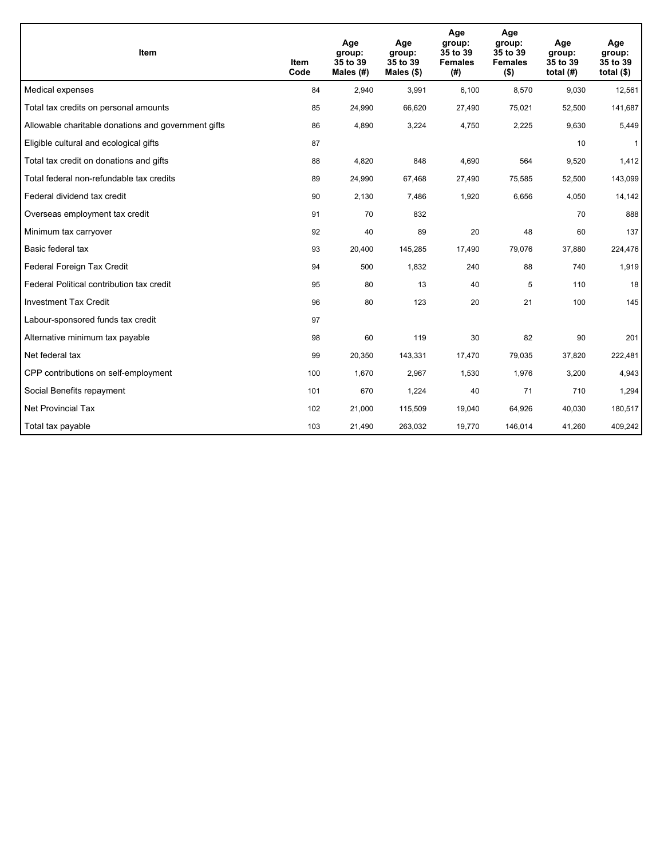| <b>Item</b>                                         | Item<br>Code | Age<br>group:<br>35 to 39<br>Males $(H)$ | Age<br>group:<br>35 to 39<br>Males $(\$)$ | Age<br>group:<br>35 to 39<br><b>Females</b><br>(#) | Age<br>group:<br>35 to 39<br><b>Females</b><br>$($ \$) | Age<br>group:<br>35 to 39<br>total $(H)$ | Age<br>group:<br>35 to 39<br>total $($)$ |
|-----------------------------------------------------|--------------|------------------------------------------|-------------------------------------------|----------------------------------------------------|--------------------------------------------------------|------------------------------------------|------------------------------------------|
| Medical expenses                                    | 84           | 2,940                                    | 3,991                                     | 6,100                                              | 8,570                                                  | 9,030                                    | 12,561                                   |
| Total tax credits on personal amounts               | 85           | 24,990                                   | 66,620                                    | 27,490                                             | 75,021                                                 | 52,500                                   | 141,687                                  |
| Allowable charitable donations and government gifts | 86           | 4,890                                    | 3,224                                     | 4,750                                              | 2,225                                                  | 9,630                                    | 5,449                                    |
| Eligible cultural and ecological gifts              | 87           |                                          |                                           |                                                    |                                                        | 10                                       | $\mathbf{1}$                             |
| Total tax credit on donations and gifts             | 88           | 4,820                                    | 848                                       | 4,690                                              | 564                                                    | 9,520                                    | 1,412                                    |
| Total federal non-refundable tax credits            | 89           | 24,990                                   | 67,468                                    | 27,490                                             | 75,585                                                 | 52,500                                   | 143,099                                  |
| Federal dividend tax credit                         | 90           | 2,130                                    | 7,486                                     | 1,920                                              | 6,656                                                  | 4,050                                    | 14,142                                   |
| Overseas employment tax credit                      | 91           | 70                                       | 832                                       |                                                    |                                                        | 70                                       | 888                                      |
| Minimum tax carryover                               | 92           | 40                                       | 89                                        | 20                                                 | 48                                                     | 60                                       | 137                                      |
| Basic federal tax                                   | 93           | 20,400                                   | 145,285                                   | 17,490                                             | 79,076                                                 | 37,880                                   | 224,476                                  |
| Federal Foreign Tax Credit                          | 94           | 500                                      | 1,832                                     | 240                                                | 88                                                     | 740                                      | 1,919                                    |
| Federal Political contribution tax credit           | 95           | 80                                       | 13                                        | 40                                                 | 5                                                      | 110                                      | 18                                       |
| <b>Investment Tax Credit</b>                        | 96           | 80                                       | 123                                       | 20                                                 | 21                                                     | 100                                      | 145                                      |
| Labour-sponsored funds tax credit                   | 97           |                                          |                                           |                                                    |                                                        |                                          |                                          |
| Alternative minimum tax payable                     | 98           | 60                                       | 119                                       | 30                                                 | 82                                                     | 90                                       | 201                                      |
| Net federal tax                                     | 99           | 20,350                                   | 143,331                                   | 17,470                                             | 79,035                                                 | 37,820                                   | 222,481                                  |
| CPP contributions on self-employment                | 100          | 1,670                                    | 2,967                                     | 1,530                                              | 1,976                                                  | 3,200                                    | 4,943                                    |
| Social Benefits repayment                           | 101          | 670                                      | 1,224                                     | 40                                                 | 71                                                     | 710                                      | 1,294                                    |
| Net Provincial Tax                                  | 102          | 21,000                                   | 115,509                                   | 19,040                                             | 64,926                                                 | 40,030                                   | 180,517                                  |
| Total tax payable                                   | 103          | 21,490                                   | 263,032                                   | 19,770                                             | 146,014                                                | 41,260                                   | 409,242                                  |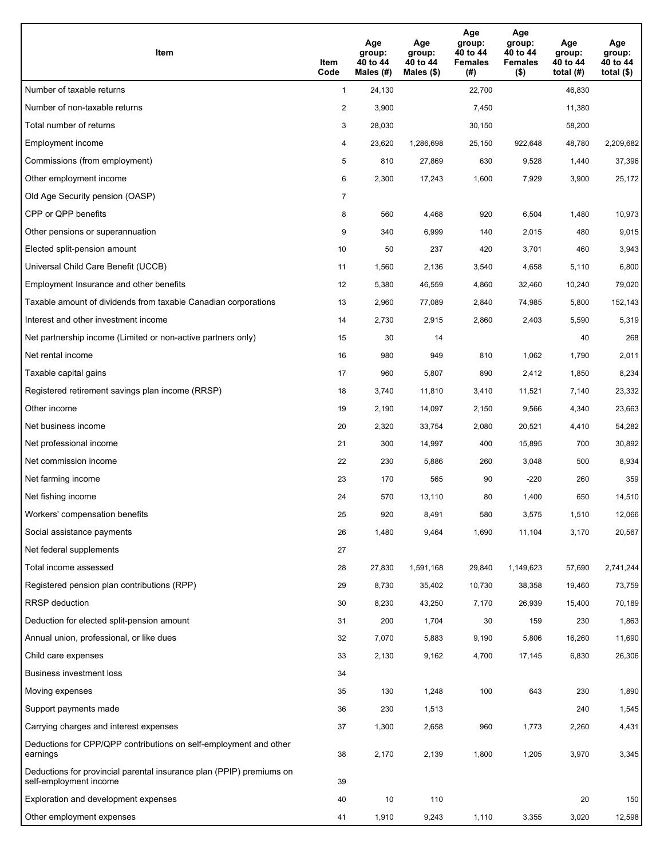| Item                                                                                           | Item<br>Code   | Age<br>group:<br>40 to 44<br>Males (#) | Age<br>group:<br>40 to 44<br>Males $(\$)$ | Age<br>group:<br>40 to 44<br><b>Females</b><br>(#) | Age<br>group:<br>40 to 44<br><b>Females</b><br>$($ \$) | Age<br>group:<br>40 to 44<br>total $(H)$ | Age<br>group:<br>40 to 44<br>total $($)$ |
|------------------------------------------------------------------------------------------------|----------------|----------------------------------------|-------------------------------------------|----------------------------------------------------|--------------------------------------------------------|------------------------------------------|------------------------------------------|
| Number of taxable returns                                                                      | $\mathbf{1}$   | 24,130                                 |                                           | 22,700                                             |                                                        | 46,830                                   |                                          |
| Number of non-taxable returns                                                                  | $\overline{c}$ | 3,900                                  |                                           | 7,450                                              |                                                        | 11,380                                   |                                          |
| Total number of returns                                                                        | 3              | 28,030                                 |                                           | 30,150                                             |                                                        | 58,200                                   |                                          |
| Employment income                                                                              | 4              | 23,620                                 | 1,286,698                                 | 25,150                                             | 922,648                                                | 48,780                                   | 2,209,682                                |
| Commissions (from employment)                                                                  | 5              | 810                                    | 27,869                                    | 630                                                | 9,528                                                  | 1,440                                    | 37,396                                   |
| Other employment income                                                                        | 6              | 2,300                                  | 17,243                                    | 1,600                                              | 7,929                                                  | 3,900                                    | 25,172                                   |
| Old Age Security pension (OASP)                                                                | $\overline{7}$ |                                        |                                           |                                                    |                                                        |                                          |                                          |
| CPP or QPP benefits                                                                            | 8              | 560                                    | 4,468                                     | 920                                                | 6,504                                                  | 1,480                                    | 10,973                                   |
| Other pensions or superannuation                                                               | 9              | 340                                    | 6,999                                     | 140                                                | 2,015                                                  | 480                                      | 9,015                                    |
| Elected split-pension amount                                                                   | 10             | 50                                     | 237                                       | 420                                                | 3,701                                                  | 460                                      | 3,943                                    |
| Universal Child Care Benefit (UCCB)                                                            | 11             | 1,560                                  | 2,136                                     | 3,540                                              | 4,658                                                  | 5,110                                    | 6,800                                    |
| Employment Insurance and other benefits                                                        | 12             | 5,380                                  | 46,559                                    | 4,860                                              | 32,460                                                 | 10,240                                   | 79,020                                   |
| Taxable amount of dividends from taxable Canadian corporations                                 | 13             | 2,960                                  | 77,089                                    | 2,840                                              | 74,985                                                 | 5,800                                    | 152,143                                  |
| Interest and other investment income                                                           | 14             | 2,730                                  | 2,915                                     | 2,860                                              | 2,403                                                  | 5,590                                    | 5,319                                    |
| Net partnership income (Limited or non-active partners only)                                   | 15             | 30                                     | 14                                        |                                                    |                                                        | 40                                       | 268                                      |
| Net rental income                                                                              | 16             | 980                                    | 949                                       | 810                                                | 1,062                                                  | 1,790                                    | 2,011                                    |
| Taxable capital gains                                                                          | 17             | 960                                    | 5,807                                     | 890                                                | 2,412                                                  | 1,850                                    | 8,234                                    |
| Registered retirement savings plan income (RRSP)                                               | 18             | 3,740                                  | 11,810                                    | 3,410                                              | 11,521                                                 | 7,140                                    | 23,332                                   |
| Other income                                                                                   | 19             | 2,190                                  | 14,097                                    | 2,150                                              | 9,566                                                  | 4,340                                    | 23,663                                   |
| Net business income                                                                            | 20             | 2,320                                  | 33,754                                    | 2,080                                              | 20,521                                                 | 4,410                                    | 54,282                                   |
| Net professional income                                                                        | 21             | 300                                    | 14,997                                    | 400                                                | 15,895                                                 | 700                                      | 30,892                                   |
| Net commission income                                                                          | 22             | 230                                    | 5,886                                     | 260                                                | 3,048                                                  | 500                                      | 8,934                                    |
| Net farming income                                                                             | 23             | 170                                    | 565                                       | 90                                                 | $-220$                                                 | 260                                      | 359                                      |
| Net fishing income                                                                             | 24             | 570                                    | 13,110                                    | 80                                                 | 1,400                                                  | 650                                      | 14,510                                   |
| Workers' compensation benefits                                                                 | 25             | 920                                    | 8,491                                     | 580                                                | 3,575                                                  | 1,510                                    | 12,066                                   |
| Social assistance payments                                                                     | 26             | 1,480                                  | 9,464                                     | 1,690                                              | 11,104                                                 | 3,170                                    | 20,567                                   |
| Net federal supplements                                                                        | 27             |                                        |                                           |                                                    |                                                        |                                          |                                          |
| Total income assessed                                                                          | 28             | 27,830                                 | 1,591,168                                 | 29,840                                             | 1,149,623                                              | 57,690                                   | 2,741,244                                |
| Registered pension plan contributions (RPP)                                                    | 29             | 8,730                                  | 35,402                                    | 10,730                                             | 38,358                                                 | 19,460                                   | 73,759                                   |
| RRSP deduction                                                                                 | 30             | 8,230                                  | 43,250                                    | 7,170                                              | 26,939                                                 | 15,400                                   | 70,189                                   |
| Deduction for elected split-pension amount                                                     | 31             | 200                                    | 1,704                                     | 30                                                 | 159                                                    | 230                                      | 1,863                                    |
| Annual union, professional, or like dues                                                       | 32             | 7,070                                  | 5,883                                     | 9,190                                              | 5,806                                                  | 16,260                                   | 11,690                                   |
| Child care expenses                                                                            | 33             | 2,130                                  | 9,162                                     | 4,700                                              | 17,145                                                 | 6,830                                    | 26,306                                   |
| Business investment loss                                                                       | 34             |                                        |                                           |                                                    |                                                        |                                          |                                          |
| Moving expenses                                                                                | 35             | 130                                    | 1,248                                     | 100                                                | 643                                                    | 230                                      | 1,890                                    |
| Support payments made                                                                          | 36             | 230                                    | 1,513                                     |                                                    |                                                        | 240                                      | 1,545                                    |
| Carrying charges and interest expenses                                                         | 37             | 1,300                                  | 2,658                                     | 960                                                | 1,773                                                  | 2,260                                    | 4,431                                    |
| Deductions for CPP/QPP contributions on self-employment and other<br>earnings                  | 38             | 2,170                                  | 2,139                                     | 1,800                                              | 1,205                                                  | 3,970                                    | 3,345                                    |
| Deductions for provincial parental insurance plan (PPIP) premiums on<br>self-employment income | 39             |                                        |                                           |                                                    |                                                        |                                          |                                          |
| Exploration and development expenses                                                           | 40             | 10                                     | 110                                       |                                                    |                                                        | 20                                       | 150                                      |
| Other employment expenses                                                                      | 41             | 1,910                                  | 9,243                                     | 1,110                                              | 3,355                                                  | 3,020                                    | 12,598                                   |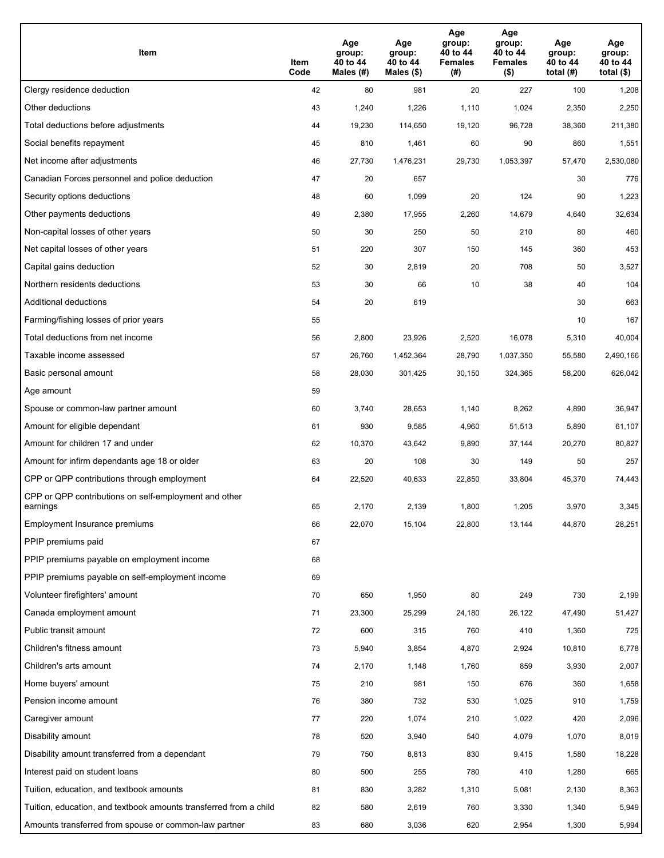| Item                                                              | Item<br>Code | Age<br>group:<br>40 to 44<br>Males (#) | Age<br>group:<br>40 to 44<br>Males (\$) | Age<br>group:<br>40 to 44<br><b>Females</b><br>(# ) | Age<br>group:<br>40 to 44<br><b>Females</b><br>$($ \$) | Age<br>group:<br>40 to 44<br>total $(H)$ | Age<br>group:<br>40 to 44<br>total $($)$ |
|-------------------------------------------------------------------|--------------|----------------------------------------|-----------------------------------------|-----------------------------------------------------|--------------------------------------------------------|------------------------------------------|------------------------------------------|
| Clergy residence deduction                                        | 42           | 80                                     | 981                                     | 20                                                  | 227                                                    | 100                                      | 1,208                                    |
| Other deductions                                                  | 43           | 1,240                                  | 1,226                                   | 1,110                                               | 1,024                                                  | 2,350                                    | 2,250                                    |
| Total deductions before adjustments                               | 44           | 19,230                                 | 114,650                                 | 19,120                                              | 96,728                                                 | 38,360                                   | 211,380                                  |
| Social benefits repayment                                         | 45           | 810                                    | 1,461                                   | 60                                                  | 90                                                     | 860                                      | 1,551                                    |
| Net income after adjustments                                      | 46           | 27,730                                 | 1,476,231                               | 29,730                                              | 1,053,397                                              | 57,470                                   | 2,530,080                                |
| Canadian Forces personnel and police deduction                    | 47           | 20                                     | 657                                     |                                                     |                                                        | 30                                       | 776                                      |
| Security options deductions                                       | 48           | 60                                     | 1,099                                   | 20                                                  | 124                                                    | 90                                       | 1,223                                    |
| Other payments deductions                                         | 49           | 2,380                                  | 17,955                                  | 2,260                                               | 14,679                                                 | 4,640                                    | 32,634                                   |
| Non-capital losses of other years                                 | 50           | 30                                     | 250                                     | 50                                                  | 210                                                    | 80                                       | 460                                      |
| Net capital losses of other years                                 | 51           | 220                                    | 307                                     | 150                                                 | 145                                                    | 360                                      | 453                                      |
| Capital gains deduction                                           | 52           | 30                                     | 2,819                                   | 20                                                  | 708                                                    | 50                                       | 3,527                                    |
| Northern residents deductions                                     | 53           | 30                                     | 66                                      | 10                                                  | 38                                                     | 40                                       | 104                                      |
| Additional deductions                                             | 54           | 20                                     | 619                                     |                                                     |                                                        | 30                                       | 663                                      |
| Farming/fishing losses of prior years                             | 55           |                                        |                                         |                                                     |                                                        | 10                                       | 167                                      |
| Total deductions from net income                                  | 56           | 2,800                                  | 23,926                                  | 2,520                                               | 16,078                                                 | 5,310                                    | 40,004                                   |
| Taxable income assessed                                           | 57           | 26,760                                 | 1,452,364                               | 28,790                                              | 1,037,350                                              | 55,580                                   | 2,490,166                                |
| Basic personal amount                                             | 58           | 28,030                                 | 301,425                                 | 30,150                                              | 324,365                                                | 58,200                                   | 626,042                                  |
| Age amount                                                        | 59           |                                        |                                         |                                                     |                                                        |                                          |                                          |
| Spouse or common-law partner amount                               | 60           | 3,740                                  | 28,653                                  | 1,140                                               | 8,262                                                  | 4,890                                    | 36,947                                   |
| Amount for eligible dependant                                     | 61           | 930                                    | 9,585                                   | 4,960                                               | 51,513                                                 | 5,890                                    | 61,107                                   |
| Amount for children 17 and under                                  | 62           | 10,370                                 | 43,642                                  | 9,890                                               | 37,144                                                 | 20,270                                   | 80,827                                   |
| Amount for infirm dependants age 18 or older                      | 63           | 20                                     | 108                                     | 30                                                  | 149                                                    | 50                                       | 257                                      |
| CPP or QPP contributions through employment                       | 64           | 22,520                                 | 40,633                                  | 22,850                                              | 33,804                                                 | 45,370                                   | 74,443                                   |
| CPP or QPP contributions on self-employment and other<br>earnings | 65           | 2,170                                  | 2,139                                   | 1,800                                               | 1,205                                                  | 3,970                                    | 3,345                                    |
| Employment Insurance premiums                                     | 66           | 22,070                                 | 15,104                                  | 22,800                                              | 13,144                                                 | 44,870                                   | 28,251                                   |
| PPIP premiums paid                                                | 67           |                                        |                                         |                                                     |                                                        |                                          |                                          |
| PPIP premiums payable on employment income                        | 68           |                                        |                                         |                                                     |                                                        |                                          |                                          |
| PPIP premiums payable on self-employment income                   | 69           |                                        |                                         |                                                     |                                                        |                                          |                                          |
| Volunteer firefighters' amount                                    | 70           | 650                                    | 1,950                                   | 80                                                  | 249                                                    | 730                                      | 2,199                                    |
| Canada employment amount                                          | 71           | 23,300                                 | 25,299                                  | 24,180                                              | 26,122                                                 | 47,490                                   | 51,427                                   |
| Public transit amount                                             | 72           | 600                                    | 315                                     | 760                                                 | 410                                                    | 1,360                                    | 725                                      |
| Children's fitness amount                                         | 73           | 5,940                                  | 3,854                                   | 4,870                                               | 2,924                                                  | 10,810                                   | 6,778                                    |
| Children's arts amount                                            | 74           | 2,170                                  | 1,148                                   | 1,760                                               | 859                                                    | 3,930                                    | 2,007                                    |
| Home buyers' amount                                               | 75           | 210                                    | 981                                     | 150                                                 | 676                                                    | 360                                      | 1,658                                    |
| Pension income amount                                             | 76           | 380                                    | 732                                     | 530                                                 | 1,025                                                  | 910                                      | 1,759                                    |
| Caregiver amount                                                  | $77\,$       | 220                                    | 1,074                                   | 210                                                 | 1,022                                                  | 420                                      | 2,096                                    |
| Disability amount                                                 | 78           | 520                                    | 3,940                                   | 540                                                 | 4,079                                                  | 1,070                                    | 8,019                                    |
| Disability amount transferred from a dependant                    | 79           | 750                                    | 8,813                                   | 830                                                 | 9,415                                                  | 1,580                                    | 18,228                                   |
| Interest paid on student loans                                    | 80           | 500                                    | 255                                     | 780                                                 | 410                                                    | 1,280                                    | 665                                      |
| Tuition, education, and textbook amounts                          | 81           | 830                                    | 3,282                                   | 1,310                                               | 5,081                                                  | 2,130                                    | 8,363                                    |
| Tuition, education, and textbook amounts transferred from a child | 82           | 580                                    | 2,619                                   | 760                                                 | 3,330                                                  | 1,340                                    | 5,949                                    |
| Amounts transferred from spouse or common-law partner             | 83           | 680                                    | 3,036                                   | 620                                                 | 2,954                                                  | 1,300                                    | 5,994                                    |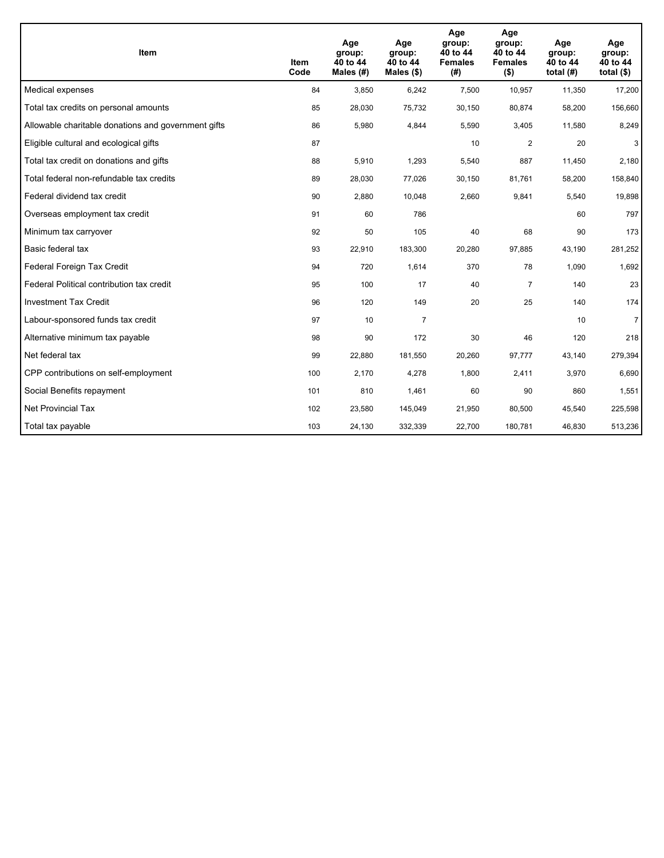| <b>Item</b>                                         | Item<br>Code | Age<br>group:<br>40 to 44<br>Males $(H)$ | Age<br>group:<br>40 to 44<br>Males $(\$)$ | Age<br>group:<br>40 to 44<br><b>Females</b><br>(# ) | Age<br>group:<br>40 to 44<br><b>Females</b><br>$($ \$) | Age<br>group:<br>40 to 44<br>total $(H)$ | Age<br>group:<br>40 to 44<br>total $($)$ |
|-----------------------------------------------------|--------------|------------------------------------------|-------------------------------------------|-----------------------------------------------------|--------------------------------------------------------|------------------------------------------|------------------------------------------|
| Medical expenses                                    | 84           | 3,850                                    | 6,242                                     | 7,500                                               | 10,957                                                 | 11,350                                   | 17,200                                   |
| Total tax credits on personal amounts               | 85           | 28,030                                   | 75,732                                    | 30,150                                              | 80,874                                                 | 58,200                                   | 156,660                                  |
| Allowable charitable donations and government gifts | 86           | 5,980                                    | 4,844                                     | 5,590                                               | 3,405                                                  | 11,580                                   | 8,249                                    |
| Eligible cultural and ecological gifts              | 87           |                                          |                                           | 10                                                  | $\overline{c}$                                         | 20                                       | 3                                        |
| Total tax credit on donations and gifts             | 88           | 5,910                                    | 1,293                                     | 5,540                                               | 887                                                    | 11,450                                   | 2,180                                    |
| Total federal non-refundable tax credits            | 89           | 28,030                                   | 77,026                                    | 30,150                                              | 81,761                                                 | 58,200                                   | 158,840                                  |
| Federal dividend tax credit                         | 90           | 2,880                                    | 10,048                                    | 2,660                                               | 9,841                                                  | 5,540                                    | 19,898                                   |
| Overseas employment tax credit                      | 91           | 60                                       | 786                                       |                                                     |                                                        | 60                                       | 797                                      |
| Minimum tax carryover                               | 92           | 50                                       | 105                                       | 40                                                  | 68                                                     | 90                                       | 173                                      |
| Basic federal tax                                   | 93           | 22,910                                   | 183,300                                   | 20,280                                              | 97,885                                                 | 43,190                                   | 281,252                                  |
| Federal Foreign Tax Credit                          | 94           | 720                                      | 1,614                                     | 370                                                 | 78                                                     | 1,090                                    | 1,692                                    |
| Federal Political contribution tax credit           | 95           | 100                                      | 17                                        | 40                                                  | $\overline{7}$                                         | 140                                      | 23                                       |
| <b>Investment Tax Credit</b>                        | 96           | 120                                      | 149                                       | 20                                                  | 25                                                     | 140                                      | 174                                      |
| Labour-sponsored funds tax credit                   | 97           | 10                                       | $\overline{7}$                            |                                                     |                                                        | 10                                       | $\overline{7}$                           |
| Alternative minimum tax payable                     | 98           | 90                                       | 172                                       | 30                                                  | 46                                                     | 120                                      | 218                                      |
| Net federal tax                                     | 99           | 22,880                                   | 181,550                                   | 20,260                                              | 97,777                                                 | 43,140                                   | 279,394                                  |
| CPP contributions on self-employment                | 100          | 2,170                                    | 4,278                                     | 1,800                                               | 2,411                                                  | 3,970                                    | 6,690                                    |
| Social Benefits repayment                           | 101          | 810                                      | 1,461                                     | 60                                                  | 90                                                     | 860                                      | 1,551                                    |
| Net Provincial Tax                                  | 102          | 23,580                                   | 145,049                                   | 21,950                                              | 80,500                                                 | 45,540                                   | 225,598                                  |
| Total tax payable                                   | 103          | 24,130                                   | 332,339                                   | 22,700                                              | 180,781                                                | 46,830                                   | 513,236                                  |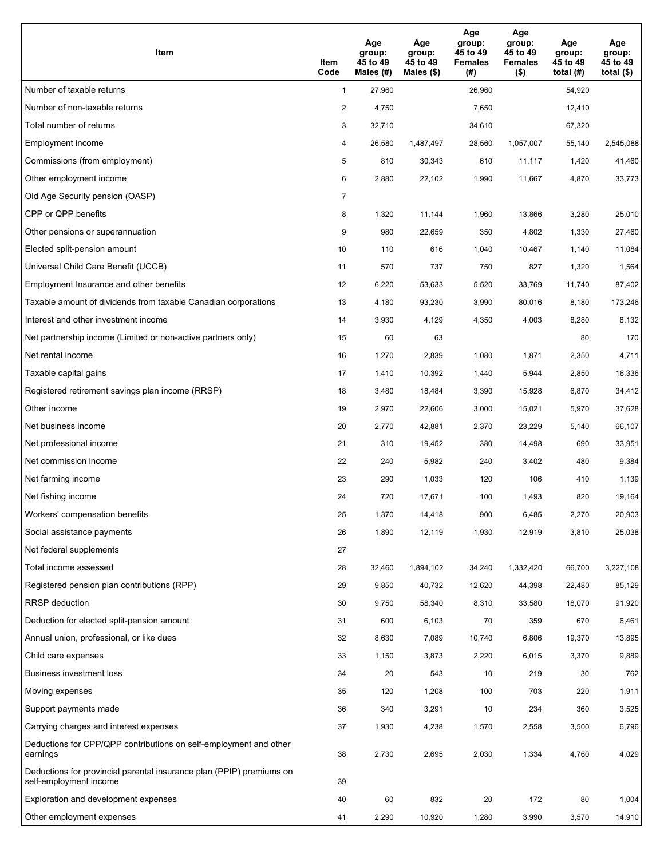| Item                                                                                           | Item<br>Code   | Age<br>group:<br>45 to 49<br>Males (#) | Age<br>group:<br>45 to 49<br>Males $(\$)$ | Age<br>group:<br>45 to 49<br><b>Females</b><br>(#) | Age<br>group:<br>45 to 49<br><b>Females</b><br>$($ \$) | Age<br>group:<br>45 to 49<br>total $(#)$ | Age<br>group:<br>45 to 49<br>total $($ |
|------------------------------------------------------------------------------------------------|----------------|----------------------------------------|-------------------------------------------|----------------------------------------------------|--------------------------------------------------------|------------------------------------------|----------------------------------------|
| Number of taxable returns                                                                      | $\mathbf{1}$   | 27,960                                 |                                           | 26,960                                             |                                                        | 54,920                                   |                                        |
| Number of non-taxable returns                                                                  | $\overline{a}$ | 4,750                                  |                                           | 7,650                                              |                                                        | 12,410                                   |                                        |
| Total number of returns                                                                        | 3              | 32,710                                 |                                           | 34,610                                             |                                                        | 67,320                                   |                                        |
| Employment income                                                                              | 4              | 26,580                                 | 1,487,497                                 | 28,560                                             | 1,057,007                                              | 55,140                                   | 2,545,088                              |
| Commissions (from employment)                                                                  | 5              | 810                                    | 30,343                                    | 610                                                | 11,117                                                 | 1,420                                    | 41,460                                 |
| Other employment income                                                                        | 6              | 2,880                                  | 22,102                                    | 1,990                                              | 11,667                                                 | 4,870                                    | 33,773                                 |
| Old Age Security pension (OASP)                                                                | 7              |                                        |                                           |                                                    |                                                        |                                          |                                        |
| CPP or QPP benefits                                                                            | 8              | 1,320                                  | 11,144                                    | 1,960                                              | 13,866                                                 | 3,280                                    | 25,010                                 |
| Other pensions or superannuation                                                               | 9              | 980                                    | 22,659                                    | 350                                                | 4,802                                                  | 1,330                                    | 27,460                                 |
| Elected split-pension amount                                                                   | 10             | 110                                    | 616                                       | 1,040                                              | 10,467                                                 | 1,140                                    | 11,084                                 |
| Universal Child Care Benefit (UCCB)                                                            | 11             | 570                                    | 737                                       | 750                                                | 827                                                    | 1,320                                    | 1,564                                  |
| Employment Insurance and other benefits                                                        | 12             | 6,220                                  | 53,633                                    | 5,520                                              | 33,769                                                 | 11,740                                   | 87,402                                 |
| Taxable amount of dividends from taxable Canadian corporations                                 | 13             | 4,180                                  | 93,230                                    | 3,990                                              | 80,016                                                 | 8,180                                    | 173,246                                |
| Interest and other investment income                                                           | 14             | 3,930                                  | 4,129                                     | 4,350                                              | 4,003                                                  | 8,280                                    | 8,132                                  |
| Net partnership income (Limited or non-active partners only)                                   | 15             | 60                                     | 63                                        |                                                    |                                                        | 80                                       | 170                                    |
| Net rental income                                                                              | 16             | 1,270                                  | 2,839                                     | 1,080                                              | 1,871                                                  | 2,350                                    | 4,711                                  |
| Taxable capital gains                                                                          | 17             | 1,410                                  | 10,392                                    | 1,440                                              | 5,944                                                  | 2,850                                    | 16,336                                 |
| Registered retirement savings plan income (RRSP)                                               | 18             | 3,480                                  | 18,484                                    | 3,390                                              | 15,928                                                 | 6,870                                    | 34,412                                 |
| Other income                                                                                   | 19             | 2,970                                  | 22,606                                    | 3,000                                              | 15,021                                                 | 5,970                                    | 37,628                                 |
| Net business income                                                                            | 20             | 2,770                                  | 42,881                                    | 2,370                                              | 23,229                                                 | 5,140                                    | 66,107                                 |
| Net professional income                                                                        | 21             | 310                                    | 19,452                                    | 380                                                | 14,498                                                 | 690                                      | 33,951                                 |
| Net commission income                                                                          | 22             | 240                                    | 5,982                                     | 240                                                | 3,402                                                  | 480                                      | 9,384                                  |
| Net farming income                                                                             | 23             | 290                                    | 1,033                                     | 120                                                | 106                                                    | 410                                      | 1,139                                  |
| Net fishing income                                                                             | 24             | 720                                    | 17,671                                    | 100                                                | 1,493                                                  | 820                                      | 19,164                                 |
| Workers' compensation benefits                                                                 | 25             | 1,370                                  | 14,418                                    | 900                                                | 6,485                                                  | 2,270                                    | 20,903                                 |
| Social assistance payments                                                                     | 26             | 1,890                                  | 12,119                                    | 1,930                                              | 12,919                                                 | 3,810                                    | 25,038                                 |
| Net federal supplements                                                                        | 27             |                                        |                                           |                                                    |                                                        |                                          |                                        |
| Total income assessed                                                                          | 28             | 32,460                                 | 1,894,102                                 | 34,240                                             | 1,332,420                                              | 66,700                                   | 3,227,108                              |
| Registered pension plan contributions (RPP)                                                    | 29             | 9,850                                  | 40,732                                    | 12,620                                             | 44,398                                                 | 22,480                                   | 85,129                                 |
| RRSP deduction                                                                                 | 30             | 9,750                                  | 58,340                                    | 8,310                                              | 33,580                                                 | 18,070                                   | 91,920                                 |
| Deduction for elected split-pension amount                                                     | 31             | 600                                    | 6,103                                     | 70                                                 | 359                                                    | 670                                      | 6,461                                  |
| Annual union, professional, or like dues                                                       | 32             | 8,630                                  | 7,089                                     | 10,740                                             | 6,806                                                  | 19,370                                   | 13,895                                 |
| Child care expenses                                                                            | 33             | 1,150                                  | 3,873                                     | 2,220                                              | 6,015                                                  | 3,370                                    | 9,889                                  |
| Business investment loss                                                                       | 34             | 20                                     | 543                                       | 10                                                 | 219                                                    | 30                                       | 762                                    |
| Moving expenses                                                                                | 35             | 120                                    | 1,208                                     | 100                                                | 703                                                    | 220                                      | 1,911                                  |
| Support payments made                                                                          | 36             | 340                                    | 3,291                                     | 10                                                 | 234                                                    | 360                                      | 3,525                                  |
| Carrying charges and interest expenses                                                         | 37             | 1,930                                  | 4,238                                     | 1,570                                              | 2,558                                                  | 3,500                                    | 6,796                                  |
| Deductions for CPP/QPP contributions on self-employment and other<br>earnings                  | 38             | 2,730                                  | 2,695                                     | 2,030                                              | 1,334                                                  | 4,760                                    | 4,029                                  |
| Deductions for provincial parental insurance plan (PPIP) premiums on<br>self-employment income | 39             |                                        |                                           |                                                    |                                                        |                                          |                                        |
| Exploration and development expenses                                                           | 40             | 60                                     | 832                                       | 20                                                 | 172                                                    | 80                                       | 1,004                                  |
| Other employment expenses                                                                      | 41             | 2,290                                  | 10,920                                    | 1,280                                              | 3,990                                                  | 3,570                                    | 14,910                                 |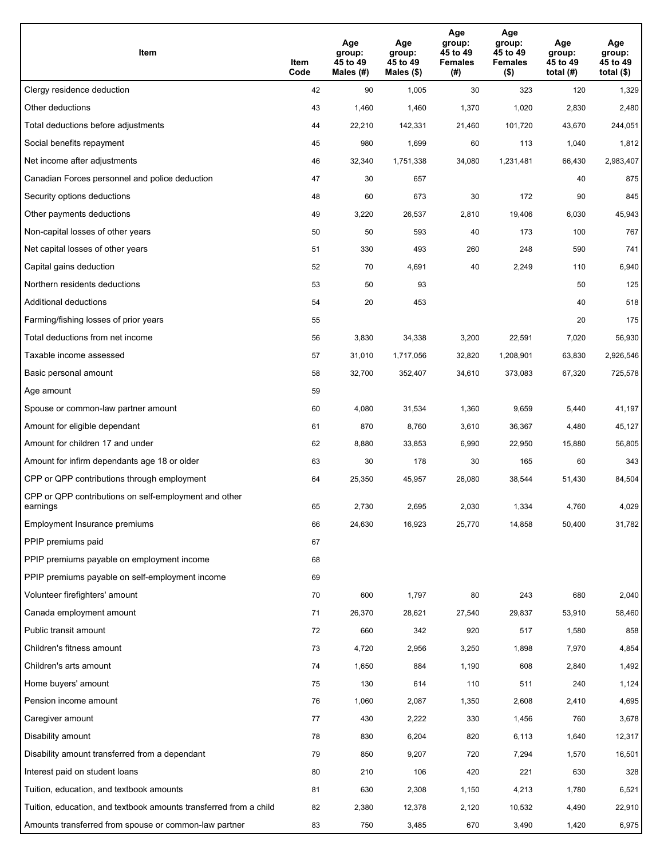| Item                                                              | Item<br>Code | Age<br>group:<br>45 to 49<br>Males (#) | Age<br>group:<br>45 to 49<br>Males (\$) | Age<br>group:<br>45 to 49<br><b>Females</b><br>(# ) | Age<br>group:<br>45 to 49<br><b>Females</b><br>$($ \$) | Age<br>group:<br>45 to 49<br>total $(#)$ | Age<br>group:<br>45 to 49<br>total $($)$ |
|-------------------------------------------------------------------|--------------|----------------------------------------|-----------------------------------------|-----------------------------------------------------|--------------------------------------------------------|------------------------------------------|------------------------------------------|
| Clergy residence deduction                                        | 42           | 90                                     | 1,005                                   | 30                                                  | 323                                                    | 120                                      | 1,329                                    |
| Other deductions                                                  | 43           | 1,460                                  | 1,460                                   | 1,370                                               | 1,020                                                  | 2,830                                    | 2,480                                    |
| Total deductions before adjustments                               | 44           | 22,210                                 | 142,331                                 | 21,460                                              | 101,720                                                | 43,670                                   | 244,051                                  |
| Social benefits repayment                                         | 45           | 980                                    | 1,699                                   | 60                                                  | 113                                                    | 1,040                                    | 1,812                                    |
| Net income after adjustments                                      | 46           | 32,340                                 | 1,751,338                               | 34,080                                              | 1,231,481                                              | 66,430                                   | 2,983,407                                |
| Canadian Forces personnel and police deduction                    | 47           | 30                                     | 657                                     |                                                     |                                                        | 40                                       | 875                                      |
| Security options deductions                                       | 48           | 60                                     | 673                                     | 30                                                  | 172                                                    | 90                                       | 845                                      |
| Other payments deductions                                         | 49           | 3,220                                  | 26,537                                  | 2,810                                               | 19,406                                                 | 6,030                                    | 45,943                                   |
| Non-capital losses of other years                                 | 50           | 50                                     | 593                                     | 40                                                  | 173                                                    | 100                                      | 767                                      |
| Net capital losses of other years                                 | 51           | 330                                    | 493                                     | 260                                                 | 248                                                    | 590                                      | 741                                      |
| Capital gains deduction                                           | 52           | 70                                     | 4,691                                   | 40                                                  | 2,249                                                  | 110                                      | 6,940                                    |
| Northern residents deductions                                     | 53           | 50                                     | 93                                      |                                                     |                                                        | 50                                       | 125                                      |
| Additional deductions                                             | 54           | 20                                     | 453                                     |                                                     |                                                        | 40                                       | 518                                      |
| Farming/fishing losses of prior years                             | 55           |                                        |                                         |                                                     |                                                        | 20                                       | 175                                      |
| Total deductions from net income                                  | 56           | 3,830                                  | 34,338                                  | 3,200                                               | 22,591                                                 | 7,020                                    | 56,930                                   |
| Taxable income assessed                                           | 57           | 31,010                                 | 1,717,056                               | 32,820                                              | 1,208,901                                              | 63,830                                   | 2,926,546                                |
| Basic personal amount                                             | 58           | 32,700                                 | 352,407                                 | 34,610                                              | 373,083                                                | 67,320                                   | 725,578                                  |
| Age amount                                                        | 59           |                                        |                                         |                                                     |                                                        |                                          |                                          |
| Spouse or common-law partner amount                               | 60           | 4,080                                  | 31,534                                  | 1,360                                               | 9,659                                                  | 5,440                                    | 41,197                                   |
| Amount for eligible dependant                                     | 61           | 870                                    | 8,760                                   | 3,610                                               | 36,367                                                 | 4,480                                    | 45,127                                   |
| Amount for children 17 and under                                  | 62           | 8,880                                  | 33,853                                  | 6,990                                               | 22,950                                                 | 15,880                                   | 56,805                                   |
| Amount for infirm dependants age 18 or older                      | 63           | 30                                     | 178                                     | 30                                                  | 165                                                    | 60                                       | 343                                      |
| CPP or QPP contributions through employment                       | 64           | 25,350                                 | 45,957                                  | 26,080                                              | 38,544                                                 | 51,430                                   | 84,504                                   |
| CPP or QPP contributions on self-employment and other<br>earnings | 65           | 2.730                                  | 2,695                                   | 2,030                                               | 1,334                                                  | 4,760                                    | 4,029                                    |
| Employment Insurance premiums                                     | 66           | 24,630                                 | 16,923                                  | 25,770                                              | 14,858                                                 | 50,400                                   | 31,782                                   |
| PPIP premiums paid                                                | 67           |                                        |                                         |                                                     |                                                        |                                          |                                          |
| PPIP premiums payable on employment income                        | 68           |                                        |                                         |                                                     |                                                        |                                          |                                          |
| PPIP premiums payable on self-employment income                   | 69           |                                        |                                         |                                                     |                                                        |                                          |                                          |
| Volunteer firefighters' amount                                    | 70           | 600                                    | 1,797                                   | 80                                                  | 243                                                    | 680                                      | 2,040                                    |
| Canada employment amount                                          | 71           | 26,370                                 | 28,621                                  | 27,540                                              | 29,837                                                 | 53,910                                   | 58,460                                   |
| Public transit amount                                             | 72           | 660                                    | 342                                     | 920                                                 | 517                                                    | 1,580                                    | 858                                      |
| Children's fitness amount                                         | 73           | 4,720                                  | 2,956                                   | 3,250                                               | 1,898                                                  | 7,970                                    | 4,854                                    |
| Children's arts amount                                            | 74           | 1,650                                  | 884                                     | 1,190                                               | 608                                                    | 2,840                                    | 1,492                                    |
| Home buyers' amount                                               | 75           | 130                                    | 614                                     | 110                                                 | 511                                                    | 240                                      | 1,124                                    |
| Pension income amount                                             | 76           | 1,060                                  | 2,087                                   | 1,350                                               | 2,608                                                  | 2,410                                    | 4,695                                    |
| Caregiver amount                                                  | 77           | 430                                    | 2,222                                   | 330                                                 | 1,456                                                  | 760                                      | 3,678                                    |
| Disability amount                                                 | 78           | 830                                    | 6,204                                   | 820                                                 | 6,113                                                  | 1,640                                    | 12,317                                   |
| Disability amount transferred from a dependant                    | 79           | 850                                    | 9,207                                   | 720                                                 | 7,294                                                  | 1,570                                    | 16,501                                   |
| Interest paid on student loans                                    | 80           | 210                                    | 106                                     | 420                                                 | 221                                                    | 630                                      | 328                                      |
| Tuition, education, and textbook amounts                          | 81           | 630                                    | 2,308                                   | 1,150                                               | 4,213                                                  | 1,780                                    | 6,521                                    |
| Tuition, education, and textbook amounts transferred from a child | 82           | 2,380                                  | 12,378                                  | 2,120                                               | 10,532                                                 | 4,490                                    | 22,910                                   |
| Amounts transferred from spouse or common-law partner             | 83           | 750                                    | 3,485                                   | 670                                                 | 3,490                                                  | 1,420                                    | 6,975                                    |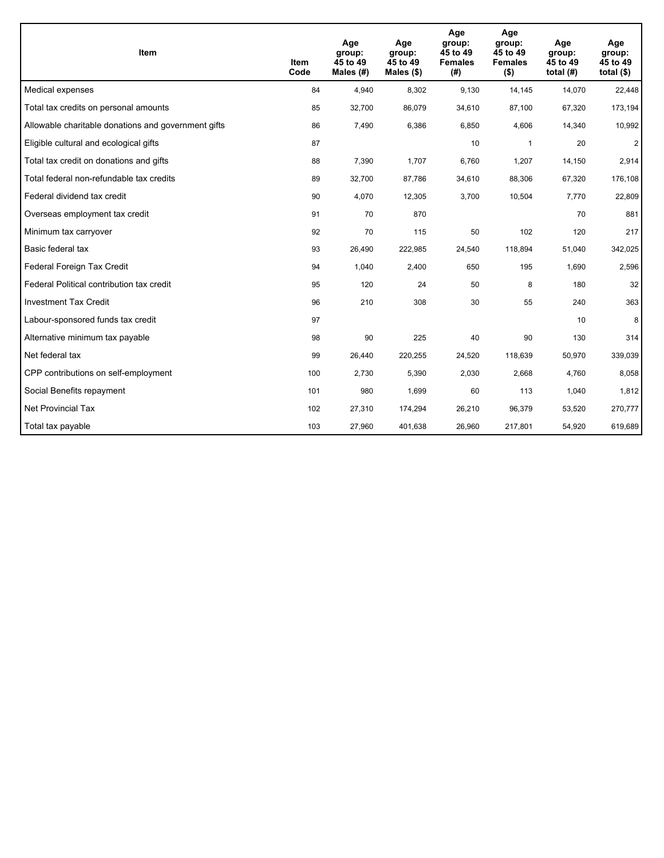| <b>Item</b>                                         | Item<br>Code | Age<br>group:<br>45 to 49<br>Males $(H)$ | Age<br>group:<br>45 to 49<br>Males $(\$)$ | Age<br>group:<br>45 to 49<br><b>Females</b><br>(# ) | Age<br>group:<br>45 to 49<br><b>Females</b><br>$($ \$) | Age<br>group:<br>45 to 49<br>total $(H)$ | Age<br>group:<br>45 to 49<br>total $($)$ |
|-----------------------------------------------------|--------------|------------------------------------------|-------------------------------------------|-----------------------------------------------------|--------------------------------------------------------|------------------------------------------|------------------------------------------|
| Medical expenses                                    | 84           | 4,940                                    | 8,302                                     | 9,130                                               | 14,145                                                 | 14,070                                   | 22,448                                   |
| Total tax credits on personal amounts               | 85           | 32,700                                   | 86,079                                    | 34,610                                              | 87,100                                                 | 67,320                                   | 173,194                                  |
| Allowable charitable donations and government gifts | 86           | 7,490                                    | 6,386                                     | 6,850                                               | 4,606                                                  | 14,340                                   | 10,992                                   |
| Eligible cultural and ecological gifts              | 87           |                                          |                                           | 10                                                  | $\mathbf{1}$                                           | 20                                       | $\overline{c}$                           |
| Total tax credit on donations and gifts             | 88           | 7,390                                    | 1,707                                     | 6,760                                               | 1,207                                                  | 14,150                                   | 2,914                                    |
| Total federal non-refundable tax credits            | 89           | 32,700                                   | 87,786                                    | 34,610                                              | 88,306                                                 | 67,320                                   | 176,108                                  |
| Federal dividend tax credit                         | 90           | 4,070                                    | 12,305                                    | 3,700                                               | 10,504                                                 | 7,770                                    | 22,809                                   |
| Overseas employment tax credit                      | 91           | 70                                       | 870                                       |                                                     |                                                        | 70                                       | 881                                      |
| Minimum tax carryover                               | 92           | 70                                       | 115                                       | 50                                                  | 102                                                    | 120                                      | 217                                      |
| Basic federal tax                                   | 93           | 26,490                                   | 222,985                                   | 24,540                                              | 118,894                                                | 51,040                                   | 342,025                                  |
| Federal Foreign Tax Credit                          | 94           | 1,040                                    | 2,400                                     | 650                                                 | 195                                                    | 1,690                                    | 2,596                                    |
| Federal Political contribution tax credit           | 95           | 120                                      | 24                                        | 50                                                  | 8                                                      | 180                                      | 32                                       |
| <b>Investment Tax Credit</b>                        | 96           | 210                                      | 308                                       | 30                                                  | 55                                                     | 240                                      | 363                                      |
| Labour-sponsored funds tax credit                   | 97           |                                          |                                           |                                                     |                                                        | 10                                       | 8                                        |
| Alternative minimum tax payable                     | 98           | 90                                       | 225                                       | 40                                                  | 90                                                     | 130                                      | 314                                      |
| Net federal tax                                     | 99           | 26,440                                   | 220,255                                   | 24,520                                              | 118,639                                                | 50,970                                   | 339,039                                  |
| CPP contributions on self-employment                | 100          | 2,730                                    | 5,390                                     | 2,030                                               | 2,668                                                  | 4,760                                    | 8,058                                    |
| Social Benefits repayment                           | 101          | 980                                      | 1,699                                     | 60                                                  | 113                                                    | 1,040                                    | 1,812                                    |
| Net Provincial Tax                                  | 102          | 27,310                                   | 174,294                                   | 26,210                                              | 96,379                                                 | 53,520                                   | 270,777                                  |
| Total tax payable                                   | 103          | 27,960                                   | 401,638                                   | 26,960                                              | 217,801                                                | 54,920                                   | 619,689                                  |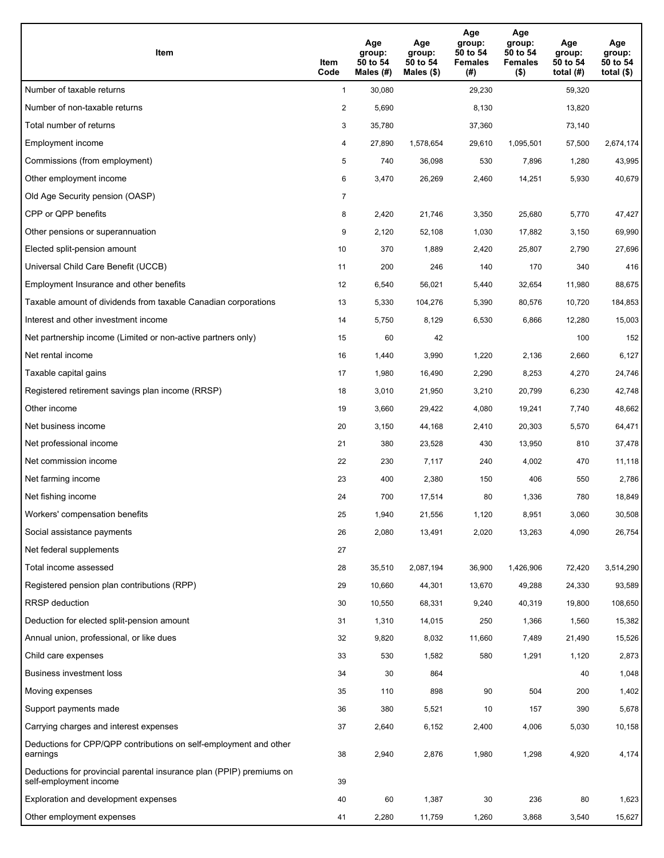| Item                                                                                           | Item<br>Code   | Age<br>group:<br>50 to 54<br>Males (#) | Age<br>group:<br>50 to 54<br>Males $(\$)$ | Age<br>group:<br>50 to 54<br><b>Females</b><br>(#) | Age<br>group:<br>50 to 54<br><b>Females</b><br>$($ \$) | Age<br>group:<br>50 to 54<br>total $(H)$ | Age<br>group:<br>50 to 54<br>total $($)$ |
|------------------------------------------------------------------------------------------------|----------------|----------------------------------------|-------------------------------------------|----------------------------------------------------|--------------------------------------------------------|------------------------------------------|------------------------------------------|
| Number of taxable returns                                                                      | $\mathbf{1}$   | 30,080                                 |                                           | 29,230                                             |                                                        | 59,320                                   |                                          |
| Number of non-taxable returns                                                                  | $\overline{2}$ | 5,690                                  |                                           | 8,130                                              |                                                        | 13,820                                   |                                          |
| Total number of returns                                                                        | 3              | 35,780                                 |                                           | 37,360                                             |                                                        | 73,140                                   |                                          |
| Employment income                                                                              | 4              | 27,890                                 | 1,578,654                                 | 29,610                                             | 1,095,501                                              | 57,500                                   | 2,674,174                                |
| Commissions (from employment)                                                                  | 5              | 740                                    | 36,098                                    | 530                                                | 7,896                                                  | 1,280                                    | 43,995                                   |
| Other employment income                                                                        | 6              | 3,470                                  | 26,269                                    | 2,460                                              | 14,251                                                 | 5,930                                    | 40,679                                   |
| Old Age Security pension (OASP)                                                                | 7              |                                        |                                           |                                                    |                                                        |                                          |                                          |
| CPP or QPP benefits                                                                            | 8              | 2,420                                  | 21,746                                    | 3,350                                              | 25,680                                                 | 5,770                                    | 47,427                                   |
| Other pensions or superannuation                                                               | 9              | 2,120                                  | 52,108                                    | 1,030                                              | 17,882                                                 | 3,150                                    | 69,990                                   |
| Elected split-pension amount                                                                   | 10             | 370                                    | 1,889                                     | 2,420                                              | 25,807                                                 | 2,790                                    | 27,696                                   |
| Universal Child Care Benefit (UCCB)                                                            | 11             | 200                                    | 246                                       | 140                                                | 170                                                    | 340                                      | 416                                      |
| Employment Insurance and other benefits                                                        | 12             | 6,540                                  | 56,021                                    | 5,440                                              | 32,654                                                 | 11,980                                   | 88,675                                   |
| Taxable amount of dividends from taxable Canadian corporations                                 | 13             | 5,330                                  | 104,276                                   | 5,390                                              | 80,576                                                 | 10,720                                   | 184,853                                  |
| Interest and other investment income                                                           | 14             | 5,750                                  | 8,129                                     | 6,530                                              | 6,866                                                  | 12,280                                   | 15,003                                   |
| Net partnership income (Limited or non-active partners only)                                   | 15             | 60                                     | 42                                        |                                                    |                                                        | 100                                      | 152                                      |
| Net rental income                                                                              | 16             | 1,440                                  | 3,990                                     | 1,220                                              | 2,136                                                  | 2,660                                    | 6,127                                    |
| Taxable capital gains                                                                          | 17             | 1,980                                  | 16,490                                    | 2,290                                              | 8,253                                                  | 4,270                                    | 24,746                                   |
| Registered retirement savings plan income (RRSP)                                               | 18             | 3,010                                  | 21,950                                    | 3,210                                              | 20,799                                                 | 6,230                                    | 42,748                                   |
| Other income                                                                                   | 19             | 3,660                                  | 29,422                                    | 4,080                                              | 19,241                                                 | 7,740                                    | 48,662                                   |
| Net business income                                                                            | 20             | 3,150                                  | 44,168                                    | 2,410                                              | 20,303                                                 | 5,570                                    | 64,471                                   |
| Net professional income                                                                        | 21             | 380                                    | 23,528                                    | 430                                                | 13,950                                                 | 810                                      | 37,478                                   |
| Net commission income                                                                          | 22             | 230                                    | 7,117                                     | 240                                                | 4,002                                                  | 470                                      | 11,118                                   |
| Net farming income                                                                             | 23             | 400                                    | 2,380                                     | 150                                                | 406                                                    | 550                                      | 2,786                                    |
| Net fishing income                                                                             | 24             | 700                                    | 17,514                                    | 80                                                 | 1,336                                                  | 780                                      | 18,849                                   |
| Workers' compensation benefits                                                                 | 25             | 1,940                                  | 21,556                                    | 1,120                                              | 8,951                                                  | 3,060                                    | 30,508                                   |
| Social assistance payments                                                                     | 26             | 2,080                                  | 13,491                                    | 2,020                                              | 13,263                                                 | 4,090                                    | 26,754                                   |
| Net federal supplements                                                                        | 27             |                                        |                                           |                                                    |                                                        |                                          |                                          |
| Total income assessed                                                                          | 28             | 35,510                                 | 2,087,194                                 | 36,900                                             | 1,426,906                                              | 72,420                                   | 3,514,290                                |
| Registered pension plan contributions (RPP)                                                    | 29             | 10,660                                 | 44,301                                    | 13,670                                             | 49,288                                                 | 24,330                                   | 93,589                                   |
| RRSP deduction                                                                                 | 30             | 10,550                                 | 68,331                                    | 9,240                                              | 40,319                                                 | 19,800                                   | 108,650                                  |
| Deduction for elected split-pension amount                                                     | 31             | 1,310                                  | 14,015                                    | 250                                                | 1,366                                                  | 1,560                                    | 15,382                                   |
| Annual union, professional, or like dues                                                       | 32             | 9,820                                  | 8,032                                     | 11,660                                             | 7,489                                                  | 21,490                                   | 15,526                                   |
| Child care expenses                                                                            | 33             | 530                                    | 1,582                                     | 580                                                | 1,291                                                  | 1,120                                    | 2,873                                    |
| Business investment loss                                                                       | 34             | 30                                     | 864                                       |                                                    |                                                        | 40                                       | 1,048                                    |
| Moving expenses                                                                                | 35             | 110                                    | 898                                       | 90                                                 | 504                                                    | 200                                      | 1,402                                    |
| Support payments made                                                                          | 36             | 380                                    | 5,521                                     | 10                                                 | 157                                                    | 390                                      | 5,678                                    |
| Carrying charges and interest expenses                                                         | 37             | 2,640                                  | 6,152                                     | 2,400                                              | 4,006                                                  | 5,030                                    | 10,158                                   |
| Deductions for CPP/QPP contributions on self-employment and other<br>earnings                  | 38             | 2,940                                  | 2,876                                     | 1,980                                              | 1,298                                                  | 4,920                                    | 4,174                                    |
| Deductions for provincial parental insurance plan (PPIP) premiums on<br>self-employment income | 39             |                                        |                                           |                                                    |                                                        |                                          |                                          |
| Exploration and development expenses                                                           | 40             | 60                                     | 1,387                                     | $30\,$                                             | 236                                                    | 80                                       | 1,623                                    |
| Other employment expenses                                                                      | 41             | 2,280                                  | 11,759                                    | 1,260                                              | 3,868                                                  | 3,540                                    | 15,627                                   |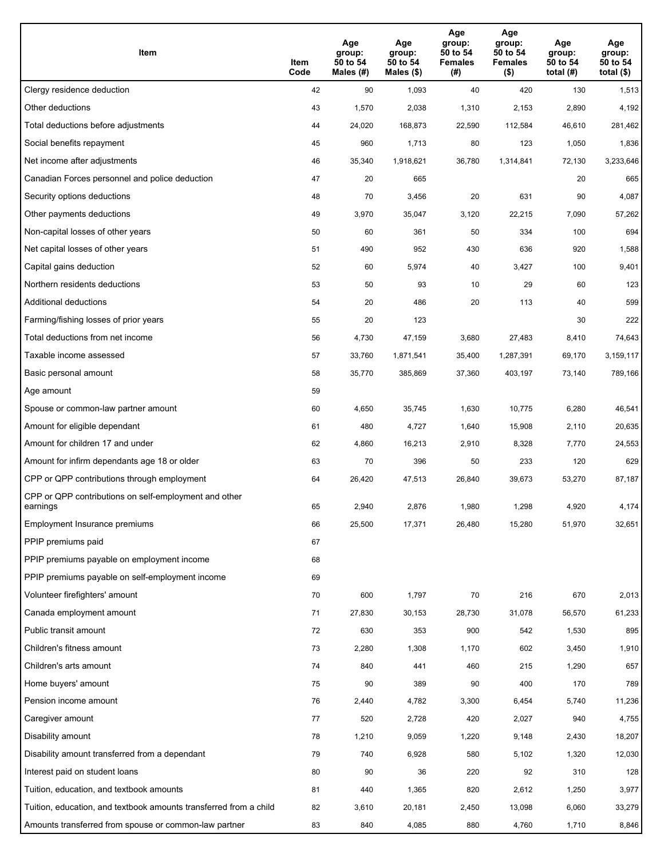| Item                                                              | Item<br>Code | Age<br>group:<br>50 to 54<br>Males (#) | Age<br>group:<br>50 to 54<br>Males (\$) | Age<br>group:<br>50 to 54<br><b>Females</b><br>(# ) | Age<br>group:<br>50 to 54<br><b>Females</b><br>$($ \$) | Age<br>group:<br>50 to 54<br>total $(#)$ | Age<br>group:<br>50 to 54<br>total $($)$ |
|-------------------------------------------------------------------|--------------|----------------------------------------|-----------------------------------------|-----------------------------------------------------|--------------------------------------------------------|------------------------------------------|------------------------------------------|
| Clergy residence deduction                                        | 42           | 90                                     | 1,093                                   | 40                                                  | 420                                                    | 130                                      | 1,513                                    |
| Other deductions                                                  | 43           | 1,570                                  | 2,038                                   | 1,310                                               | 2,153                                                  | 2,890                                    | 4,192                                    |
| Total deductions before adjustments                               | 44           | 24,020                                 | 168,873                                 | 22,590                                              | 112,584                                                | 46,610                                   | 281,462                                  |
| Social benefits repayment                                         | 45           | 960                                    | 1,713                                   | 80                                                  | 123                                                    | 1,050                                    | 1,836                                    |
| Net income after adjustments                                      | 46           | 35,340                                 | 1,918,621                               | 36,780                                              | 1,314,841                                              | 72,130                                   | 3,233,646                                |
| Canadian Forces personnel and police deduction                    | 47           | 20                                     | 665                                     |                                                     |                                                        | 20                                       | 665                                      |
| Security options deductions                                       | 48           | 70                                     | 3,456                                   | 20                                                  | 631                                                    | 90                                       | 4,087                                    |
| Other payments deductions                                         | 49           | 3,970                                  | 35,047                                  | 3,120                                               | 22,215                                                 | 7,090                                    | 57,262                                   |
| Non-capital losses of other years                                 | 50           | 60                                     | 361                                     | 50                                                  | 334                                                    | 100                                      | 694                                      |
| Net capital losses of other years                                 | 51           | 490                                    | 952                                     | 430                                                 | 636                                                    | 920                                      | 1,588                                    |
| Capital gains deduction                                           | 52           | 60                                     | 5,974                                   | 40                                                  | 3,427                                                  | 100                                      | 9,401                                    |
| Northern residents deductions                                     | 53           | 50                                     | 93                                      | 10                                                  | 29                                                     | 60                                       | 123                                      |
| Additional deductions                                             | 54           | 20                                     | 486                                     | 20                                                  | 113                                                    | 40                                       | 599                                      |
| Farming/fishing losses of prior years                             | 55           | 20                                     | 123                                     |                                                     |                                                        | 30                                       | 222                                      |
| Total deductions from net income                                  | 56           | 4,730                                  | 47,159                                  | 3,680                                               | 27,483                                                 | 8,410                                    | 74,643                                   |
| Taxable income assessed                                           | 57           | 33,760                                 | 1,871,541                               | 35,400                                              | 1,287,391                                              | 69,170                                   | 3,159,117                                |
| Basic personal amount                                             | 58           | 35,770                                 | 385,869                                 | 37,360                                              | 403,197                                                | 73,140                                   | 789,166                                  |
| Age amount                                                        | 59           |                                        |                                         |                                                     |                                                        |                                          |                                          |
| Spouse or common-law partner amount                               | 60           | 4,650                                  | 35,745                                  | 1,630                                               | 10,775                                                 | 6,280                                    | 46,541                                   |
| Amount for eligible dependant                                     | 61           | 480                                    | 4,727                                   | 1,640                                               | 15,908                                                 | 2,110                                    | 20,635                                   |
| Amount for children 17 and under                                  | 62           | 4,860                                  | 16,213                                  | 2,910                                               | 8,328                                                  | 7,770                                    | 24,553                                   |
| Amount for infirm dependants age 18 or older                      | 63           | 70                                     | 396                                     | 50                                                  | 233                                                    | 120                                      | 629                                      |
| CPP or QPP contributions through employment                       | 64           | 26,420                                 | 47,513                                  | 26,840                                              | 39,673                                                 | 53,270                                   | 87,187                                   |
| CPP or QPP contributions on self-employment and other<br>earnings | 65           | 2,940                                  | 2,876                                   | 1,980                                               | 1,298                                                  | 4,920                                    | 4,174                                    |
| Employment Insurance premiums                                     | 66           | 25,500                                 | 17,371                                  | 26,480                                              | 15,280                                                 | 51,970                                   | 32,651                                   |
| PPIP premiums paid                                                | 67           |                                        |                                         |                                                     |                                                        |                                          |                                          |
| PPIP premiums payable on employment income                        | 68           |                                        |                                         |                                                     |                                                        |                                          |                                          |
| PPIP premiums payable on self-employment income                   | 69           |                                        |                                         |                                                     |                                                        |                                          |                                          |
| Volunteer firefighters' amount                                    | 70           | 600                                    | 1,797                                   | 70                                                  | 216                                                    | 670                                      | 2,013                                    |
| Canada employment amount                                          | 71           | 27,830                                 | 30,153                                  | 28,730                                              | 31,078                                                 | 56,570                                   | 61,233                                   |
| Public transit amount                                             | 72           | 630                                    | 353                                     | 900                                                 | 542                                                    | 1,530                                    | 895                                      |
| Children's fitness amount                                         | 73           | 2,280                                  | 1,308                                   | 1,170                                               | 602                                                    | 3,450                                    | 1,910                                    |
| Children's arts amount                                            | 74           | 840                                    | 441                                     | 460                                                 | 215                                                    | 1,290                                    | 657                                      |
| Home buyers' amount                                               | 75           | 90                                     | 389                                     | 90                                                  | 400                                                    | 170                                      | 789                                      |
| Pension income amount                                             | 76           | 2,440                                  | 4,782                                   | 3,300                                               | 6,454                                                  | 5,740                                    | 11,236                                   |
| Caregiver amount                                                  | $77\,$       | 520                                    | 2,728                                   | 420                                                 | 2,027                                                  | 940                                      | 4,755                                    |
| Disability amount                                                 | 78           | 1,210                                  | 9,059                                   | 1,220                                               | 9,148                                                  | 2,430                                    | 18,207                                   |
| Disability amount transferred from a dependant                    | 79           | 740                                    | 6,928                                   | 580                                                 | 5,102                                                  | 1,320                                    | 12,030                                   |
| Interest paid on student loans                                    | 80           | 90                                     | 36                                      | 220                                                 | 92                                                     | 310                                      | 128                                      |
| Tuition, education, and textbook amounts                          | 81           | 440                                    | 1,365                                   | 820                                                 | 2,612                                                  | 1,250                                    | 3,977                                    |
| Tuition, education, and textbook amounts transferred from a child | 82           | 3,610                                  | 20,181                                  | 2,450                                               | 13,098                                                 | 6,060                                    | 33,279                                   |
| Amounts transferred from spouse or common-law partner             | 83           | 840                                    | 4,085                                   | 880                                                 | 4,760                                                  | 1,710                                    | 8,846                                    |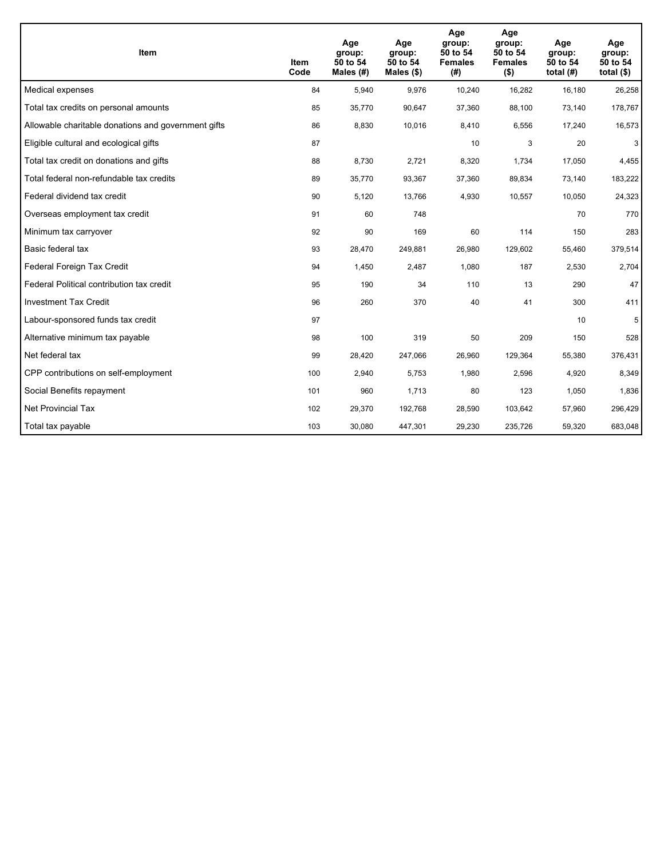| <b>Item</b>                                         | Item<br>Code | Age<br>group:<br>50 to 54<br>Males $(H)$ | Age<br>group:<br>50 to 54<br>Males $(\$)$ | Age<br>group:<br>50 to 54<br><b>Females</b><br>(#) | Age<br>group:<br>50 to 54<br><b>Females</b><br>$($ \$) | Age<br>group:<br>50 to 54<br>total $(H)$ | Age<br>group:<br>50 to 54<br>total $($)$ |
|-----------------------------------------------------|--------------|------------------------------------------|-------------------------------------------|----------------------------------------------------|--------------------------------------------------------|------------------------------------------|------------------------------------------|
| Medical expenses                                    | 84           | 5,940                                    | 9,976                                     | 10,240                                             | 16,282                                                 | 16,180                                   | 26,258                                   |
| Total tax credits on personal amounts               | 85           | 35,770                                   | 90,647                                    | 37,360                                             | 88,100                                                 | 73,140                                   | 178,767                                  |
| Allowable charitable donations and government gifts | 86           | 8,830                                    | 10,016                                    | 8,410                                              | 6,556                                                  | 17,240                                   | 16,573                                   |
| Eligible cultural and ecological gifts              | 87           |                                          |                                           | 10                                                 | 3                                                      | 20                                       | 3                                        |
| Total tax credit on donations and gifts             | 88           | 8,730                                    | 2,721                                     | 8,320                                              | 1,734                                                  | 17,050                                   | 4,455                                    |
| Total federal non-refundable tax credits            | 89           | 35,770                                   | 93,367                                    | 37,360                                             | 89,834                                                 | 73,140                                   | 183,222                                  |
| Federal dividend tax credit                         | 90           | 5,120                                    | 13,766                                    | 4,930                                              | 10,557                                                 | 10,050                                   | 24,323                                   |
| Overseas employment tax credit                      | 91           | 60                                       | 748                                       |                                                    |                                                        | 70                                       | 770                                      |
| Minimum tax carryover                               | 92           | 90                                       | 169                                       | 60                                                 | 114                                                    | 150                                      | 283                                      |
| Basic federal tax                                   | 93           | 28,470                                   | 249,881                                   | 26,980                                             | 129,602                                                | 55,460                                   | 379,514                                  |
| Federal Foreign Tax Credit                          | 94           | 1,450                                    | 2,487                                     | 1,080                                              | 187                                                    | 2,530                                    | 2,704                                    |
| Federal Political contribution tax credit           | 95           | 190                                      | 34                                        | 110                                                | 13                                                     | 290                                      | 47                                       |
| <b>Investment Tax Credit</b>                        | 96           | 260                                      | 370                                       | 40                                                 | 41                                                     | 300                                      | 411                                      |
| Labour-sponsored funds tax credit                   | 97           |                                          |                                           |                                                    |                                                        | 10                                       | 5                                        |
| Alternative minimum tax payable                     | 98           | 100                                      | 319                                       | 50                                                 | 209                                                    | 150                                      | 528                                      |
| Net federal tax                                     | 99           | 28,420                                   | 247,066                                   | 26,960                                             | 129,364                                                | 55,380                                   | 376,431                                  |
| CPP contributions on self-employment                | 100          | 2,940                                    | 5,753                                     | 1,980                                              | 2,596                                                  | 4,920                                    | 8,349                                    |
| Social Benefits repayment                           | 101          | 960                                      | 1,713                                     | 80                                                 | 123                                                    | 1,050                                    | 1,836                                    |
| Net Provincial Tax                                  | 102          | 29,370                                   | 192,768                                   | 28,590                                             | 103.642                                                | 57,960                                   | 296,429                                  |
| Total tax payable                                   | 103          | 30,080                                   | 447,301                                   | 29,230                                             | 235,726                                                | 59,320                                   | 683,048                                  |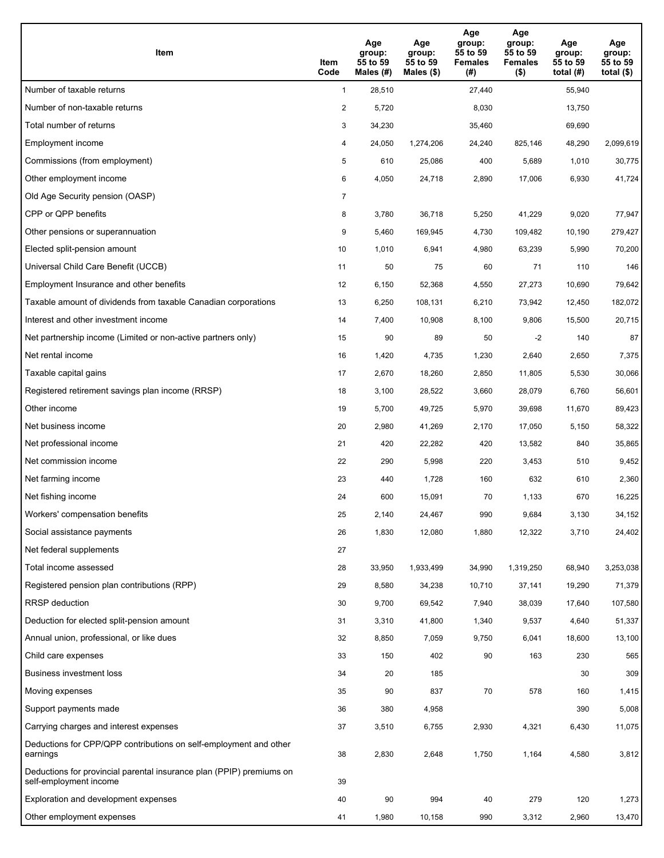| Item                                                                                           | Item<br>Code   | Age<br>group:<br>55 to 59<br>Males (#) | Age<br>group:<br>55 to 59<br>Males $(\$)$ | Age<br>group:<br>55 to 59<br><b>Females</b><br>(#) | Age<br>group:<br>55 to 59<br><b>Females</b><br>$($ \$) | Age<br>group:<br>55 to 59<br>total (#) | Age<br>group:<br>55 to 59<br>total $($ |
|------------------------------------------------------------------------------------------------|----------------|----------------------------------------|-------------------------------------------|----------------------------------------------------|--------------------------------------------------------|----------------------------------------|----------------------------------------|
| Number of taxable returns                                                                      | $\mathbf{1}$   | 28,510                                 |                                           | 27,440                                             |                                                        | 55,940                                 |                                        |
| Number of non-taxable returns                                                                  | $\overline{a}$ | 5,720                                  |                                           | 8,030                                              |                                                        | 13,750                                 |                                        |
| Total number of returns                                                                        | 3              | 34,230                                 |                                           | 35,460                                             |                                                        | 69,690                                 |                                        |
| Employment income                                                                              | 4              | 24,050                                 | 1,274,206                                 | 24,240                                             | 825.146                                                | 48,290                                 | 2,099,619                              |
| Commissions (from employment)                                                                  | 5              | 610                                    | 25,086                                    | 400                                                | 5,689                                                  | 1,010                                  | 30,775                                 |
| Other employment income                                                                        | 6              | 4,050                                  | 24,718                                    | 2,890                                              | 17,006                                                 | 6,930                                  | 41,724                                 |
| Old Age Security pension (OASP)                                                                | 7              |                                        |                                           |                                                    |                                                        |                                        |                                        |
| CPP or QPP benefits                                                                            | 8              | 3,780                                  | 36,718                                    | 5,250                                              | 41,229                                                 | 9,020                                  | 77,947                                 |
| Other pensions or superannuation                                                               | 9              | 5,460                                  | 169,945                                   | 4,730                                              | 109,482                                                | 10,190                                 | 279,427                                |
| Elected split-pension amount                                                                   | 10             | 1,010                                  | 6,941                                     | 4,980                                              | 63,239                                                 | 5,990                                  | 70,200                                 |
| Universal Child Care Benefit (UCCB)                                                            | 11             | 50                                     | 75                                        | 60                                                 | 71                                                     | 110                                    | 146                                    |
| Employment Insurance and other benefits                                                        | 12             | 6,150                                  | 52,368                                    | 4,550                                              | 27,273                                                 | 10,690                                 | 79,642                                 |
| Taxable amount of dividends from taxable Canadian corporations                                 | 13             | 6,250                                  | 108,131                                   | 6,210                                              | 73,942                                                 | 12,450                                 | 182,072                                |
| Interest and other investment income                                                           | 14             | 7,400                                  | 10,908                                    | 8,100                                              | 9,806                                                  | 15,500                                 | 20,715                                 |
| Net partnership income (Limited or non-active partners only)                                   | 15             | 90                                     | 89                                        | 50                                                 | $-2$                                                   | 140                                    | 87                                     |
| Net rental income                                                                              | 16             | 1,420                                  | 4,735                                     | 1,230                                              | 2,640                                                  | 2,650                                  | 7,375                                  |
| Taxable capital gains                                                                          | 17             | 2,670                                  | 18,260                                    | 2,850                                              | 11,805                                                 | 5,530                                  | 30,066                                 |
| Registered retirement savings plan income (RRSP)                                               | 18             | 3,100                                  | 28,522                                    | 3,660                                              | 28,079                                                 | 6,760                                  | 56,601                                 |
| Other income                                                                                   | 19             | 5,700                                  | 49,725                                    | 5,970                                              | 39,698                                                 | 11,670                                 | 89,423                                 |
| Net business income                                                                            | 20             | 2,980                                  | 41,269                                    | 2,170                                              | 17,050                                                 | 5,150                                  | 58,322                                 |
| Net professional income                                                                        | 21             | 420                                    | 22,282                                    | 420                                                | 13,582                                                 | 840                                    | 35,865                                 |
| Net commission income                                                                          | 22             | 290                                    | 5,998                                     | 220                                                | 3,453                                                  | 510                                    | 9,452                                  |
| Net farming income                                                                             | 23             | 440                                    | 1,728                                     | 160                                                | 632                                                    | 610                                    | 2,360                                  |
| Net fishing income                                                                             | 24             | 600                                    | 15,091                                    | 70                                                 | 1,133                                                  | 670                                    | 16,225                                 |
| Workers' compensation benefits                                                                 | 25             | 2,140                                  | 24,467                                    | 990                                                | 9,684                                                  | 3,130                                  | 34,152                                 |
| Social assistance payments                                                                     | 26             | 1,830                                  | 12,080                                    | 1,880                                              | 12,322                                                 | 3,710                                  | 24,402                                 |
| Net federal supplements                                                                        | 27             |                                        |                                           |                                                    |                                                        |                                        |                                        |
| Total income assessed                                                                          | 28             | 33,950                                 | 1,933,499                                 | 34,990                                             | 1,319,250                                              | 68,940                                 | 3,253,038                              |
| Registered pension plan contributions (RPP)                                                    | 29             | 8,580                                  | 34,238                                    | 10,710                                             | 37,141                                                 | 19,290                                 | 71,379                                 |
| RRSP deduction                                                                                 | 30             | 9,700                                  | 69,542                                    | 7,940                                              | 38,039                                                 | 17,640                                 | 107,580                                |
| Deduction for elected split-pension amount                                                     | 31             | 3,310                                  | 41,800                                    | 1,340                                              | 9,537                                                  | 4,640                                  | 51,337                                 |
| Annual union, professional, or like dues                                                       | 32             | 8,850                                  | 7,059                                     | 9,750                                              | 6,041                                                  | 18,600                                 | 13,100                                 |
| Child care expenses                                                                            | 33             | 150                                    | 402                                       | 90                                                 | 163                                                    | 230                                    | 565                                    |
| Business investment loss                                                                       | 34             | 20                                     | 185                                       |                                                    |                                                        | 30                                     | 309                                    |
| Moving expenses                                                                                | 35             | 90                                     | 837                                       | 70                                                 | 578                                                    | 160                                    | 1,415                                  |
| Support payments made                                                                          | 36             | 380                                    | 4,958                                     |                                                    |                                                        | 390                                    | 5,008                                  |
| Carrying charges and interest expenses                                                         | 37             | 3,510                                  | 6,755                                     | 2,930                                              | 4,321                                                  | 6,430                                  | 11,075                                 |
| Deductions for CPP/QPP contributions on self-employment and other<br>earnings                  | 38             | 2,830                                  | 2,648                                     | 1,750                                              | 1,164                                                  | 4,580                                  | 3,812                                  |
| Deductions for provincial parental insurance plan (PPIP) premiums on<br>self-employment income | 39             |                                        |                                           |                                                    |                                                        |                                        |                                        |
| Exploration and development expenses                                                           | 40             | 90                                     | 994                                       | 40                                                 | 279                                                    | 120                                    | 1,273                                  |
| Other employment expenses                                                                      | 41             | 1,980                                  | 10,158                                    | 990                                                | 3,312                                                  | 2,960                                  | 13,470                                 |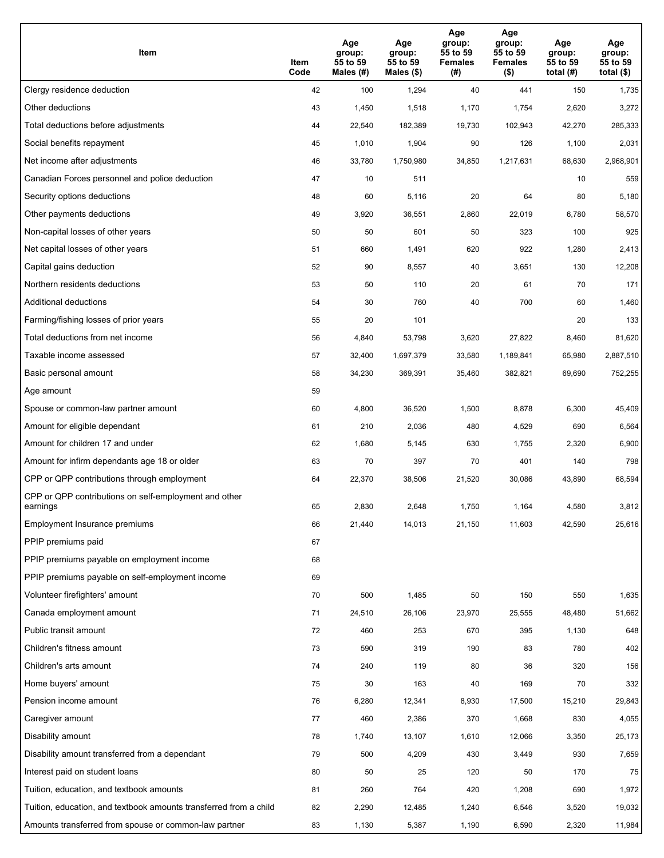| Item                                                              | Item<br>Code | Age<br>group:<br>55 to 59<br>Males (#) | Age<br>group:<br>55 to 59<br>Males (\$) | Age<br>group:<br>55 to 59<br><b>Females</b><br>(# ) | Age<br>group:<br>55 to 59<br><b>Females</b><br>$($ \$) | Age<br>group:<br>55 to 59<br>total $(H)$ | Age<br>group:<br>55 to 59<br>total $($)$ |
|-------------------------------------------------------------------|--------------|----------------------------------------|-----------------------------------------|-----------------------------------------------------|--------------------------------------------------------|------------------------------------------|------------------------------------------|
| Clergy residence deduction                                        | 42           | 100                                    | 1,294                                   | 40                                                  | 441                                                    | 150                                      | 1,735                                    |
| Other deductions                                                  | 43           | 1,450                                  | 1,518                                   | 1,170                                               | 1,754                                                  | 2,620                                    | 3,272                                    |
| Total deductions before adjustments                               | 44           | 22,540                                 | 182,389                                 | 19,730                                              | 102,943                                                | 42,270                                   | 285,333                                  |
| Social benefits repayment                                         | 45           | 1,010                                  | 1,904                                   | 90                                                  | 126                                                    | 1,100                                    | 2,031                                    |
| Net income after adjustments                                      | 46           | 33,780                                 | 1,750,980                               | 34,850                                              | 1,217,631                                              | 68,630                                   | 2,968,901                                |
| Canadian Forces personnel and police deduction                    | 47           | 10                                     | 511                                     |                                                     |                                                        | 10                                       | 559                                      |
| Security options deductions                                       | 48           | 60                                     | 5,116                                   | 20                                                  | 64                                                     | 80                                       | 5,180                                    |
| Other payments deductions                                         | 49           | 3,920                                  | 36,551                                  | 2,860                                               | 22,019                                                 | 6,780                                    | 58,570                                   |
| Non-capital losses of other years                                 | 50           | 50                                     | 601                                     | 50                                                  | 323                                                    | 100                                      | 925                                      |
| Net capital losses of other years                                 | 51           | 660                                    | 1,491                                   | 620                                                 | 922                                                    | 1,280                                    | 2,413                                    |
| Capital gains deduction                                           | 52           | 90                                     | 8,557                                   | 40                                                  | 3,651                                                  | 130                                      | 12,208                                   |
| Northern residents deductions                                     | 53           | 50                                     | 110                                     | 20                                                  | 61                                                     | 70                                       | 171                                      |
| Additional deductions                                             | 54           | 30                                     | 760                                     | 40                                                  | 700                                                    | 60                                       | 1,460                                    |
| Farming/fishing losses of prior years                             | 55           | 20                                     | 101                                     |                                                     |                                                        | 20                                       | 133                                      |
| Total deductions from net income                                  | 56           | 4,840                                  | 53,798                                  | 3,620                                               | 27,822                                                 | 8,460                                    | 81,620                                   |
| Taxable income assessed                                           | 57           | 32,400                                 | 1,697,379                               | 33,580                                              | 1,189,841                                              | 65,980                                   | 2,887,510                                |
| Basic personal amount                                             | 58           | 34,230                                 | 369,391                                 | 35,460                                              | 382,821                                                | 69,690                                   | 752,255                                  |
| Age amount                                                        | 59           |                                        |                                         |                                                     |                                                        |                                          |                                          |
| Spouse or common-law partner amount                               | 60           | 4,800                                  | 36,520                                  | 1,500                                               | 8,878                                                  | 6,300                                    | 45,409                                   |
| Amount for eligible dependant                                     | 61           | 210                                    | 2,036                                   | 480                                                 | 4,529                                                  | 690                                      | 6,564                                    |
| Amount for children 17 and under                                  | 62           | 1,680                                  | 5,145                                   | 630                                                 | 1,755                                                  | 2,320                                    | 6,900                                    |
| Amount for infirm dependants age 18 or older                      | 63           | 70                                     | 397                                     | 70                                                  | 401                                                    | 140                                      | 798                                      |
| CPP or QPP contributions through employment                       | 64           | 22,370                                 | 38,506                                  | 21,520                                              | 30,086                                                 | 43,890                                   | 68,594                                   |
| CPP or QPP contributions on self-employment and other<br>earnings | 65           | 2,830                                  | 2,648                                   | 1.750                                               | 1.164                                                  | 4,580                                    | 3,812                                    |
| Employment Insurance premiums                                     | 66           | 21,440                                 | 14,013                                  | 21,150                                              | 11,603                                                 | 42,590                                   | 25,616                                   |
| PPIP premiums paid                                                | 67           |                                        |                                         |                                                     |                                                        |                                          |                                          |
| PPIP premiums payable on employment income                        | 68           |                                        |                                         |                                                     |                                                        |                                          |                                          |
| PPIP premiums payable on self-employment income                   | 69           |                                        |                                         |                                                     |                                                        |                                          |                                          |
| Volunteer firefighters' amount                                    | 70           | 500                                    | 1,485                                   | 50                                                  | 150                                                    | 550                                      | 1,635                                    |
| Canada employment amount                                          | 71           | 24,510                                 | 26,106                                  | 23,970                                              | 25,555                                                 | 48,480                                   | 51,662                                   |
| Public transit amount                                             | 72           | 460                                    | 253                                     | 670                                                 | 395                                                    | 1,130                                    | 648                                      |
| Children's fitness amount                                         | 73           | 590                                    | 319                                     | 190                                                 | 83                                                     | 780                                      | 402                                      |
| Children's arts amount                                            | 74           | 240                                    | 119                                     | 80                                                  | 36                                                     | 320                                      | 156                                      |
| Home buyers' amount                                               | 75           | 30                                     | 163                                     | 40                                                  | 169                                                    | 70                                       | 332                                      |
| Pension income amount                                             | 76           | 6,280                                  | 12,341                                  | 8,930                                               | 17,500                                                 | 15,210                                   | 29,843                                   |
| Caregiver amount                                                  | $77\,$       | 460                                    | 2,386                                   | 370                                                 | 1,668                                                  | 830                                      | 4,055                                    |
| Disability amount                                                 | 78           | 1,740                                  | 13,107                                  | 1,610                                               | 12,066                                                 | 3,350                                    | 25,173                                   |
| Disability amount transferred from a dependant                    | 79           | 500                                    | 4,209                                   | 430                                                 | 3,449                                                  | 930                                      | 7,659                                    |
| Interest paid on student loans                                    | 80           | 50                                     | 25                                      | 120                                                 | 50                                                     | 170                                      | 75                                       |
| Tuition, education, and textbook amounts                          | 81           | 260                                    | 764                                     | 420                                                 | 1,208                                                  | 690                                      | 1,972                                    |
| Tuition, education, and textbook amounts transferred from a child | 82           | 2,290                                  | 12,485                                  | 1,240                                               | 6,546                                                  | 3,520                                    | 19,032                                   |
| Amounts transferred from spouse or common-law partner             | 83           | 1,130                                  | 5,387                                   | 1,190                                               | 6,590                                                  | 2,320                                    | 11,984                                   |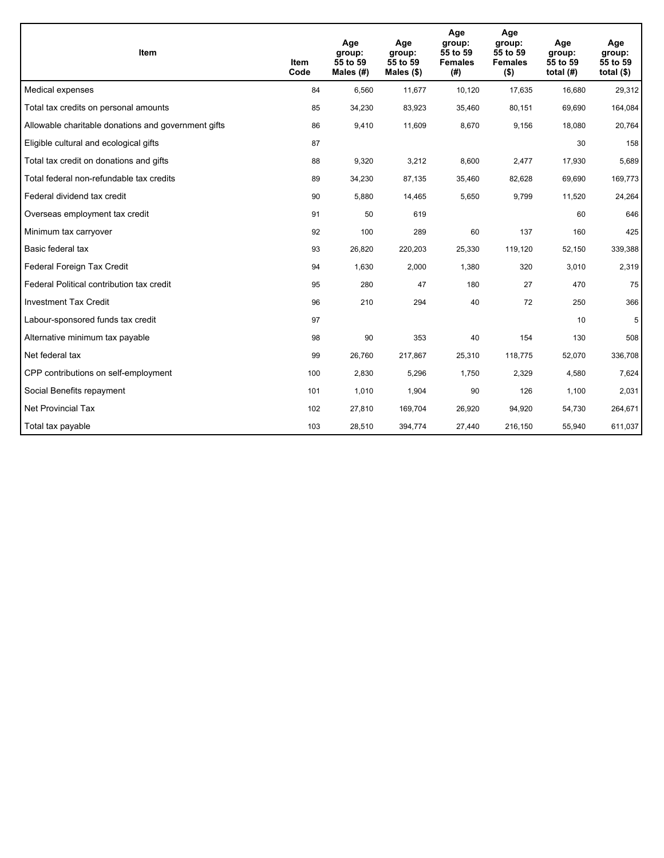| <b>Item</b>                                         | Item<br>Code | Age<br>group:<br>55 to 59<br>Males (#) | Age<br>group:<br>55 to 59<br>Males $(\$)$ | Age<br>group:<br>55 to 59<br><b>Females</b><br>(#) | Age<br>group:<br>55 to 59<br><b>Females</b><br>$($ \$) | Age<br>group:<br>55 to 59<br>total $(H)$ | Age<br>group:<br>55 to 59<br>total $($)$ |
|-----------------------------------------------------|--------------|----------------------------------------|-------------------------------------------|----------------------------------------------------|--------------------------------------------------------|------------------------------------------|------------------------------------------|
| Medical expenses                                    | 84           | 6,560                                  | 11,677                                    | 10,120                                             | 17,635                                                 | 16,680                                   | 29,312                                   |
| Total tax credits on personal amounts               | 85           | 34,230                                 | 83,923                                    | 35,460                                             | 80,151                                                 | 69,690                                   | 164,084                                  |
| Allowable charitable donations and government gifts | 86           | 9,410                                  | 11,609                                    | 8,670                                              | 9,156                                                  | 18,080                                   | 20,764                                   |
| Eligible cultural and ecological gifts              | 87           |                                        |                                           |                                                    |                                                        | 30                                       | 158                                      |
| Total tax credit on donations and gifts             | 88           | 9,320                                  | 3,212                                     | 8,600                                              | 2,477                                                  | 17,930                                   | 5,689                                    |
| Total federal non-refundable tax credits            | 89           | 34,230                                 | 87,135                                    | 35,460                                             | 82,628                                                 | 69,690                                   | 169,773                                  |
| Federal dividend tax credit                         | 90           | 5,880                                  | 14,465                                    | 5,650                                              | 9,799                                                  | 11,520                                   | 24,264                                   |
| Overseas employment tax credit                      | 91           | 50                                     | 619                                       |                                                    |                                                        | 60                                       | 646                                      |
| Minimum tax carryover                               | 92           | 100                                    | 289                                       | 60                                                 | 137                                                    | 160                                      | 425                                      |
| Basic federal tax                                   | 93           | 26,820                                 | 220,203                                   | 25,330                                             | 119,120                                                | 52,150                                   | 339,388                                  |
| Federal Foreign Tax Credit                          | 94           | 1,630                                  | 2,000                                     | 1,380                                              | 320                                                    | 3,010                                    | 2,319                                    |
| Federal Political contribution tax credit           | 95           | 280                                    | 47                                        | 180                                                | 27                                                     | 470                                      | 75                                       |
| <b>Investment Tax Credit</b>                        | 96           | 210                                    | 294                                       | 40                                                 | 72                                                     | 250                                      | 366                                      |
| Labour-sponsored funds tax credit                   | 97           |                                        |                                           |                                                    |                                                        | 10                                       | 5                                        |
| Alternative minimum tax payable                     | 98           | 90                                     | 353                                       | 40                                                 | 154                                                    | 130                                      | 508                                      |
| Net federal tax                                     | 99           | 26,760                                 | 217,867                                   | 25,310                                             | 118,775                                                | 52,070                                   | 336,708                                  |
| CPP contributions on self-employment                | 100          | 2,830                                  | 5,296                                     | 1,750                                              | 2,329                                                  | 4,580                                    | 7,624                                    |
| Social Benefits repayment                           | 101          | 1,010                                  | 1,904                                     | 90                                                 | 126                                                    | 1,100                                    | 2,031                                    |
| Net Provincial Tax                                  | 102          | 27,810                                 | 169,704                                   | 26,920                                             | 94,920                                                 | 54,730                                   | 264,671                                  |
| Total tax payable                                   | 103          | 28,510                                 | 394,774                                   | 27,440                                             | 216,150                                                | 55,940                                   | 611,037                                  |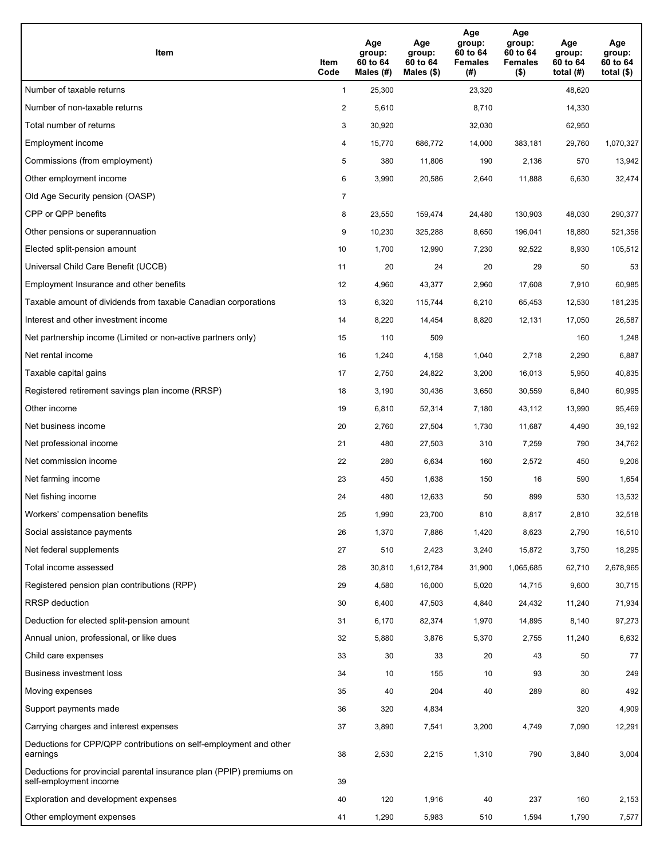| Item                                                                                           | Item<br>Code   | Age<br>group:<br>60 to 64<br>Males (#) | Age<br>group:<br>60 to 64<br>Males $(\$)$ | Age<br>group:<br>60 to 64<br><b>Females</b><br>(#) | Age<br>group:<br>60 to 64<br><b>Females</b><br>$($ \$) | Age<br>group:<br>60 to 64<br>total $(H)$ | Age<br>group:<br>60 to 64<br>total $($ |
|------------------------------------------------------------------------------------------------|----------------|----------------------------------------|-------------------------------------------|----------------------------------------------------|--------------------------------------------------------|------------------------------------------|----------------------------------------|
| Number of taxable returns                                                                      | $\mathbf{1}$   | 25,300                                 |                                           | 23,320                                             |                                                        | 48,620                                   |                                        |
| Number of non-taxable returns                                                                  | $\overline{a}$ | 5,610                                  |                                           | 8,710                                              |                                                        | 14,330                                   |                                        |
| Total number of returns                                                                        | 3              | 30,920                                 |                                           | 32,030                                             |                                                        | 62,950                                   |                                        |
| Employment income                                                                              | 4              | 15,770                                 | 686,772                                   | 14,000                                             | 383,181                                                | 29,760                                   | 1,070,327                              |
| Commissions (from employment)                                                                  | 5              | 380                                    | 11,806                                    | 190                                                | 2,136                                                  | 570                                      | 13,942                                 |
| Other employment income                                                                        | 6              | 3,990                                  | 20,586                                    | 2,640                                              | 11,888                                                 | 6,630                                    | 32,474                                 |
| Old Age Security pension (OASP)                                                                | $\overline{7}$ |                                        |                                           |                                                    |                                                        |                                          |                                        |
| CPP or QPP benefits                                                                            | 8              | 23,550                                 | 159,474                                   | 24,480                                             | 130,903                                                | 48,030                                   | 290,377                                |
| Other pensions or superannuation                                                               | 9              | 10,230                                 | 325,288                                   | 8,650                                              | 196,041                                                | 18,880                                   | 521,356                                |
| Elected split-pension amount                                                                   | 10             | 1,700                                  | 12,990                                    | 7,230                                              | 92,522                                                 | 8,930                                    | 105,512                                |
| Universal Child Care Benefit (UCCB)                                                            | 11             | 20                                     | 24                                        | 20                                                 | 29                                                     | 50                                       | 53                                     |
| Employment Insurance and other benefits                                                        | 12             | 4,960                                  | 43,377                                    | 2,960                                              | 17,608                                                 | 7,910                                    | 60,985                                 |
| Taxable amount of dividends from taxable Canadian corporations                                 | 13             | 6,320                                  | 115,744                                   | 6,210                                              | 65,453                                                 | 12,530                                   | 181,235                                |
| Interest and other investment income                                                           | 14             | 8,220                                  | 14,454                                    | 8,820                                              | 12,131                                                 | 17,050                                   | 26,587                                 |
| Net partnership income (Limited or non-active partners only)                                   | 15             | 110                                    | 509                                       |                                                    |                                                        | 160                                      | 1,248                                  |
| Net rental income                                                                              | 16             | 1,240                                  | 4,158                                     | 1,040                                              | 2,718                                                  | 2,290                                    | 6,887                                  |
| Taxable capital gains                                                                          | 17             | 2,750                                  | 24,822                                    | 3,200                                              | 16,013                                                 | 5,950                                    | 40,835                                 |
| Registered retirement savings plan income (RRSP)                                               | 18             | 3,190                                  | 30,436                                    | 3,650                                              | 30,559                                                 | 6,840                                    | 60,995                                 |
| Other income                                                                                   | 19             | 6,810                                  | 52,314                                    | 7,180                                              | 43,112                                                 | 13,990                                   | 95,469                                 |
| Net business income                                                                            | 20             | 2,760                                  | 27,504                                    | 1,730                                              | 11,687                                                 | 4,490                                    | 39,192                                 |
| Net professional income                                                                        | 21             | 480                                    | 27,503                                    | 310                                                | 7,259                                                  | 790                                      | 34,762                                 |
| Net commission income                                                                          | 22             | 280                                    | 6,634                                     | 160                                                | 2,572                                                  | 450                                      | 9,206                                  |
| Net farming income                                                                             | 23             | 450                                    | 1,638                                     | 150                                                | 16                                                     | 590                                      | 1,654                                  |
| Net fishing income                                                                             | 24             | 480                                    | 12,633                                    | 50                                                 | 899                                                    | 530                                      | 13,532                                 |
| Workers' compensation benefits                                                                 | 25             | 1,990                                  | 23,700                                    | 810                                                | 8,817                                                  | 2,810                                    | 32,518                                 |
| Social assistance payments                                                                     | 26             | 1,370                                  | 7,886                                     | 1,420                                              | 8,623                                                  | 2,790                                    | 16,510                                 |
| Net federal supplements                                                                        | 27             | 510                                    | 2,423                                     | 3,240                                              | 15,872                                                 | 3,750                                    | 18,295                                 |
| Total income assessed                                                                          | 28             | 30,810                                 | 1,612,784                                 | 31,900                                             | 1,065,685                                              | 62,710                                   | 2,678,965                              |
| Registered pension plan contributions (RPP)                                                    | 29             | 4,580                                  | 16,000                                    | 5,020                                              | 14,715                                                 | 9,600                                    | 30,715                                 |
| RRSP deduction                                                                                 | 30             | 6,400                                  | 47,503                                    | 4,840                                              | 24,432                                                 | 11,240                                   | 71,934                                 |
| Deduction for elected split-pension amount                                                     | 31             | 6,170                                  | 82,374                                    | 1,970                                              | 14,895                                                 | 8,140                                    | 97,273                                 |
| Annual union, professional, or like dues                                                       | 32             | 5,880                                  | 3,876                                     | 5,370                                              | 2,755                                                  | 11,240                                   | 6,632                                  |
| Child care expenses                                                                            | 33             | 30                                     | 33                                        | 20                                                 | 43                                                     | 50                                       | 77                                     |
| Business investment loss                                                                       | 34             | 10                                     | 155                                       | 10                                                 | 93                                                     | 30                                       | 249                                    |
| Moving expenses                                                                                | 35             | 40                                     | 204                                       | 40                                                 | 289                                                    | 80                                       | 492                                    |
| Support payments made                                                                          | 36             | 320                                    | 4,834                                     |                                                    |                                                        | 320                                      | 4,909                                  |
| Carrying charges and interest expenses                                                         | 37             | 3,890                                  | 7,541                                     | 3,200                                              | 4,749                                                  | 7,090                                    | 12,291                                 |
| Deductions for CPP/QPP contributions on self-employment and other<br>earnings                  | 38             | 2,530                                  | 2,215                                     | 1,310                                              | 790                                                    | 3,840                                    | 3,004                                  |
| Deductions for provincial parental insurance plan (PPIP) premiums on<br>self-employment income | 39             |                                        |                                           |                                                    |                                                        |                                          |                                        |
| Exploration and development expenses                                                           | 40             | 120                                    | 1,916                                     | 40                                                 | 237                                                    | 160                                      | 2,153                                  |
| Other employment expenses                                                                      | 41             | 1,290                                  | 5,983                                     | 510                                                | 1,594                                                  | 1,790                                    | 7,577                                  |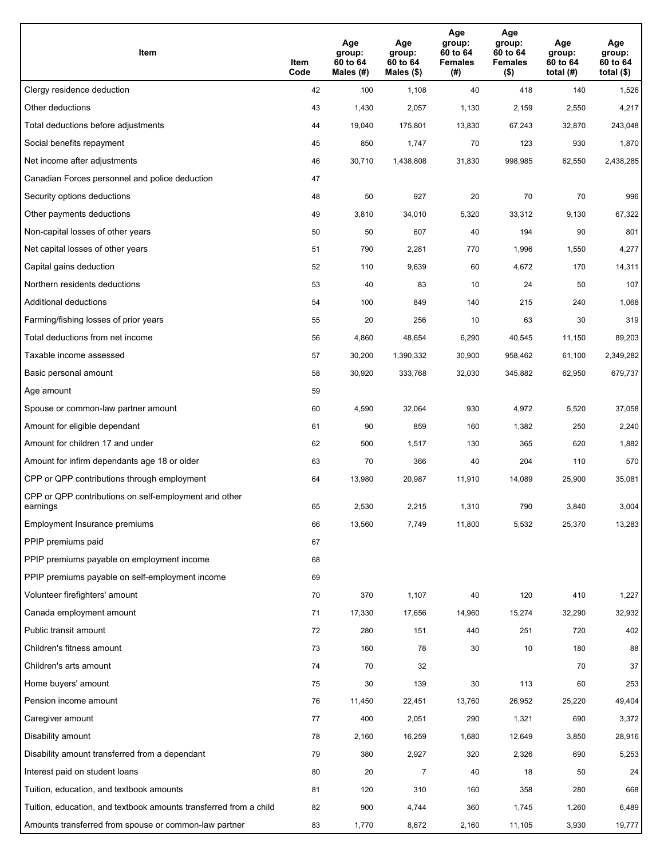| Item                                                              | Item<br>Code | Age<br>group:<br>60 to 64<br>Males (#) | Age<br>group:<br>60 to 64<br>Males (\$) | Age<br>group:<br>60 to 64<br><b>Females</b><br>(# ) | Age<br>group:<br>60 to 64<br><b>Females</b><br>$($ \$) | Age<br>group:<br>60 to 64<br>total $(H)$ | Age<br>group:<br>60 to 64<br>total $($)$ |
|-------------------------------------------------------------------|--------------|----------------------------------------|-----------------------------------------|-----------------------------------------------------|--------------------------------------------------------|------------------------------------------|------------------------------------------|
| Clergy residence deduction                                        | 42           | 100                                    | 1,108                                   | 40                                                  | 418                                                    | 140                                      | 1,526                                    |
| Other deductions                                                  | 43           | 1,430                                  | 2,057                                   | 1,130                                               | 2,159                                                  | 2,550                                    | 4,217                                    |
| Total deductions before adjustments                               | 44           | 19,040                                 | 175,801                                 | 13,830                                              | 67,243                                                 | 32,870                                   | 243,048                                  |
| Social benefits repayment                                         | 45           | 850                                    | 1,747                                   | 70                                                  | 123                                                    | 930                                      | 1,870                                    |
| Net income after adjustments                                      | 46           | 30,710                                 | 1,438,808                               | 31,830                                              | 998,985                                                | 62,550                                   | 2,438,285                                |
| Canadian Forces personnel and police deduction                    | 47           |                                        |                                         |                                                     |                                                        |                                          |                                          |
| Security options deductions                                       | 48           | 50                                     | 927                                     | 20                                                  | 70                                                     | 70                                       | 996                                      |
| Other payments deductions                                         | 49           | 3,810                                  | 34,010                                  | 5,320                                               | 33,312                                                 | 9,130                                    | 67,322                                   |
| Non-capital losses of other years                                 | 50           | 50                                     | 607                                     | 40                                                  | 194                                                    | 90                                       | 801                                      |
| Net capital losses of other years                                 | 51           | 790                                    | 2,281                                   | 770                                                 | 1,996                                                  | 1,550                                    | 4,277                                    |
| Capital gains deduction                                           | 52           | 110                                    | 9,639                                   | 60                                                  | 4,672                                                  | 170                                      | 14,311                                   |
| Northern residents deductions                                     | 53           | 40                                     | 83                                      | 10                                                  | 24                                                     | 50                                       | 107                                      |
| Additional deductions                                             | 54           | 100                                    | 849                                     | 140                                                 | 215                                                    | 240                                      | 1,068                                    |
| Farming/fishing losses of prior years                             | 55           | 20                                     | 256                                     | 10                                                  | 63                                                     | 30                                       | 319                                      |
| Total deductions from net income                                  | 56           | 4,860                                  | 48,654                                  | 6,290                                               | 40,545                                                 | 11,150                                   | 89,203                                   |
| Taxable income assessed                                           | 57           | 30,200                                 | 1,390,332                               | 30,900                                              | 958,462                                                | 61,100                                   | 2,349,282                                |
| Basic personal amount                                             | 58           | 30,920                                 | 333,768                                 | 32,030                                              | 345,882                                                | 62,950                                   | 679,737                                  |
| Age amount                                                        | 59           |                                        |                                         |                                                     |                                                        |                                          |                                          |
| Spouse or common-law partner amount                               | 60           | 4,590                                  | 32,064                                  | 930                                                 | 4,972                                                  | 5,520                                    | 37,058                                   |
| Amount for eligible dependant                                     | 61           | 90                                     | 859                                     | 160                                                 | 1,382                                                  | 250                                      | 2,240                                    |
| Amount for children 17 and under                                  | 62           | 500                                    | 1,517                                   | 130                                                 | 365                                                    | 620                                      | 1,882                                    |
| Amount for infirm dependants age 18 or older                      | 63           | 70                                     | 366                                     | 40                                                  | 204                                                    | 110                                      | 570                                      |
| CPP or QPP contributions through employment                       | 64           | 13,980                                 | 20,987                                  | 11,910                                              | 14,089                                                 | 25,900                                   | 35,081                                   |
| CPP or QPP contributions on self-employment and other<br>earnings | 65           | 2,530                                  | 2,215                                   | 1.310                                               | 790                                                    | 3,840                                    | 3,004                                    |
| Employment Insurance premiums                                     | 66           | 13,560                                 | 7,749                                   | 11,800                                              | 5,532                                                  | 25,370                                   | 13,283                                   |
| PPIP premiums paid                                                | 67           |                                        |                                         |                                                     |                                                        |                                          |                                          |
| PPIP premiums payable on employment income                        | 68           |                                        |                                         |                                                     |                                                        |                                          |                                          |
| PPIP premiums payable on self-employment income                   | 69           |                                        |                                         |                                                     |                                                        |                                          |                                          |
| Volunteer firefighters' amount                                    | 70           | 370                                    | 1,107                                   | 40                                                  | 120                                                    | 410                                      | 1,227                                    |
| Canada employment amount                                          | 71           | 17,330                                 | 17,656                                  | 14,960                                              | 15,274                                                 | 32,290                                   | 32,932                                   |
| Public transit amount                                             | 72           | 280                                    | 151                                     | 440                                                 | 251                                                    | 720                                      | 402                                      |
| Children's fitness amount                                         | 73           | 160                                    | 78                                      | 30                                                  | 10                                                     | 180                                      | 88                                       |
| Children's arts amount                                            | 74           | 70                                     | 32                                      |                                                     |                                                        | 70                                       | 37                                       |
| Home buyers' amount                                               | 75           | 30                                     | 139                                     | 30                                                  | 113                                                    | 60                                       | 253                                      |
| Pension income amount                                             | 76           | 11,450                                 | 22,451                                  | 13,760                                              | 26,952                                                 | 25,220                                   | 49,404                                   |
| Caregiver amount                                                  | 77           | 400                                    | 2,051                                   | 290                                                 | 1,321                                                  | 690                                      | 3,372                                    |
| Disability amount                                                 | 78           | 2,160                                  | 16,259                                  | 1,680                                               | 12,649                                                 | 3,850                                    | 28,916                                   |
| Disability amount transferred from a dependant                    | 79           | 380                                    | 2,927                                   | 320                                                 | 2,326                                                  | 690                                      | 5,253                                    |
| Interest paid on student loans                                    | 80           | 20                                     | 7                                       | 40                                                  | 18                                                     | 50                                       | 24                                       |
| Tuition, education, and textbook amounts                          | 81           | 120                                    | 310                                     | 160                                                 | 358                                                    | 280                                      | 668                                      |
| Tuition, education, and textbook amounts transferred from a child | 82           | 900                                    | 4,744                                   | 360                                                 | 1,745                                                  | 1,260                                    | 6,489                                    |
| Amounts transferred from spouse or common-law partner             | 83           | 1,770                                  | 8,672                                   | 2,160                                               | 11,105                                                 | 3,930                                    | 19,777                                   |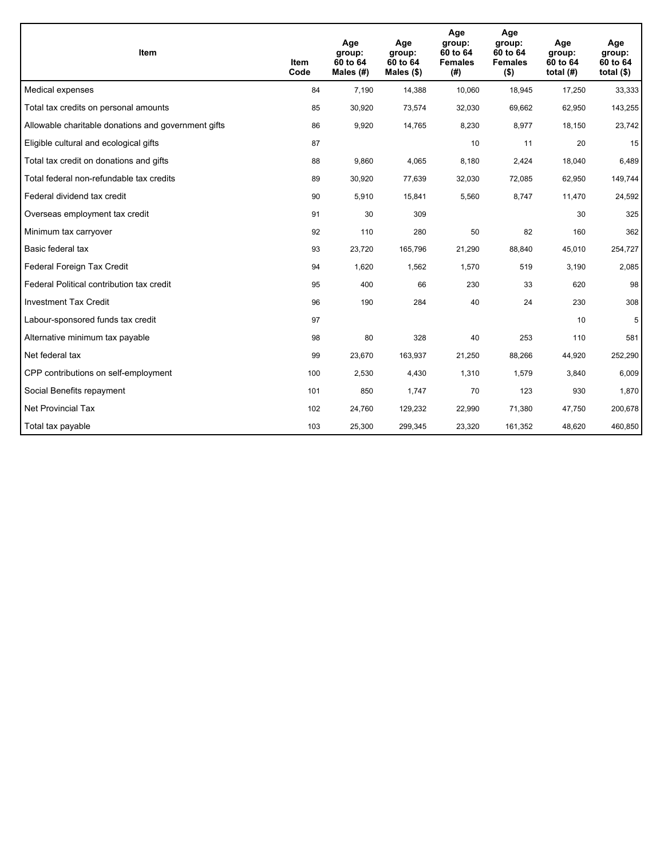| <b>Item</b>                                         | Item<br>Code | Age<br>group:<br>60 to 64<br>Males $(H)$ | Age<br>group:<br>60 to 64<br>Males $(\$)$ | Age<br>group:<br>60 to 64<br><b>Females</b><br>(#) | Age<br>group:<br>60 to 64<br><b>Females</b><br>$($ \$) | Age<br>group:<br>60 to 64<br>total $(H)$ | Age<br>group:<br>60 to 64<br>total $($)$ |
|-----------------------------------------------------|--------------|------------------------------------------|-------------------------------------------|----------------------------------------------------|--------------------------------------------------------|------------------------------------------|------------------------------------------|
| Medical expenses                                    | 84           | 7,190                                    | 14,388                                    | 10,060                                             | 18,945                                                 | 17,250                                   | 33,333                                   |
| Total tax credits on personal amounts               | 85           | 30,920                                   | 73,574                                    | 32,030                                             | 69,662                                                 | 62,950                                   | 143,255                                  |
| Allowable charitable donations and government gifts | 86           | 9,920                                    | 14,765                                    | 8,230                                              | 8,977                                                  | 18,150                                   | 23,742                                   |
| Eligible cultural and ecological gifts              | 87           |                                          |                                           | 10                                                 | 11                                                     | 20                                       | 15                                       |
| Total tax credit on donations and gifts             | 88           | 9,860                                    | 4,065                                     | 8,180                                              | 2,424                                                  | 18,040                                   | 6,489                                    |
| Total federal non-refundable tax credits            | 89           | 30,920                                   | 77,639                                    | 32,030                                             | 72,085                                                 | 62,950                                   | 149,744                                  |
| Federal dividend tax credit                         | 90           | 5,910                                    | 15,841                                    | 5,560                                              | 8,747                                                  | 11,470                                   | 24,592                                   |
| Overseas employment tax credit                      | 91           | 30                                       | 309                                       |                                                    |                                                        | 30                                       | 325                                      |
| Minimum tax carryover                               | 92           | 110                                      | 280                                       | 50                                                 | 82                                                     | 160                                      | 362                                      |
| Basic federal tax                                   | 93           | 23,720                                   | 165,796                                   | 21,290                                             | 88,840                                                 | 45,010                                   | 254,727                                  |
| Federal Foreign Tax Credit                          | 94           | 1,620                                    | 1,562                                     | 1,570                                              | 519                                                    | 3,190                                    | 2,085                                    |
| Federal Political contribution tax credit           | 95           | 400                                      | 66                                        | 230                                                | 33                                                     | 620                                      | 98                                       |
| <b>Investment Tax Credit</b>                        | 96           | 190                                      | 284                                       | 40                                                 | 24                                                     | 230                                      | 308                                      |
| Labour-sponsored funds tax credit                   | 97           |                                          |                                           |                                                    |                                                        | 10                                       | 5                                        |
| Alternative minimum tax payable                     | 98           | 80                                       | 328                                       | 40                                                 | 253                                                    | 110                                      | 581                                      |
| Net federal tax                                     | 99           | 23,670                                   | 163,937                                   | 21,250                                             | 88,266                                                 | 44,920                                   | 252,290                                  |
| CPP contributions on self-employment                | 100          | 2,530                                    | 4,430                                     | 1,310                                              | 1,579                                                  | 3,840                                    | 6,009                                    |
| Social Benefits repayment                           | 101          | 850                                      | 1,747                                     | 70                                                 | 123                                                    | 930                                      | 1,870                                    |
| Net Provincial Tax                                  | 102          | 24,760                                   | 129,232                                   | 22,990                                             | 71.380                                                 | 47,750                                   | 200,678                                  |
| Total tax payable                                   | 103          | 25,300                                   | 299,345                                   | 23,320                                             | 161,352                                                | 48,620                                   | 460,850                                  |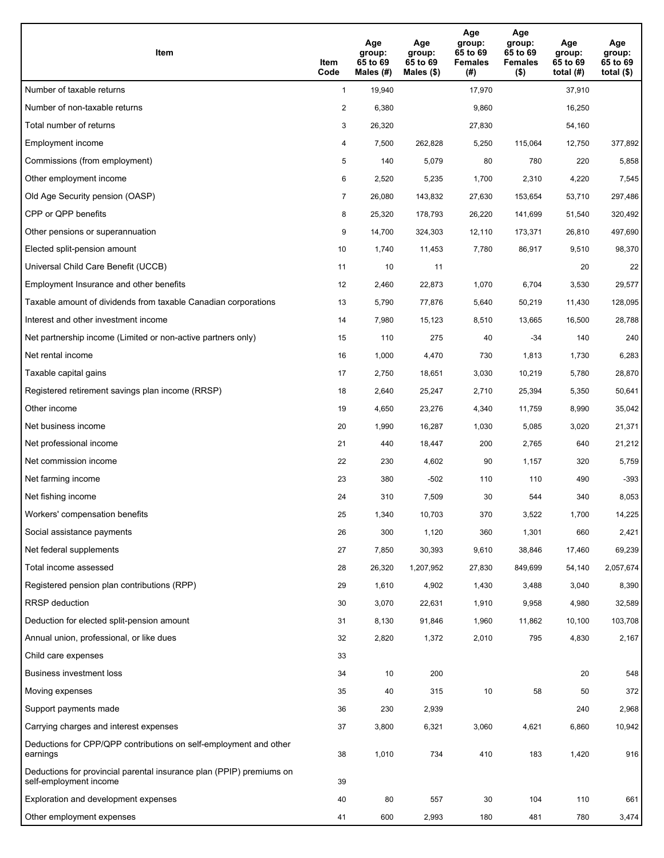| Item                                                                                           | Item<br>Code   | Age<br>group:<br>65 to 69<br>Males (#) | Age<br>group:<br>65 to 69<br>Males $(\$)$ | Age<br>group:<br>65 to 69<br><b>Females</b><br>(#) | Age<br>group:<br>65 to 69<br><b>Females</b><br>$($ \$) | Age<br>group:<br>65 to 69<br>total $(H)$ | Age<br>group:<br>65 to 69<br>total $($)$ |
|------------------------------------------------------------------------------------------------|----------------|----------------------------------------|-------------------------------------------|----------------------------------------------------|--------------------------------------------------------|------------------------------------------|------------------------------------------|
| Number of taxable returns                                                                      | $\mathbf{1}$   | 19,940                                 |                                           | 17,970                                             |                                                        | 37,910                                   |                                          |
| Number of non-taxable returns                                                                  | $\overline{2}$ | 6,380                                  |                                           | 9,860                                              |                                                        | 16,250                                   |                                          |
| Total number of returns                                                                        | 3              | 26,320                                 |                                           | 27,830                                             |                                                        | 54,160                                   |                                          |
| Employment income                                                                              | 4              | 7,500                                  | 262,828                                   | 5,250                                              | 115,064                                                | 12,750                                   | 377,892                                  |
| Commissions (from employment)                                                                  | 5              | 140                                    | 5,079                                     | 80                                                 | 780                                                    | 220                                      | 5,858                                    |
| Other employment income                                                                        | 6              | 2,520                                  | 5,235                                     | 1,700                                              | 2,310                                                  | 4,220                                    | 7,545                                    |
| Old Age Security pension (OASP)                                                                | 7              | 26,080                                 | 143,832                                   | 27,630                                             | 153,654                                                | 53,710                                   | 297,486                                  |
| CPP or QPP benefits                                                                            | 8              | 25,320                                 | 178,793                                   | 26,220                                             | 141,699                                                | 51,540                                   | 320,492                                  |
| Other pensions or superannuation                                                               | 9              | 14,700                                 | 324,303                                   | 12,110                                             | 173,371                                                | 26,810                                   | 497,690                                  |
| Elected split-pension amount                                                                   | 10             | 1,740                                  | 11,453                                    | 7,780                                              | 86,917                                                 | 9,510                                    | 98,370                                   |
| Universal Child Care Benefit (UCCB)                                                            | 11             | 10                                     | 11                                        |                                                    |                                                        | 20                                       | 22                                       |
| Employment Insurance and other benefits                                                        | 12             | 2,460                                  | 22,873                                    | 1,070                                              | 6,704                                                  | 3,530                                    | 29,577                                   |
| Taxable amount of dividends from taxable Canadian corporations                                 | 13             | 5,790                                  | 77,876                                    | 5,640                                              | 50,219                                                 | 11,430                                   | 128,095                                  |
| Interest and other investment income                                                           | 14             | 7,980                                  | 15,123                                    | 8,510                                              | 13,665                                                 | 16,500                                   | 28,788                                   |
| Net partnership income (Limited or non-active partners only)                                   | 15             | 110                                    | 275                                       | 40                                                 | $-34$                                                  | 140                                      | 240                                      |
| Net rental income                                                                              | 16             | 1,000                                  | 4,470                                     | 730                                                | 1,813                                                  | 1,730                                    | 6,283                                    |
| Taxable capital gains                                                                          | 17             | 2,750                                  | 18,651                                    | 3,030                                              | 10,219                                                 | 5,780                                    | 28,870                                   |
| Registered retirement savings plan income (RRSP)                                               | 18             | 2,640                                  | 25,247                                    | 2,710                                              | 25,394                                                 | 5,350                                    | 50,641                                   |
| Other income                                                                                   | 19             | 4,650                                  | 23,276                                    | 4,340                                              | 11,759                                                 | 8,990                                    | 35,042                                   |
| Net business income                                                                            | 20             | 1,990                                  | 16,287                                    | 1,030                                              | 5,085                                                  | 3,020                                    | 21,371                                   |
| Net professional income                                                                        | 21             | 440                                    | 18,447                                    | 200                                                | 2,765                                                  | 640                                      | 21,212                                   |
| Net commission income                                                                          | 22             | 230                                    | 4,602                                     | 90                                                 | 1,157                                                  | 320                                      | 5,759                                    |
| Net farming income                                                                             | 23             | 380                                    | $-502$                                    | 110                                                | 110                                                    | 490                                      | $-393$                                   |
| Net fishing income                                                                             | 24             | 310                                    | 7,509                                     | 30                                                 | 544                                                    | 340                                      | 8,053                                    |
| Workers' compensation benefits                                                                 | 25             | 1,340                                  | 10,703                                    | 370                                                | 3,522                                                  | 1,700                                    | 14,225                                   |
| Social assistance payments                                                                     | 26             | 300                                    | 1,120                                     | 360                                                | 1,301                                                  | 660                                      | 2,421                                    |
| Net federal supplements                                                                        | 27             | 7,850                                  | 30,393                                    | 9,610                                              | 38,846                                                 | 17,460                                   | 69,239                                   |
| Total income assessed                                                                          | 28             | 26,320                                 | 1,207,952                                 | 27,830                                             | 849,699                                                | 54,140                                   | 2,057,674                                |
| Registered pension plan contributions (RPP)                                                    | 29             | 1,610                                  | 4,902                                     | 1,430                                              | 3,488                                                  | 3,040                                    | 8,390                                    |
| RRSP deduction                                                                                 | 30             | 3,070                                  | 22,631                                    | 1,910                                              | 9,958                                                  | 4,980                                    | 32,589                                   |
| Deduction for elected split-pension amount                                                     | 31             | 8,130                                  | 91,846                                    | 1,960                                              | 11,862                                                 | 10,100                                   | 103,708                                  |
| Annual union, professional, or like dues                                                       | 32             | 2,820                                  | 1,372                                     | 2,010                                              | 795                                                    | 4,830                                    | 2,167                                    |
| Child care expenses                                                                            | 33             |                                        |                                           |                                                    |                                                        |                                          |                                          |
| Business investment loss                                                                       | 34             | 10                                     | 200                                       |                                                    |                                                        | 20                                       | 548                                      |
| Moving expenses                                                                                | 35             | 40                                     | 315                                       | 10                                                 | 58                                                     | 50                                       | 372                                      |
| Support payments made                                                                          | 36             | 230                                    | 2,939                                     |                                                    |                                                        | 240                                      | 2,968                                    |
| Carrying charges and interest expenses                                                         | 37             | 3,800                                  | 6,321                                     | 3,060                                              | 4,621                                                  | 6,860                                    | 10,942                                   |
| Deductions for CPP/QPP contributions on self-employment and other<br>earnings                  | 38             | 1,010                                  | 734                                       | 410                                                | 183                                                    | 1,420                                    | 916                                      |
| Deductions for provincial parental insurance plan (PPIP) premiums on<br>self-employment income | 39             |                                        |                                           |                                                    |                                                        |                                          |                                          |
| Exploration and development expenses                                                           | 40             | 80                                     | 557                                       | $30\,$                                             | 104                                                    | 110                                      | 661                                      |
| Other employment expenses                                                                      | 41             | 600                                    | 2,993                                     | 180                                                | 481                                                    | 780                                      | 3,474                                    |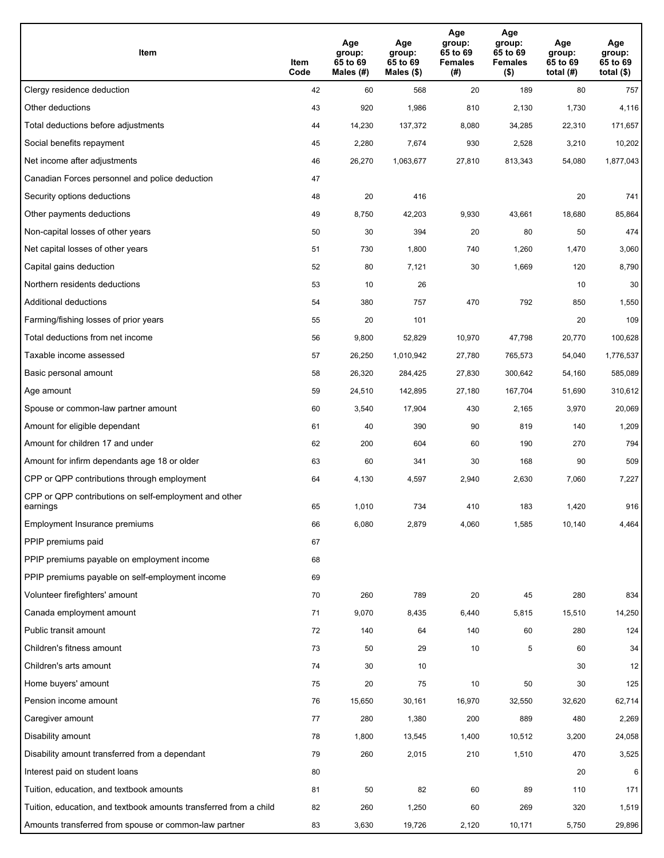| Item                                                              | Item<br>Code | Age<br>group:<br>65 to 69<br>Males (#) | Age<br>group:<br>65 to 69<br>Males (\$) | Age<br>group:<br>65 to 69<br><b>Females</b><br>(#) | Age<br>group:<br>65 to 69<br><b>Females</b><br>$($ \$) | Age<br>group:<br>65 to 69<br>total $(H)$ | Age<br>group:<br>65 to 69<br>total $($)$ |
|-------------------------------------------------------------------|--------------|----------------------------------------|-----------------------------------------|----------------------------------------------------|--------------------------------------------------------|------------------------------------------|------------------------------------------|
| Clergy residence deduction                                        | 42           | 60                                     | 568                                     | 20                                                 | 189                                                    | 80                                       | 757                                      |
| Other deductions                                                  | 43           | 920                                    | 1,986                                   | 810                                                | 2,130                                                  | 1,730                                    | 4,116                                    |
| Total deductions before adjustments                               | 44           | 14,230                                 | 137,372                                 | 8,080                                              | 34,285                                                 | 22,310                                   | 171,657                                  |
| Social benefits repayment                                         | 45           | 2,280                                  | 7,674                                   | 930                                                | 2,528                                                  | 3,210                                    | 10,202                                   |
| Net income after adjustments                                      | 46           | 26,270                                 | 1,063,677                               | 27,810                                             | 813,343                                                | 54,080                                   | 1,877,043                                |
| Canadian Forces personnel and police deduction                    | 47           |                                        |                                         |                                                    |                                                        |                                          |                                          |
| Security options deductions                                       | 48           | 20                                     | 416                                     |                                                    |                                                        | 20                                       | 741                                      |
| Other payments deductions                                         | 49           | 8,750                                  | 42,203                                  | 9,930                                              | 43,661                                                 | 18,680                                   | 85,864                                   |
| Non-capital losses of other years                                 | 50           | 30                                     | 394                                     | 20                                                 | 80                                                     | 50                                       | 474                                      |
| Net capital losses of other years                                 | 51           | 730                                    | 1,800                                   | 740                                                | 1,260                                                  | 1,470                                    | 3,060                                    |
| Capital gains deduction                                           | 52           | 80                                     | 7,121                                   | 30                                                 | 1,669                                                  | 120                                      | 8,790                                    |
| Northern residents deductions                                     | 53           | 10                                     | 26                                      |                                                    |                                                        | 10                                       | 30                                       |
| Additional deductions                                             | 54           | 380                                    | 757                                     | 470                                                | 792                                                    | 850                                      | 1,550                                    |
| Farming/fishing losses of prior years                             | 55           | 20                                     | 101                                     |                                                    |                                                        | 20                                       | 109                                      |
| Total deductions from net income                                  | 56           | 9,800                                  | 52,829                                  | 10,970                                             | 47,798                                                 | 20,770                                   | 100,628                                  |
| Taxable income assessed                                           | 57           | 26,250                                 | 1,010,942                               | 27,780                                             | 765,573                                                | 54,040                                   | 1,776,537                                |
| Basic personal amount                                             | 58           | 26,320                                 | 284,425                                 | 27,830                                             | 300,642                                                | 54,160                                   | 585,089                                  |
| Age amount                                                        | 59           | 24,510                                 | 142,895                                 | 27,180                                             | 167,704                                                | 51,690                                   | 310,612                                  |
| Spouse or common-law partner amount                               | 60           | 3,540                                  | 17,904                                  | 430                                                | 2,165                                                  | 3,970                                    | 20,069                                   |
| Amount for eligible dependant                                     | 61           | 40                                     | 390                                     | 90                                                 | 819                                                    | 140                                      | 1,209                                    |
| Amount for children 17 and under                                  | 62           | 200                                    | 604                                     | 60                                                 | 190                                                    | 270                                      | 794                                      |
| Amount for infirm dependants age 18 or older                      | 63           | 60                                     | 341                                     | 30                                                 | 168                                                    | 90                                       | 509                                      |
| CPP or QPP contributions through employment                       | 64           | 4,130                                  | 4,597                                   | 2,940                                              | 2,630                                                  | 7,060                                    | 7,227                                    |
| CPP or QPP contributions on self-employment and other<br>earnings | 65           | 1,010                                  | 734                                     | 410                                                | 183                                                    | 1,420                                    | 916                                      |
| Employment Insurance premiums                                     | 66           | 6,080                                  | 2,879                                   | 4,060                                              | 1,585                                                  | 10,140                                   | 4,464                                    |
| PPIP premiums paid                                                | 67           |                                        |                                         |                                                    |                                                        |                                          |                                          |
| PPIP premiums payable on employment income                        | 68           |                                        |                                         |                                                    |                                                        |                                          |                                          |
| PPIP premiums payable on self-employment income                   | 69           |                                        |                                         |                                                    |                                                        |                                          |                                          |
| Volunteer firefighters' amount                                    | $70\,$       | 260                                    | 789                                     | 20                                                 | 45                                                     | 280                                      | 834                                      |
| Canada employment amount                                          | 71           | 9,070                                  | 8,435                                   | 6,440                                              | 5,815                                                  | 15,510                                   | 14,250                                   |
| Public transit amount                                             | 72           | 140                                    | 64                                      | 140                                                | 60                                                     | 280                                      | 124                                      |
| Children's fitness amount                                         | 73           | 50                                     | 29                                      | 10                                                 | 5                                                      | 60                                       | 34                                       |
| Children's arts amount                                            | 74           | 30                                     | 10                                      |                                                    |                                                        | 30                                       | 12                                       |
| Home buyers' amount                                               | 75           | 20                                     | 75                                      | 10                                                 | 50                                                     | 30                                       | 125                                      |
| Pension income amount                                             | 76           | 15,650                                 | 30,161                                  | 16,970                                             | 32,550                                                 | 32,620                                   | 62,714                                   |
| Caregiver amount                                                  | 77           | 280                                    | 1,380                                   | 200                                                | 889                                                    | 480                                      | 2,269                                    |
| Disability amount                                                 | 78           | 1,800                                  | 13,545                                  | 1,400                                              | 10,512                                                 | 3,200                                    | 24,058                                   |
| Disability amount transferred from a dependant                    | 79           | 260                                    | 2,015                                   | 210                                                | 1,510                                                  | 470                                      | 3,525                                    |
| Interest paid on student loans                                    | 80           |                                        |                                         |                                                    |                                                        | 20                                       | 6                                        |
| Tuition, education, and textbook amounts                          | 81           | 50                                     | 82                                      | 60                                                 | 89                                                     | 110                                      | 171                                      |
| Tuition, education, and textbook amounts transferred from a child | 82           | 260                                    | 1,250                                   | 60                                                 | 269                                                    | 320                                      | 1,519                                    |
| Amounts transferred from spouse or common-law partner             | 83           | 3,630                                  | 19,726                                  | 2,120                                              | 10,171                                                 | 5,750                                    | 29,896                                   |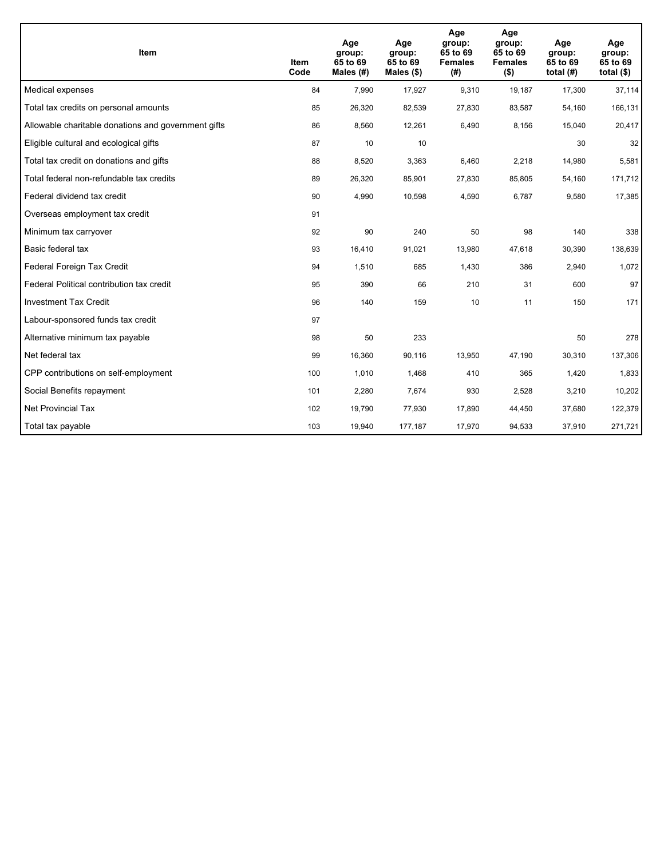| <b>Item</b>                                         | Item<br>Code | Age<br>group:<br>65 to 69<br>Males $(H)$ | Age<br>group:<br>65 to 69<br>Males $(\$)$ | Age<br>group:<br>65 to 69<br><b>Females</b><br>(#) | Age<br>group:<br>65 to 69<br><b>Females</b><br>$($ \$) | Age<br>group:<br>65 to 69<br>total $(H)$ | Age<br>group:<br>65 to 69<br>total $($)$ |
|-----------------------------------------------------|--------------|------------------------------------------|-------------------------------------------|----------------------------------------------------|--------------------------------------------------------|------------------------------------------|------------------------------------------|
| Medical expenses                                    | 84           | 7,990                                    | 17,927                                    | 9,310                                              | 19,187                                                 | 17,300                                   | 37,114                                   |
| Total tax credits on personal amounts               | 85           | 26,320                                   | 82,539                                    | 27,830                                             | 83,587                                                 | 54,160                                   | 166,131                                  |
| Allowable charitable donations and government gifts | 86           | 8,560                                    | 12,261                                    | 6,490                                              | 8,156                                                  | 15,040                                   | 20,417                                   |
| Eligible cultural and ecological gifts              | 87           | 10                                       | 10                                        |                                                    |                                                        | 30                                       | 32                                       |
| Total tax credit on donations and gifts             | 88           | 8,520                                    | 3,363                                     | 6,460                                              | 2,218                                                  | 14,980                                   | 5,581                                    |
| Total federal non-refundable tax credits            | 89           | 26,320                                   | 85,901                                    | 27,830                                             | 85,805                                                 | 54,160                                   | 171,712                                  |
| Federal dividend tax credit                         | 90           | 4,990                                    | 10,598                                    | 4,590                                              | 6,787                                                  | 9,580                                    | 17,385                                   |
| Overseas employment tax credit                      | 91           |                                          |                                           |                                                    |                                                        |                                          |                                          |
| Minimum tax carryover                               | 92           | 90                                       | 240                                       | 50                                                 | 98                                                     | 140                                      | 338                                      |
| Basic federal tax                                   | 93           | 16,410                                   | 91,021                                    | 13,980                                             | 47,618                                                 | 30,390                                   | 138,639                                  |
| Federal Foreign Tax Credit                          | 94           | 1,510                                    | 685                                       | 1,430                                              | 386                                                    | 2,940                                    | 1,072                                    |
| Federal Political contribution tax credit           | 95           | 390                                      | 66                                        | 210                                                | 31                                                     | 600                                      | 97                                       |
| <b>Investment Tax Credit</b>                        | 96           | 140                                      | 159                                       | 10                                                 | 11                                                     | 150                                      | 171                                      |
| Labour-sponsored funds tax credit                   | 97           |                                          |                                           |                                                    |                                                        |                                          |                                          |
| Alternative minimum tax payable                     | 98           | 50                                       | 233                                       |                                                    |                                                        | 50                                       | 278                                      |
| Net federal tax                                     | 99           | 16,360                                   | 90,116                                    | 13,950                                             | 47,190                                                 | 30,310                                   | 137,306                                  |
| CPP contributions on self-employment                | 100          | 1,010                                    | 1,468                                     | 410                                                | 365                                                    | 1,420                                    | 1,833                                    |
| Social Benefits repayment                           | 101          | 2,280                                    | 7,674                                     | 930                                                | 2,528                                                  | 3,210                                    | 10,202                                   |
| Net Provincial Tax                                  | 102          | 19,790                                   | 77,930                                    | 17,890                                             | 44,450                                                 | 37,680                                   | 122,379                                  |
| Total tax payable                                   | 103          | 19,940                                   | 177,187                                   | 17,970                                             | 94,533                                                 | 37,910                                   | 271,721                                  |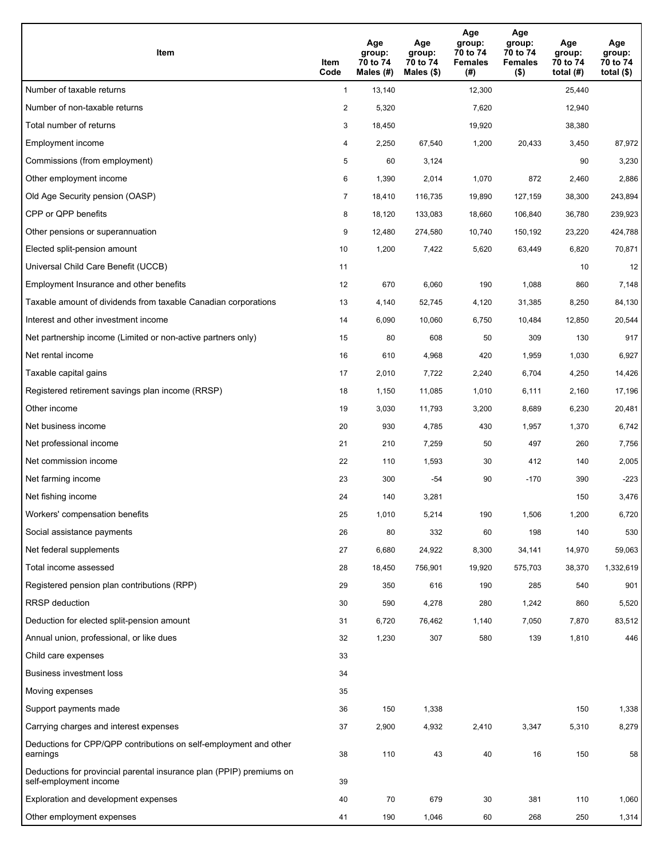| Item                                                                                           | Item<br>Code   | Age<br>group:<br>70 to 74<br>Males $(H)$ | Age<br>group:<br>70 to 74<br>Males (\$) | Age<br>group:<br>70 to 74<br><b>Females</b><br>(# ) | Age<br>group:<br>70 to 74<br><b>Females</b><br>$($ \$) | Age<br>group:<br>70 to 74<br>total $(H)$ | Age<br>group:<br>70 to 74<br>total $($ |
|------------------------------------------------------------------------------------------------|----------------|------------------------------------------|-----------------------------------------|-----------------------------------------------------|--------------------------------------------------------|------------------------------------------|----------------------------------------|
| Number of taxable returns                                                                      | $\mathbf{1}$   | 13,140                                   |                                         | 12,300                                              |                                                        | 25,440                                   |                                        |
| Number of non-taxable returns                                                                  | $\overline{2}$ | 5,320                                    |                                         | 7,620                                               |                                                        | 12,940                                   |                                        |
| Total number of returns                                                                        | 3              | 18,450                                   |                                         | 19,920                                              |                                                        | 38,380                                   |                                        |
| Employment income                                                                              | 4              | 2,250                                    | 67,540                                  | 1,200                                               | 20,433                                                 | 3,450                                    | 87,972                                 |
| Commissions (from employment)                                                                  | 5              | 60                                       | 3,124                                   |                                                     |                                                        | 90                                       | 3,230                                  |
| Other employment income                                                                        | 6              | 1,390                                    | 2,014                                   | 1,070                                               | 872                                                    | 2,460                                    | 2,886                                  |
| Old Age Security pension (OASP)                                                                | $\overline{7}$ | 18,410                                   | 116,735                                 | 19,890                                              | 127,159                                                | 38,300                                   | 243,894                                |
| CPP or QPP benefits                                                                            | 8              | 18,120                                   | 133,083                                 | 18,660                                              | 106,840                                                | 36,780                                   | 239,923                                |
| Other pensions or superannuation                                                               | 9              | 12,480                                   | 274,580                                 | 10,740                                              | 150,192                                                | 23,220                                   | 424,788                                |
| Elected split-pension amount                                                                   | 10             | 1,200                                    | 7,422                                   | 5,620                                               | 63,449                                                 | 6,820                                    | 70,871                                 |
| Universal Child Care Benefit (UCCB)                                                            | 11             |                                          |                                         |                                                     |                                                        | 10                                       | 12                                     |
| Employment Insurance and other benefits                                                        | 12             | 670                                      | 6,060                                   | 190                                                 | 1,088                                                  | 860                                      | 7,148                                  |
| Taxable amount of dividends from taxable Canadian corporations                                 | 13             | 4,140                                    | 52,745                                  | 4,120                                               | 31,385                                                 | 8,250                                    | 84,130                                 |
| Interest and other investment income                                                           | 14             | 6,090                                    | 10,060                                  | 6,750                                               | 10,484                                                 | 12,850                                   | 20,544                                 |
| Net partnership income (Limited or non-active partners only)                                   | 15             | 80                                       | 608                                     | 50                                                  | 309                                                    | 130                                      | 917                                    |
| Net rental income                                                                              | 16             | 610                                      | 4,968                                   | 420                                                 | 1,959                                                  | 1,030                                    | 6,927                                  |
| Taxable capital gains                                                                          | 17             | 2,010                                    | 7,722                                   | 2,240                                               | 6,704                                                  | 4,250                                    | 14,426                                 |
| Registered retirement savings plan income (RRSP)                                               | 18             | 1,150                                    | 11,085                                  | 1,010                                               | 6,111                                                  | 2,160                                    | 17,196                                 |
| Other income                                                                                   | 19             | 3,030                                    | 11,793                                  | 3,200                                               | 8,689                                                  | 6,230                                    | 20,481                                 |
| Net business income                                                                            | 20             | 930                                      | 4,785                                   | 430                                                 | 1,957                                                  | 1,370                                    | 6,742                                  |
| Net professional income                                                                        | 21             | 210                                      | 7,259                                   | 50                                                  | 497                                                    | 260                                      | 7,756                                  |
| Net commission income                                                                          | 22             | 110                                      | 1,593                                   | 30                                                  | 412                                                    | 140                                      | 2,005                                  |
| Net farming income                                                                             | 23             | 300                                      | $-54$                                   | 90                                                  | $-170$                                                 | 390                                      | $-223$                                 |
| Net fishing income                                                                             | 24             | 140                                      | 3,281                                   |                                                     |                                                        | 150                                      | 3,476                                  |
| Workers' compensation benefits                                                                 | 25             | 1,010                                    | 5,214                                   | 190                                                 | 1,506                                                  | 1,200                                    | 6,720                                  |
| Social assistance payments                                                                     | 26             | 80                                       | 332                                     | 60                                                  | 198                                                    | 140                                      | 530                                    |
| Net federal supplements                                                                        | 27             | 6,680                                    | 24,922                                  | 8,300                                               | 34,141                                                 | 14,970                                   | 59,063                                 |
| Total income assessed                                                                          | 28             | 18,450                                   | 756,901                                 | 19,920                                              | 575,703                                                | 38,370                                   | 1,332,619                              |
| Registered pension plan contributions (RPP)                                                    | 29             | 350                                      | 616                                     | 190                                                 | 285                                                    | 540                                      | 901                                    |
| <b>RRSP</b> deduction                                                                          | 30             | 590                                      | 4,278                                   | 280                                                 | 1,242                                                  | 860                                      | 5,520                                  |
| Deduction for elected split-pension amount                                                     | 31             | 6,720                                    | 76,462                                  | 1,140                                               | 7,050                                                  | 7,870                                    | 83,512                                 |
| Annual union, professional, or like dues                                                       | 32             | 1,230                                    | 307                                     | 580                                                 | 139                                                    | 1,810                                    | 446                                    |
| Child care expenses                                                                            | 33             |                                          |                                         |                                                     |                                                        |                                          |                                        |
| Business investment loss                                                                       | 34             |                                          |                                         |                                                     |                                                        |                                          |                                        |
| Moving expenses                                                                                | 35             |                                          |                                         |                                                     |                                                        |                                          |                                        |
| Support payments made                                                                          | 36             | 150                                      | 1,338                                   |                                                     |                                                        | 150                                      | 1,338                                  |
| Carrying charges and interest expenses                                                         | 37             | 2,900                                    | 4,932                                   | 2,410                                               | 3,347                                                  | 5,310                                    | 8,279                                  |
| Deductions for CPP/QPP contributions on self-employment and other<br>earnings                  | 38             | 110                                      | 43                                      | 40                                                  | 16                                                     | 150                                      | 58                                     |
| Deductions for provincial parental insurance plan (PPIP) premiums on<br>self-employment income | 39             |                                          |                                         |                                                     |                                                        |                                          |                                        |
| Exploration and development expenses                                                           | 40             | 70                                       | 679                                     | 30                                                  | 381                                                    | 110                                      | 1,060                                  |
| Other employment expenses                                                                      | 41             | 190                                      | 1,046                                   | 60                                                  | 268                                                    | 250                                      | 1,314                                  |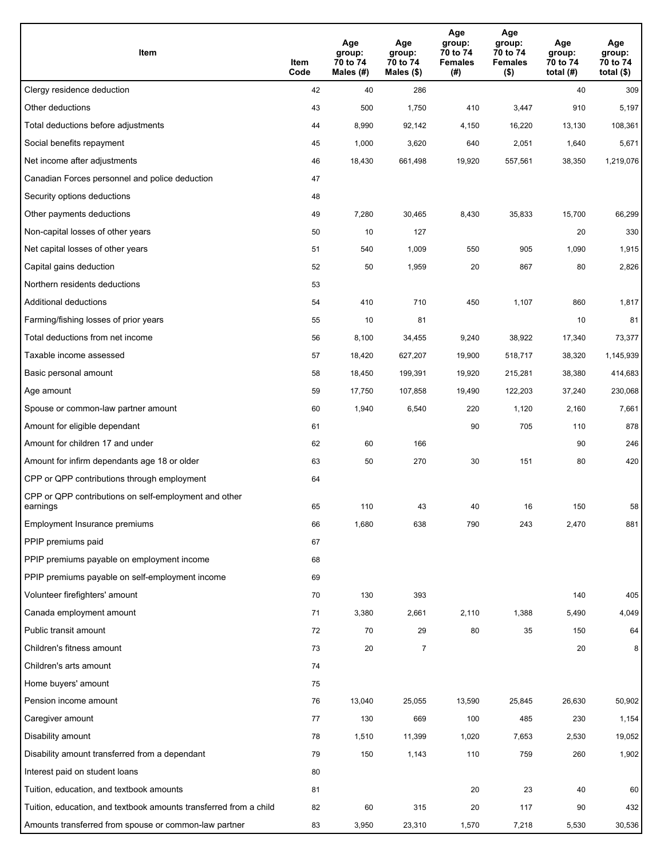| Item                                                              | Item<br>Code | Age<br>group:<br>70 to 74<br>Males (#) | Age<br>group:<br>70 to 74<br>Males $(\$)$ | Age<br>group:<br>70 to 74<br><b>Females</b><br>(# ) | Age<br>group:<br>70 to 74<br>Females<br>$($ \$) | Age<br>group:<br>70 to 74<br>total $(H)$ | Age<br>group:<br>70 to 74<br>total $($)$ |
|-------------------------------------------------------------------|--------------|----------------------------------------|-------------------------------------------|-----------------------------------------------------|-------------------------------------------------|------------------------------------------|------------------------------------------|
| Clergy residence deduction                                        | 42           | 40                                     | 286                                       |                                                     |                                                 | 40                                       | 309                                      |
| Other deductions                                                  | 43           | 500                                    | 1,750                                     | 410                                                 | 3,447                                           | 910                                      | 5,197                                    |
| Total deductions before adjustments                               | 44           | 8,990                                  | 92,142                                    | 4,150                                               | 16,220                                          | 13,130                                   | 108,361                                  |
| Social benefits repayment                                         | 45           | 1,000                                  | 3,620                                     | 640                                                 | 2,051                                           | 1,640                                    | 5,671                                    |
| Net income after adjustments                                      | 46           | 18,430                                 | 661,498                                   | 19,920                                              | 557,561                                         | 38,350                                   | 1,219,076                                |
| Canadian Forces personnel and police deduction                    | 47           |                                        |                                           |                                                     |                                                 |                                          |                                          |
| Security options deductions                                       | 48           |                                        |                                           |                                                     |                                                 |                                          |                                          |
| Other payments deductions                                         | 49           | 7,280                                  | 30,465                                    | 8,430                                               | 35,833                                          | 15,700                                   | 66,299                                   |
| Non-capital losses of other years                                 | 50           | 10                                     | 127                                       |                                                     |                                                 | 20                                       | 330                                      |
| Net capital losses of other years                                 | 51           | 540                                    | 1,009                                     | 550                                                 | 905                                             | 1,090                                    | 1,915                                    |
| Capital gains deduction                                           | 52           | 50                                     | 1,959                                     | 20                                                  | 867                                             | 80                                       | 2,826                                    |
| Northern residents deductions                                     | 53           |                                        |                                           |                                                     |                                                 |                                          |                                          |
| Additional deductions                                             | 54           | 410                                    | 710                                       | 450                                                 | 1,107                                           | 860                                      | 1,817                                    |
| Farming/fishing losses of prior years                             | 55           | 10                                     | 81                                        |                                                     |                                                 | 10                                       | 81                                       |
| Total deductions from net income                                  | 56           | 8,100                                  | 34,455                                    | 9,240                                               | 38,922                                          | 17,340                                   | 73,377                                   |
| Taxable income assessed                                           | 57           | 18,420                                 | 627,207                                   | 19,900                                              | 518,717                                         | 38,320                                   | 1,145,939                                |
| Basic personal amount                                             | 58           | 18,450                                 | 199,391                                   | 19,920                                              | 215,281                                         | 38,380                                   | 414,683                                  |
| Age amount                                                        | 59           | 17,750                                 | 107,858                                   | 19,490                                              | 122,203                                         | 37,240                                   | 230,068                                  |
| Spouse or common-law partner amount                               | 60           | 1,940                                  | 6,540                                     | 220                                                 | 1,120                                           | 2,160                                    | 7,661                                    |
| Amount for eligible dependant                                     | 61           |                                        |                                           | 90                                                  | 705                                             | 110                                      | 878                                      |
| Amount for children 17 and under                                  | 62           | 60                                     | 166                                       |                                                     |                                                 | 90                                       | 246                                      |
| Amount for infirm dependants age 18 or older                      | 63           | 50                                     | 270                                       | 30                                                  | 151                                             | 80                                       | 420                                      |
| CPP or QPP contributions through employment                       | 64           |                                        |                                           |                                                     |                                                 |                                          |                                          |
| CPP or QPP contributions on self-employment and other<br>earnings | 65           | 110                                    | 43                                        | 40                                                  | 16                                              | 150                                      | 58                                       |
| Employment Insurance premiums                                     | 66           | 1,680                                  | 638                                       | 790                                                 | 243                                             | 2,470                                    | 881                                      |
| PPIP premiums paid                                                | 67           |                                        |                                           |                                                     |                                                 |                                          |                                          |
| PPIP premiums payable on employment income                        | 68           |                                        |                                           |                                                     |                                                 |                                          |                                          |
| PPIP premiums payable on self-employment income                   | 69           |                                        |                                           |                                                     |                                                 |                                          |                                          |
| Volunteer firefighters' amount                                    | 70           | 130                                    | 393                                       |                                                     |                                                 | 140                                      | 405                                      |
| Canada employment amount                                          | 71           | 3,380                                  | 2,661                                     | 2,110                                               | 1,388                                           | 5,490                                    | 4,049                                    |
| Public transit amount                                             | 72           | 70                                     | 29                                        | 80                                                  | 35                                              | 150                                      | 64                                       |
| Children's fitness amount                                         | 73           | 20                                     | 7                                         |                                                     |                                                 | 20                                       | 8 <sup>1</sup>                           |
| Children's arts amount                                            | 74           |                                        |                                           |                                                     |                                                 |                                          |                                          |
| Home buyers' amount                                               | 75           |                                        |                                           |                                                     |                                                 |                                          |                                          |
| Pension income amount                                             | 76           | 13,040                                 | 25,055                                    | 13,590                                              | 25,845                                          | 26,630                                   | 50,902                                   |
| Caregiver amount                                                  | 77           | 130                                    | 669                                       | 100                                                 | 485                                             | 230                                      | 1,154                                    |
| Disability amount                                                 | 78           | 1,510                                  | 11,399                                    | 1,020                                               | 7,653                                           | 2,530                                    | 19,052                                   |
| Disability amount transferred from a dependant                    | 79           | 150                                    | 1,143                                     | 110                                                 | 759                                             | 260                                      | 1,902                                    |
| Interest paid on student loans                                    | 80           |                                        |                                           |                                                     |                                                 |                                          |                                          |
| Tuition, education, and textbook amounts                          | 81           |                                        |                                           | 20                                                  | 23                                              | 40                                       | 60                                       |
| Tuition, education, and textbook amounts transferred from a child | 82           | 60                                     | 315                                       | 20                                                  | 117                                             | 90                                       | 432                                      |
| Amounts transferred from spouse or common-law partner             | 83           | 3,950                                  | 23,310                                    | 1,570                                               | 7,218                                           | 5,530                                    | 30,536                                   |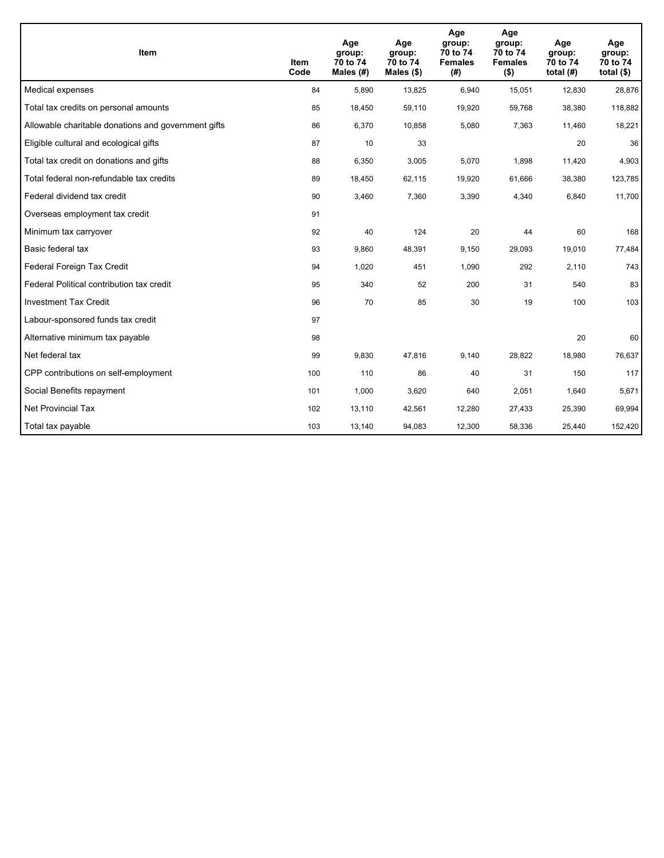| <b>Item</b>                                         | <b>Item</b><br>Code | Age<br>group:<br>70 to 74<br>Males $(H)$ | Age<br>group:<br>70 to 74<br>Males (\$) | Age<br>group:<br>70 to 74<br><b>Females</b><br>(#) | Age<br>group:<br>70 to 74<br><b>Females</b><br>$($ \$) | Age<br>group:<br>70 to 74<br>total $(H)$ | Age<br>group:<br>70 to 74<br>total $($)$ |
|-----------------------------------------------------|---------------------|------------------------------------------|-----------------------------------------|----------------------------------------------------|--------------------------------------------------------|------------------------------------------|------------------------------------------|
| Medical expenses                                    | 84                  | 5.890                                    | 13,825                                  | 6,940                                              | 15,051                                                 | 12,830                                   | 28,876                                   |
| Total tax credits on personal amounts               | 85                  | 18,450                                   | 59,110                                  | 19,920                                             | 59,768                                                 | 38,380                                   | 118,882                                  |
| Allowable charitable donations and government gifts | 86                  | 6,370                                    | 10,858                                  | 5,080                                              | 7,363                                                  | 11,460                                   | 18,221                                   |
| Eligible cultural and ecological gifts              | 87                  | 10                                       | 33                                      |                                                    |                                                        | 20                                       | 36                                       |
| Total tax credit on donations and gifts             | 88                  | 6,350                                    | 3,005                                   | 5,070                                              | 1,898                                                  | 11,420                                   | 4,903                                    |
| Total federal non-refundable tax credits            | 89                  | 18,450                                   | 62,115                                  | 19,920                                             | 61,666                                                 | 38,380                                   | 123,785                                  |
| Federal dividend tax credit                         | 90                  | 3,460                                    | 7,360                                   | 3,390                                              | 4,340                                                  | 6,840                                    | 11,700                                   |
| Overseas employment tax credit                      | 91                  |                                          |                                         |                                                    |                                                        |                                          |                                          |
| Minimum tax carryover                               | 92                  | 40                                       | 124                                     | 20                                                 | 44                                                     | 60                                       | 168                                      |
| Basic federal tax                                   | 93                  | 9,860                                    | 48,391                                  | 9,150                                              | 29,093                                                 | 19,010                                   | 77,484                                   |
| Federal Foreign Tax Credit                          | 94                  | 1,020                                    | 451                                     | 1,090                                              | 292                                                    | 2,110                                    | 743                                      |
| Federal Political contribution tax credit           | 95                  | 340                                      | 52                                      | 200                                                | 31                                                     | 540                                      | 83                                       |
| <b>Investment Tax Credit</b>                        | 96                  | 70                                       | 85                                      | 30                                                 | 19                                                     | 100                                      | 103                                      |
| Labour-sponsored funds tax credit                   | 97                  |                                          |                                         |                                                    |                                                        |                                          |                                          |
| Alternative minimum tax payable                     | 98                  |                                          |                                         |                                                    |                                                        | 20                                       | 60                                       |
| Net federal tax                                     | 99                  | 9,830                                    | 47,816                                  | 9,140                                              | 28,822                                                 | 18,980                                   | 76,637                                   |
| CPP contributions on self-employment                | 100                 | 110                                      | 86                                      | 40                                                 | 31                                                     | 150                                      | 117                                      |
| Social Benefits repayment                           | 101                 | 1,000                                    | 3,620                                   | 640                                                | 2,051                                                  | 1,640                                    | 5,671                                    |
| Net Provincial Tax                                  | 102                 | 13,110                                   | 42,561                                  | 12,280                                             | 27,433                                                 | 25,390                                   | 69,994                                   |
| Total tax payable                                   | 103                 | 13,140                                   | 94,083                                  | 12,300                                             | 58,336                                                 | 25,440                                   | 152,420                                  |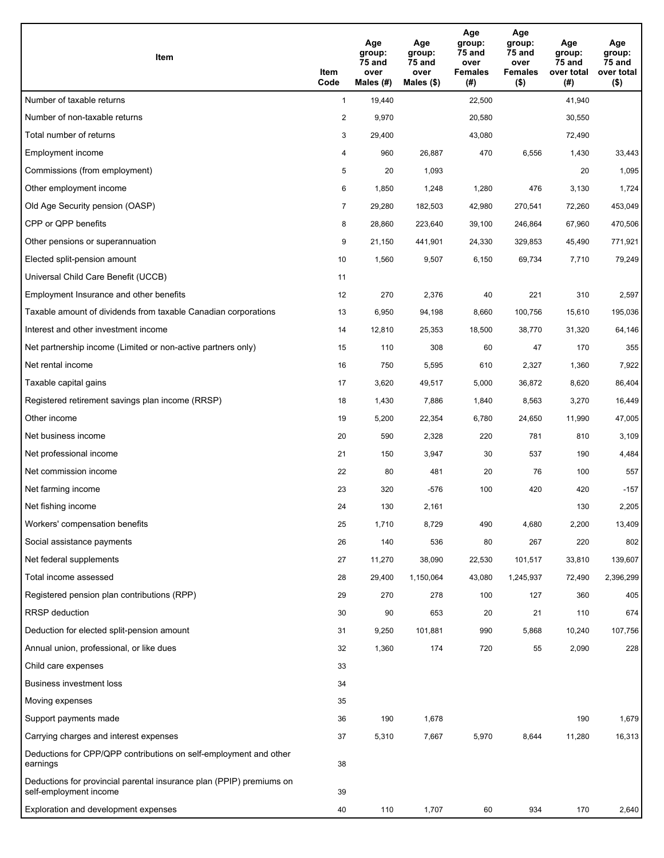| Item                                                                                           | Item<br>Code   | Age<br>group:<br>75 and<br>over<br>Males $(H)$ | Age<br>group:<br>75 and<br>over<br>Males $(\$)$ | Age<br>group:<br><b>75 and</b><br>over<br><b>Females</b><br>(#) | Age<br>group:<br>75 and<br>over<br><b>Females</b><br>$($ \$) | Age<br>group:<br>75 and<br>over total<br>(#) | Age<br>group:<br>75 and<br>over total<br>$($ \$) |
|------------------------------------------------------------------------------------------------|----------------|------------------------------------------------|-------------------------------------------------|-----------------------------------------------------------------|--------------------------------------------------------------|----------------------------------------------|--------------------------------------------------|
| Number of taxable returns                                                                      | $\mathbf{1}$   | 19,440                                         |                                                 | 22,500                                                          |                                                              | 41,940                                       |                                                  |
| Number of non-taxable returns                                                                  | $\overline{2}$ | 9,970                                          |                                                 | 20,580                                                          |                                                              | 30,550                                       |                                                  |
| Total number of returns                                                                        | 3              | 29,400                                         |                                                 | 43,080                                                          |                                                              | 72,490                                       |                                                  |
| Employment income                                                                              | 4              | 960                                            | 26,887                                          | 470                                                             | 6,556                                                        | 1,430                                        | 33,443                                           |
| Commissions (from employment)                                                                  | 5              | 20                                             | 1,093                                           |                                                                 |                                                              | 20                                           | 1,095                                            |
| Other employment income                                                                        | 6              | 1,850                                          | 1,248                                           | 1,280                                                           | 476                                                          | 3,130                                        | 1,724                                            |
| Old Age Security pension (OASP)                                                                | $\overline{7}$ | 29,280                                         | 182,503                                         | 42,980                                                          | 270,541                                                      | 72,260                                       | 453,049                                          |
| CPP or QPP benefits                                                                            | 8              | 28,860                                         | 223,640                                         | 39,100                                                          | 246,864                                                      | 67,960                                       | 470,506                                          |
| Other pensions or superannuation                                                               | 9              | 21,150                                         | 441,901                                         | 24,330                                                          | 329,853                                                      | 45,490                                       | 771,921                                          |
| Elected split-pension amount                                                                   | 10             | 1,560                                          | 9,507                                           | 6,150                                                           | 69,734                                                       | 7,710                                        | 79,249                                           |
| Universal Child Care Benefit (UCCB)                                                            | 11             |                                                |                                                 |                                                                 |                                                              |                                              |                                                  |
| Employment Insurance and other benefits                                                        | 12             | 270                                            | 2,376                                           | 40                                                              | 221                                                          | 310                                          | 2,597                                            |
| Taxable amount of dividends from taxable Canadian corporations                                 | 13             | 6,950                                          | 94,198                                          | 8,660                                                           | 100,756                                                      | 15,610                                       | 195,036                                          |
| Interest and other investment income                                                           | 14             | 12,810                                         | 25,353                                          | 18,500                                                          | 38,770                                                       | 31,320                                       | 64,146                                           |
| Net partnership income (Limited or non-active partners only)                                   | 15             | 110                                            | 308                                             | 60                                                              | 47                                                           | 170                                          | 355                                              |
| Net rental income                                                                              | 16             | 750                                            | 5,595                                           | 610                                                             | 2,327                                                        | 1,360                                        | 7,922                                            |
| Taxable capital gains                                                                          | 17             | 3,620                                          | 49,517                                          | 5,000                                                           | 36,872                                                       | 8,620                                        | 86,404                                           |
| Registered retirement savings plan income (RRSP)                                               | 18             | 1,430                                          | 7,886                                           | 1,840                                                           | 8,563                                                        | 3,270                                        | 16,449                                           |
| Other income                                                                                   | 19             | 5,200                                          | 22,354                                          | 6,780                                                           | 24,650                                                       | 11,990                                       | 47,005                                           |
| Net business income                                                                            | 20             | 590                                            | 2,328                                           | 220                                                             | 781                                                          | 810                                          | 3,109                                            |
| Net professional income                                                                        | 21             | 150                                            | 3,947                                           | 30                                                              | 537                                                          | 190                                          | 4,484                                            |
| Net commission income                                                                          | 22             | 80                                             | 481                                             | 20                                                              | 76                                                           | 100                                          | 557                                              |
| Net farming income                                                                             | 23             | 320                                            | $-576$                                          | 100                                                             | 420                                                          | 420                                          | $-157$                                           |
| Net fishing income                                                                             | 24             | 130                                            | 2,161                                           |                                                                 |                                                              | 130                                          | 2,205                                            |
| Workers' compensation benefits                                                                 | 25             | 1,710                                          | 8,729                                           | 490                                                             | 4,680                                                        | 2,200                                        | 13,409                                           |
| Social assistance payments                                                                     | 26             | 140                                            | 536                                             | 80                                                              | 267                                                          | 220                                          | 802                                              |
| Net federal supplements                                                                        | 27             | 11,270                                         | 38,090                                          | 22,530                                                          | 101,517                                                      | 33,810                                       | 139,607                                          |
| Total income assessed                                                                          | 28             | 29,400                                         | 1,150,064                                       | 43,080                                                          | 1,245,937                                                    | 72,490                                       | 2,396,299                                        |
| Registered pension plan contributions (RPP)                                                    | 29             | 270                                            | 278                                             | 100                                                             | 127                                                          | 360                                          | 405                                              |
| <b>RRSP</b> deduction                                                                          | 30             | 90                                             | 653                                             | 20                                                              | 21                                                           | 110                                          | 674                                              |
| Deduction for elected split-pension amount                                                     | 31             | 9,250                                          | 101,881                                         | 990                                                             | 5,868                                                        | 10,240                                       | 107,756                                          |
| Annual union, professional, or like dues                                                       | 32             | 1,360                                          | 174                                             | 720                                                             | 55                                                           | 2,090                                        | 228                                              |
| Child care expenses                                                                            | 33             |                                                |                                                 |                                                                 |                                                              |                                              |                                                  |
| <b>Business investment loss</b>                                                                | 34             |                                                |                                                 |                                                                 |                                                              |                                              |                                                  |
| Moving expenses                                                                                | 35             |                                                |                                                 |                                                                 |                                                              |                                              |                                                  |
| Support payments made                                                                          | 36             | 190                                            | 1,678                                           |                                                                 |                                                              | 190                                          | 1,679                                            |
| Carrying charges and interest expenses                                                         | 37             | 5,310                                          | 7,667                                           | 5,970                                                           | 8,644                                                        | 11,280                                       | 16,313                                           |
| Deductions for CPP/QPP contributions on self-employment and other<br>earnings                  | 38             |                                                |                                                 |                                                                 |                                                              |                                              |                                                  |
| Deductions for provincial parental insurance plan (PPIP) premiums on<br>self-employment income | 39             |                                                |                                                 |                                                                 |                                                              |                                              |                                                  |
| Exploration and development expenses                                                           | 40             | 110                                            | 1,707                                           | 60                                                              | 934                                                          | 170                                          | 2,640                                            |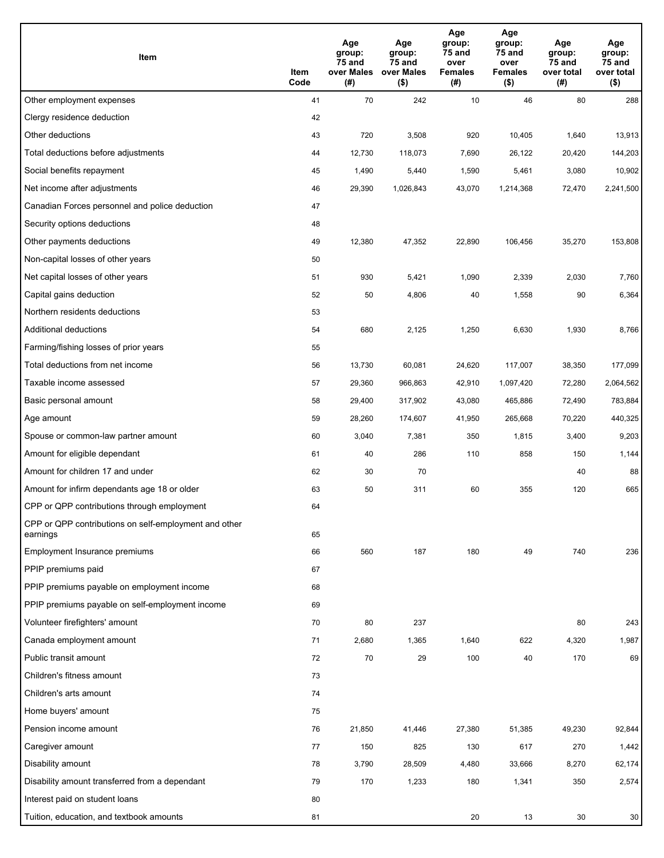| Item                                                              | Item<br>Code | Age<br>group:<br>75 and<br>over Males<br>(#) | Age<br>group:<br>75 and<br>over Males<br>$($ \$) | Age<br>group:<br>75 and<br>over<br><b>Females</b><br>(#) | Age<br>group:<br>75 and<br>over<br><b>Females</b><br>$($ \$) | Age<br>group:<br>75 and<br>over total<br>(#) | Age<br>group:<br>75 and<br>over total<br>$($ \$) |
|-------------------------------------------------------------------|--------------|----------------------------------------------|--------------------------------------------------|----------------------------------------------------------|--------------------------------------------------------------|----------------------------------------------|--------------------------------------------------|
| Other employment expenses                                         | 41           | 70                                           | 242                                              | 10                                                       | 46                                                           | 80                                           | 288                                              |
| Clergy residence deduction                                        | 42           |                                              |                                                  |                                                          |                                                              |                                              |                                                  |
| Other deductions                                                  | 43           | 720                                          | 3,508                                            | 920                                                      | 10,405                                                       | 1,640                                        | 13,913                                           |
| Total deductions before adjustments                               | 44           | 12,730                                       | 118,073                                          | 7,690                                                    | 26,122                                                       | 20,420                                       | 144,203                                          |
| Social benefits repayment                                         | 45           | 1,490                                        | 5,440                                            | 1,590                                                    | 5,461                                                        | 3,080                                        | 10,902                                           |
| Net income after adjustments                                      | 46           | 29,390                                       | 1,026,843                                        | 43,070                                                   | 1,214,368                                                    | 72,470                                       | 2,241,500                                        |
| Canadian Forces personnel and police deduction                    | 47           |                                              |                                                  |                                                          |                                                              |                                              |                                                  |
| Security options deductions                                       | 48           |                                              |                                                  |                                                          |                                                              |                                              |                                                  |
| Other payments deductions                                         | 49           | 12,380                                       | 47,352                                           | 22,890                                                   | 106,456                                                      | 35,270                                       | 153,808                                          |
| Non-capital losses of other years                                 | 50           |                                              |                                                  |                                                          |                                                              |                                              |                                                  |
| Net capital losses of other years                                 | 51           | 930                                          | 5,421                                            | 1,090                                                    | 2,339                                                        | 2,030                                        | 7,760                                            |
| Capital gains deduction                                           | 52           | 50                                           | 4,806                                            | 40                                                       | 1,558                                                        | 90                                           | 6,364                                            |
| Northern residents deductions                                     | 53           |                                              |                                                  |                                                          |                                                              |                                              |                                                  |
| Additional deductions                                             | 54           | 680                                          | 2,125                                            | 1,250                                                    | 6,630                                                        | 1,930                                        | 8,766                                            |
| Farming/fishing losses of prior years                             | 55           |                                              |                                                  |                                                          |                                                              |                                              |                                                  |
| Total deductions from net income                                  | 56           | 13,730                                       | 60,081                                           | 24,620                                                   | 117,007                                                      | 38,350                                       | 177,099                                          |
| Taxable income assessed                                           | 57           | 29,360                                       | 966,863                                          | 42,910                                                   | 1,097,420                                                    | 72,280                                       | 2,064,562                                        |
| Basic personal amount                                             | 58           | 29,400                                       | 317,902                                          | 43,080                                                   | 465,886                                                      | 72,490                                       | 783,884                                          |
| Age amount                                                        | 59           | 28,260                                       | 174,607                                          | 41,950                                                   | 265,668                                                      | 70,220                                       | 440,325                                          |
| Spouse or common-law partner amount                               | 60           | 3,040                                        | 7,381                                            | 350                                                      | 1,815                                                        | 3,400                                        | 9,203                                            |
| Amount for eligible dependant                                     | 61           | 40                                           | 286                                              | 110                                                      | 858                                                          | 150                                          | 1,144                                            |
| Amount for children 17 and under                                  | 62           | 30                                           | 70                                               |                                                          |                                                              | 40                                           | 88                                               |
| Amount for infirm dependants age 18 or older                      | 63           | 50                                           | 311                                              | 60                                                       | 355                                                          | 120                                          | 665                                              |
| CPP or QPP contributions through employment                       | 64           |                                              |                                                  |                                                          |                                                              |                                              |                                                  |
| CPP or QPP contributions on self-employment and other<br>earnings | 65           |                                              |                                                  |                                                          |                                                              |                                              |                                                  |
| Employment Insurance premiums                                     | 66           | 560                                          | 187                                              | 180                                                      | 49                                                           | 740                                          | 236                                              |
| PPIP premiums paid                                                | 67           |                                              |                                                  |                                                          |                                                              |                                              |                                                  |
| PPIP premiums payable on employment income                        | 68           |                                              |                                                  |                                                          |                                                              |                                              |                                                  |
| PPIP premiums payable on self-employment income                   | 69           |                                              |                                                  |                                                          |                                                              |                                              |                                                  |
| Volunteer firefighters' amount                                    | 70           | 80                                           | 237                                              |                                                          |                                                              | 80                                           | 243                                              |
| Canada employment amount                                          | 71           | 2,680                                        | 1,365                                            | 1,640                                                    | 622                                                          | 4,320                                        | 1,987                                            |
| Public transit amount                                             | 72           | $70\,$                                       | 29                                               | 100                                                      | 40                                                           | 170                                          | 69                                               |
| Children's fitness amount                                         | 73           |                                              |                                                  |                                                          |                                                              |                                              |                                                  |
| Children's arts amount                                            | 74           |                                              |                                                  |                                                          |                                                              |                                              |                                                  |
| Home buyers' amount                                               | 75           |                                              |                                                  |                                                          |                                                              |                                              |                                                  |
| Pension income amount                                             | 76           | 21,850                                       | 41,446                                           | 27,380                                                   | 51,385                                                       | 49,230                                       | 92,844                                           |
| Caregiver amount                                                  | 77           | 150                                          | 825                                              | 130                                                      | 617                                                          | 270                                          | 1,442                                            |
| Disability amount                                                 | 78           | 3,790                                        | 28,509                                           | 4,480                                                    | 33,666                                                       | 8,270                                        | 62,174                                           |
| Disability amount transferred from a dependant                    | 79           | 170                                          | 1,233                                            | 180                                                      | 1,341                                                        | 350                                          | 2,574                                            |
| Interest paid on student loans                                    | 80           |                                              |                                                  |                                                          |                                                              |                                              |                                                  |
| Tuition, education, and textbook amounts                          | 81           |                                              |                                                  | 20                                                       | 13                                                           | 30                                           | 30                                               |